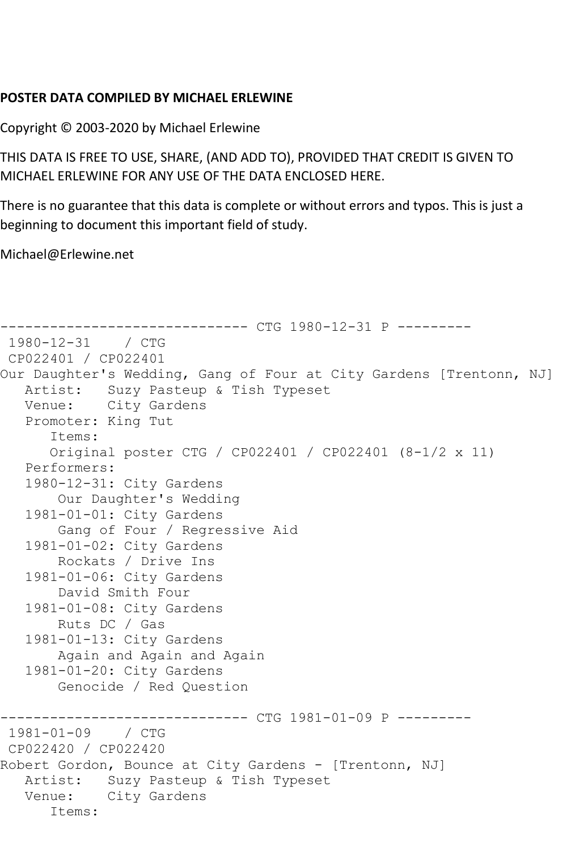## **POSTER DATA COMPILED BY MICHAEL ERLEWINE**

Copyright © 2003-2020 by Michael Erlewine

THIS DATA IS FREE TO USE, SHARE, (AND ADD TO), PROVIDED THAT CREDIT IS GIVEN TO MICHAEL ERLEWINE FOR ANY USE OF THE DATA ENCLOSED HERE.

There is no guarantee that this data is complete or without errors and typos. This is just a beginning to document this important field of study.

Michael@Erlewine.net

```
------------------------------ CTG 1980-12-31 P ---------
1980-12-31 / CTG 
CP022401 / CP022401
Our Daughter's Wedding, Gang of Four at City Gardens [Trentonn, NJ]
   Artist: Suzy Pasteup & Tish Typeset
   Venue: City Gardens
   Promoter: King Tut
       Items:
      Original poster CTG / CP022401 / CP022401 (8-1/2 x 11)
   Performers:
   1980-12-31: City Gardens
       Our Daughter's Wedding
   1981-01-01: City Gardens
       Gang of Four / Regressive Aid
   1981-01-02: City Gardens
        Rockats / Drive Ins
   1981-01-06: City Gardens
        David Smith Four
   1981-01-08: City Gardens
       Ruts DC / Gas
   1981-01-13: City Gardens
       Again and Again and Again
   1981-01-20: City Gardens
        Genocide / Red Question
                    ----------- CTG 1981-01-09 P ---------
1981-01-09 / CTG 
CP022420 / CP022420
Robert Gordon, Bounce at City Gardens - [Trentonn, NJ]
   Artist: Suzy Pasteup & Tish Typeset
   Venue: City Gardens
       Items:
```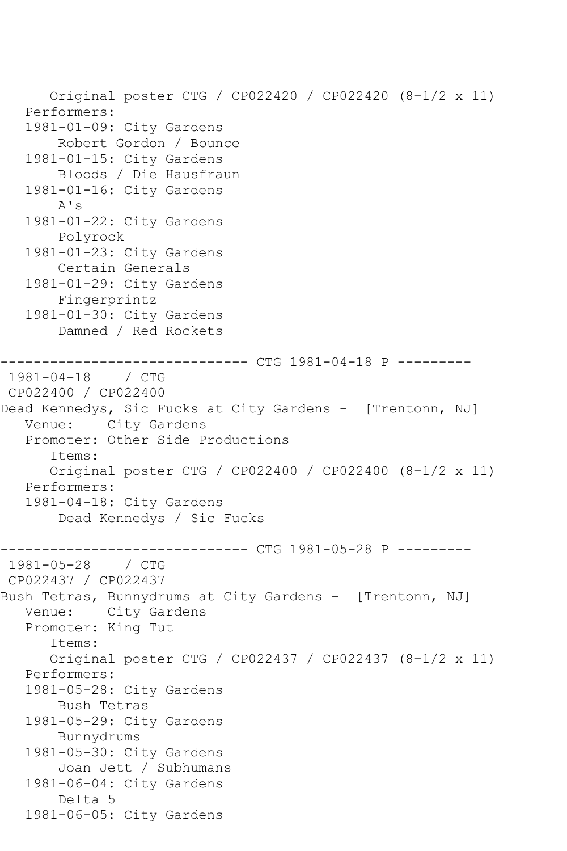Original poster CTG / CP022420 / CP022420 (8-1/2 x 11) Performers: 1981-01-09: City Gardens Robert Gordon / Bounce 1981-01-15: City Gardens Bloods / Die Hausfraun 1981-01-16: City Gardens A's 1981-01-22: City Gardens Polyrock 1981-01-23: City Gardens Certain Generals 1981-01-29: City Gardens Fingerprintz 1981-01-30: City Gardens Damned / Red Rockets ------------------------------ CTG 1981-04-18 P --------- 1981-04-18 / CTG CP022400 / CP022400 Dead Kennedys, Sic Fucks at City Gardens - [Trentonn, NJ] Venue: City Gardens Promoter: Other Side Productions Items: Original poster CTG / CP022400 / CP022400 (8-1/2 x 11) Performers: 1981-04-18: City Gardens Dead Kennedys / Sic Fucks ------------------------------ CTG 1981-05-28 P --------- 1981-05-28 / CTG CP022437 / CP022437 Bush Tetras, Bunnydrums at City Gardens - [Trentonn, NJ] Venue: City Gardens Promoter: King Tut Items: Original poster CTG / CP022437 / CP022437 (8-1/2 x 11) Performers: 1981-05-28: City Gardens Bush Tetras 1981-05-29: City Gardens Bunnydrums 1981-05-30: City Gardens Joan Jett / Subhumans 1981-06-04: City Gardens Delta 5 1981-06-05: City Gardens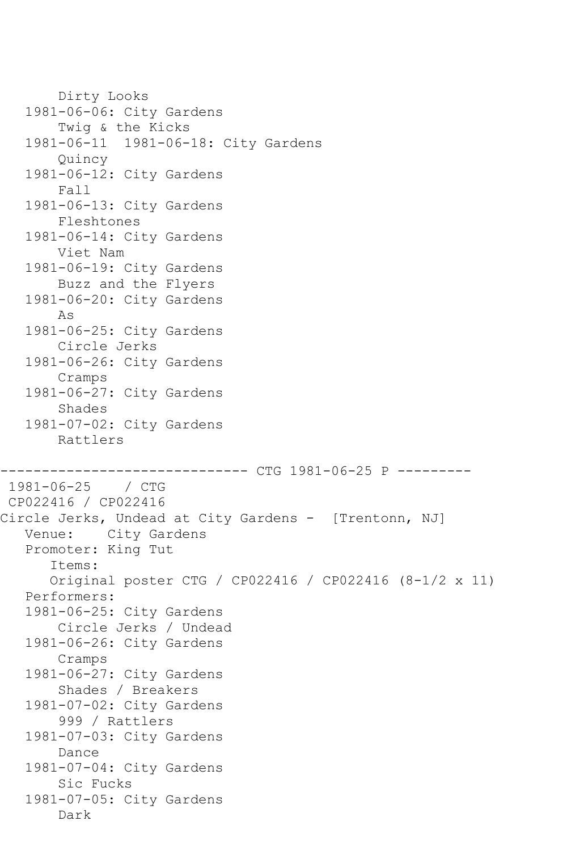```
 Dirty Looks
   1981-06-06: City Gardens
        Twig & the Kicks
   1981-06-11 1981-06-18: City Gardens
        Quincy
    1981-06-12: City Gardens
        Fall
    1981-06-13: City Gardens
        Fleshtones
    1981-06-14: City Gardens
        Viet Nam
    1981-06-19: City Gardens
        Buzz and the Flyers
    1981-06-20: City Gardens
        As
    1981-06-25: City Gardens
        Circle Jerks
    1981-06-26: City Gardens
        Cramps
    1981-06-27: City Gardens
        Shades
    1981-07-02: City Gardens
        Rattlers
                      --------- CTG 1981-06-25 P ---------
1981-06-25 / CTG 
CP022416 / CP022416
Circle Jerks, Undead at City Gardens - [Trentonn, NJ]
   Venue: City Gardens
    Promoter: King Tut
       Items:
       Original poster CTG / CP022416 / CP022416 (8-1/2 x 11)
    Performers:
    1981-06-25: City Gardens
        Circle Jerks / Undead
    1981-06-26: City Gardens
        Cramps
    1981-06-27: City Gardens
        Shades / Breakers
   1981-07-02: City Gardens
        999 / Rattlers
    1981-07-03: City Gardens
        Dance
    1981-07-04: City Gardens
        Sic Fucks
    1981-07-05: City Gardens
        Dark
```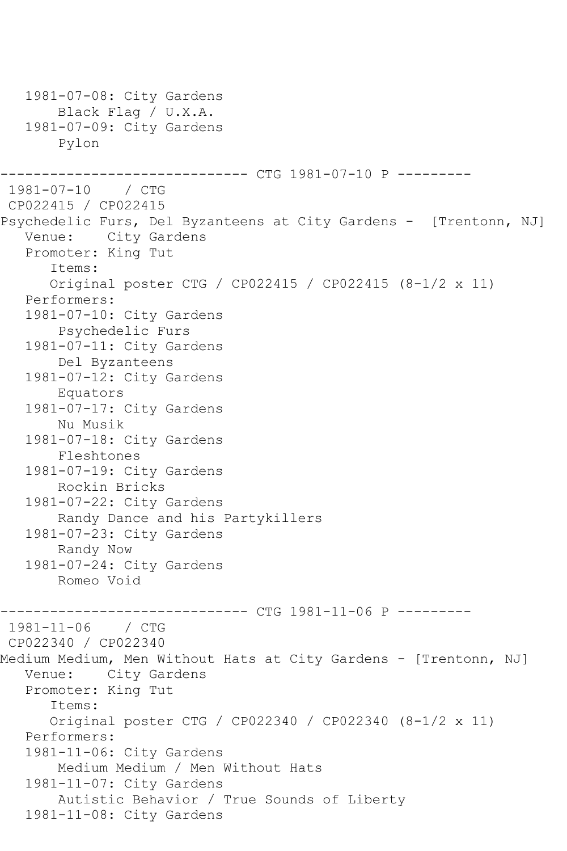1981-07-08: City Gardens Black Flag / U.X.A. 1981-07-09: City Gardens Pylon ----------- CTG 1981-07-10 P ---------1981-07-10 / CTG CP022415 / CP022415 Psychedelic Furs, Del Byzanteens at City Gardens - [Trentonn, NJ] Venue: City Gardens Promoter: King Tut Items: Original poster CTG / CP022415 / CP022415 (8-1/2 x 11) Performers: 1981-07-10: City Gardens Psychedelic Furs 1981-07-11: City Gardens Del Byzanteens 1981-07-12: City Gardens Equators 1981-07-17: City Gardens Nu Musik 1981-07-18: City Gardens Fleshtones 1981-07-19: City Gardens Rockin Bricks 1981-07-22: City Gardens Randy Dance and his Partykillers 1981-07-23: City Gardens Randy Now 1981-07-24: City Gardens Romeo Void ------------------------------ CTG 1981-11-06 P --------- 1981-11-06 / CTG CP022340 / CP022340 Medium Medium, Men Without Hats at City Gardens - [Trentonn, NJ] Venue: City Gardens Promoter: King Tut Items: Original poster CTG / CP022340 / CP022340 (8-1/2 x 11) Performers: 1981-11-06: City Gardens Medium Medium / Men Without Hats 1981-11-07: City Gardens Autistic Behavior / True Sounds of Liberty 1981-11-08: City Gardens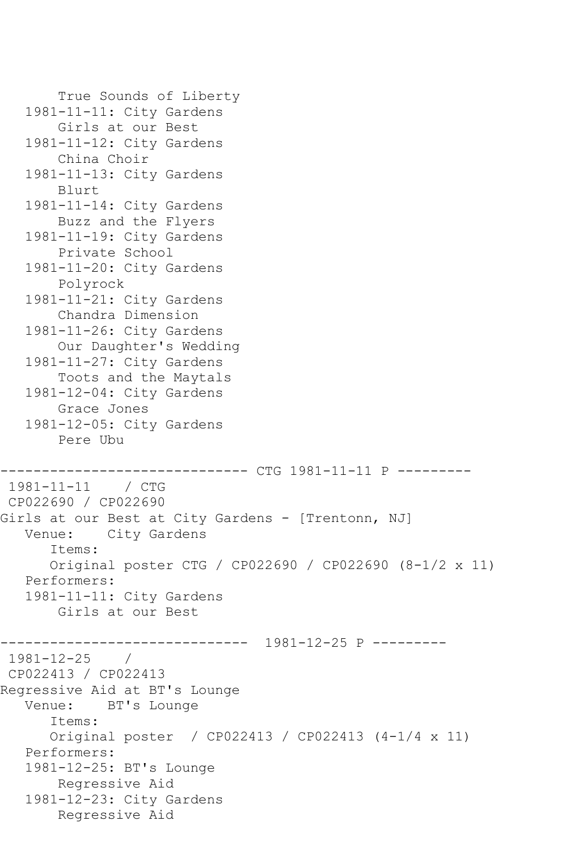```
 True Sounds of Liberty
   1981-11-11: City Gardens
        Girls at our Best
    1981-11-12: City Gardens
        China Choir
    1981-11-13: City Gardens
        Blurt
    1981-11-14: City Gardens
        Buzz and the Flyers
    1981-11-19: City Gardens
        Private School
    1981-11-20: City Gardens
        Polyrock
    1981-11-21: City Gardens
        Chandra Dimension
    1981-11-26: City Gardens
        Our Daughter's Wedding
    1981-11-27: City Gardens
        Toots and the Maytals
    1981-12-04: City Gardens
        Grace Jones
    1981-12-05: City Gardens
        Pere Ubu
                      --------- CTG 1981-11-11 P ---------
1981-11-11 / CTG 
CP022690 / CP022690
Girls at our Best at City Gardens - [Trentonn, NJ]
   Venue: City Gardens
       Items:
       Original poster CTG / CP022690 / CP022690 (8-1/2 x 11)
    Performers:
    1981-11-11: City Gardens
        Girls at our Best
               ------------------------------ 1981-12-25 P ---------
1981 - 12 - 25CP022413 / CP022413
Regressive Aid at BT's Lounge
   Venue: BT's Lounge
       Items:
       Original poster / CP022413 / CP022413 (4-1/4 x 11)
    Performers:
    1981-12-25: BT's Lounge
        Regressive Aid
    1981-12-23: City Gardens
        Regressive Aid
```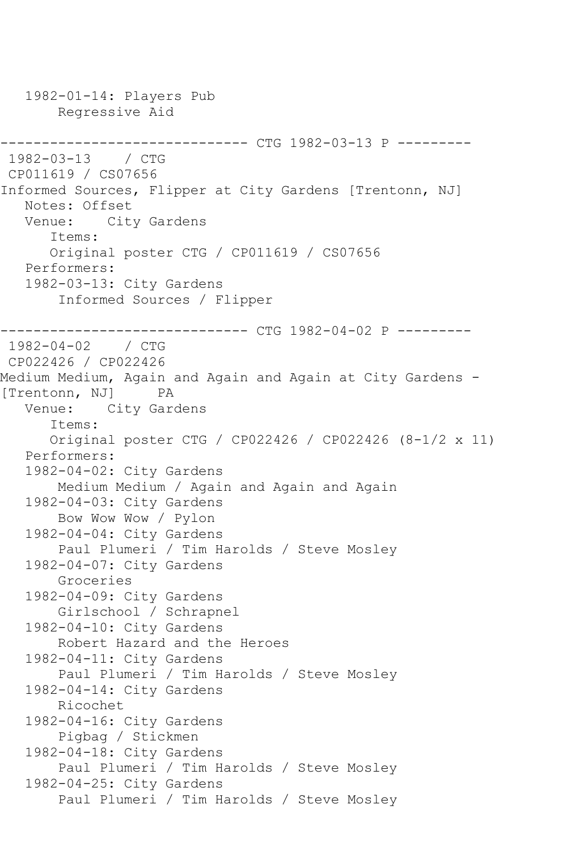1982-01-14: Players Pub Regressive Aid ------------------------------ CTG 1982-03-13 P --------- 1982-03-13 / CTG CP011619 / CS07656 Informed Sources, Flipper at City Gardens [Trentonn, NJ] Notes: Offset Venue: City Gardens Items: Original poster CTG / CP011619 / CS07656 Performers: 1982-03-13: City Gardens Informed Sources / Flipper ------------------------------ CTG 1982-04-02 P --------- 1982-04-02 / CTG CP022426 / CP022426 Medium Medium, Again and Again and Again at City Gardens - [Trentonn, NJ] PA<br>Venue: City Gare City Gardens Items: Original poster CTG / CP022426 / CP022426 (8-1/2 x 11) Performers: 1982-04-02: City Gardens Medium Medium / Again and Again and Again 1982-04-03: City Gardens Bow Wow Wow / Pylon 1982-04-04: City Gardens Paul Plumeri / Tim Harolds / Steve Mosley 1982-04-07: City Gardens Groceries 1982-04-09: City Gardens Girlschool / Schrapnel 1982-04-10: City Gardens Robert Hazard and the Heroes 1982-04-11: City Gardens Paul Plumeri / Tim Harolds / Steve Mosley 1982-04-14: City Gardens Ricochet 1982-04-16: City Gardens Pigbag / Stickmen 1982-04-18: City Gardens Paul Plumeri / Tim Harolds / Steve Mosley 1982-04-25: City Gardens Paul Plumeri / Tim Harolds / Steve Mosley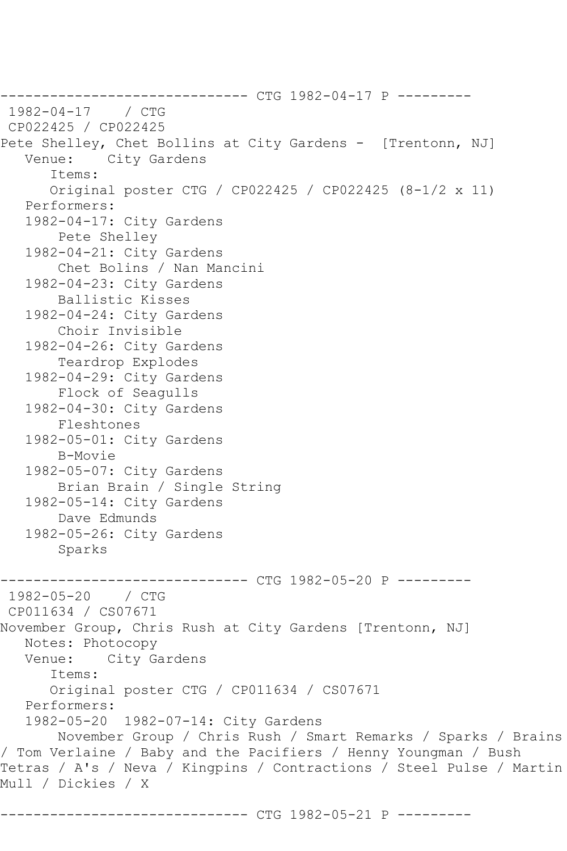------------------------------ CTG 1982-04-17 P ---------  $1982 - 04 - 17$ CP022425 / CP022425 Pete Shelley, Chet Bollins at City Gardens - [Trentonn, NJ]<br>Venue: City Gardens City Gardens Items: Original poster CTG / CP022425 / CP022425 (8-1/2 x 11) Performers: 1982-04-17: City Gardens Pete Shelley 1982-04-21: City Gardens Chet Bolins / Nan Mancini 1982-04-23: City Gardens Ballistic Kisses 1982-04-24: City Gardens Choir Invisible 1982-04-26: City Gardens Teardrop Explodes 1982-04-29: City Gardens Flock of Seagulls 1982-04-30: City Gardens Fleshtones 1982-05-01: City Gardens B-Movie 1982-05-07: City Gardens Brian Brain / Single String 1982-05-14: City Gardens Dave Edmunds 1982-05-26: City Gardens Sparks ---------- CTG 1982-05-20 P ---------1982-05-20 / CTG CP011634 / CS07671 November Group, Chris Rush at City Gardens [Trentonn, NJ] Notes: Photocopy<br>Venue: City Ga City Gardens Items: Original poster CTG / CP011634 / CS07671 Performers: 1982-05-20 1982-07-14: City Gardens November Group / Chris Rush / Smart Remarks / Sparks / Brains / Tom Verlaine / Baby and the Pacifiers / Henny Youngman / Bush Tetras / A's / Neva / Kingpins / Contractions / Steel Pulse / Martin Mull / Dickies / X

------------------------------ CTG 1982-05-21 P ---------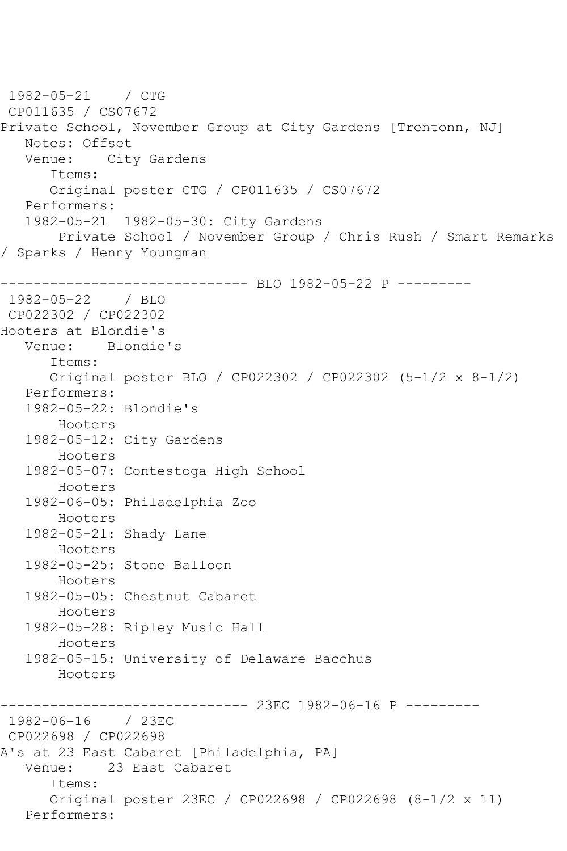1982-05-21 / CTG CP011635 / CS07672 Private School, November Group at City Gardens [Trentonn, NJ] Notes: Offset<br>Venue: Cit City Gardens Items: Original poster CTG / CP011635 / CS07672 Performers: 1982-05-21 1982-05-30: City Gardens Private School / November Group / Chris Rush / Smart Remarks / Sparks / Henny Youngman ------------------------------ BLO 1982-05-22 P --------- 1982-05-22 / BLO CP022302 / CP022302 Hooters at Blondie's Venue: Blondie's Items: Original poster BLO / CP022302 / CP022302 (5-1/2 x 8-1/2) Performers: 1982-05-22: Blondie's Hooters 1982-05-12: City Gardens Hooters 1982-05-07: Contestoga High School Hooters 1982-06-05: Philadelphia Zoo Hooters 1982-05-21: Shady Lane Hooters 1982-05-25: Stone Balloon Hooters 1982-05-05: Chestnut Cabaret Hooters 1982-05-28: Ripley Music Hall Hooters 1982-05-15: University of Delaware Bacchus Hooters ------------------------------ 23EC 1982-06-16 P --------- 1982-06-16 / 23EC CP022698 / CP022698 A's at 23 East Cabaret [Philadelphia, PA] Venue: 23 East Cabaret Items: Original poster 23EC / CP022698 / CP022698 (8-1/2 x 11) Performers: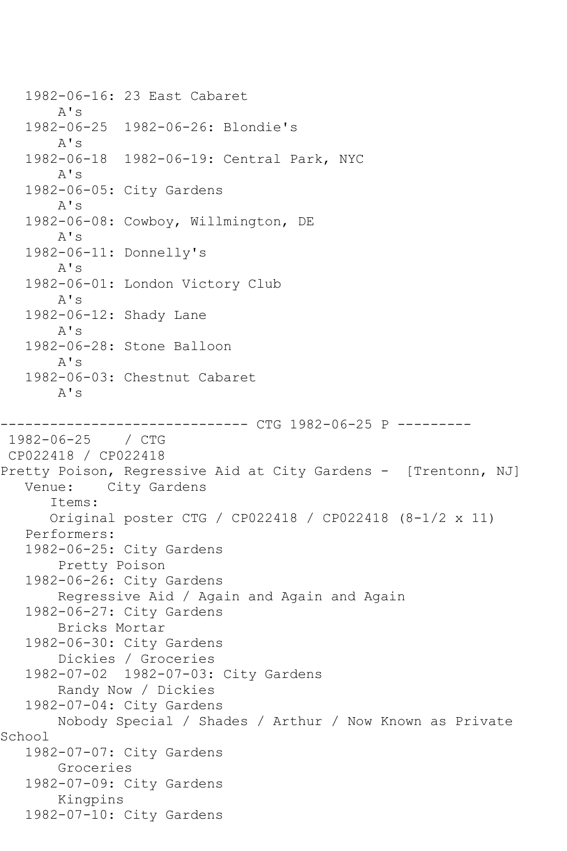1982-06-16: 23 East Cabaret A's 1982-06-25 1982-06-26: Blondie's A's 1982-06-18 1982-06-19: Central Park, NYC A's 1982-06-05: City Gardens A's 1982-06-08: Cowboy, Willmington, DE A's 1982-06-11: Donnelly's A's 1982-06-01: London Victory Club A's 1982-06-12: Shady Lane A's 1982-06-28: Stone Balloon A's 1982-06-03: Chestnut Cabaret A's ---------- CTG 1982-06-25 P ---------1982-06-25 / CTG CP022418 / CP022418 Pretty Poison, Regressive Aid at City Gardens - [Trentonn, NJ] Venue: City Gardens Items: Original poster CTG / CP022418 / CP022418 (8-1/2 x 11) Performers: 1982-06-25: City Gardens Pretty Poison 1982-06-26: City Gardens Regressive Aid / Again and Again and Again 1982-06-27: City Gardens Bricks Mortar 1982-06-30: City Gardens Dickies / Groceries 1982-07-02 1982-07-03: City Gardens Randy Now / Dickies 1982-07-04: City Gardens Nobody Special / Shades / Arthur / Now Known as Private School 1982-07-07: City Gardens Groceries 1982-07-09: City Gardens Kingpins 1982-07-10: City Gardens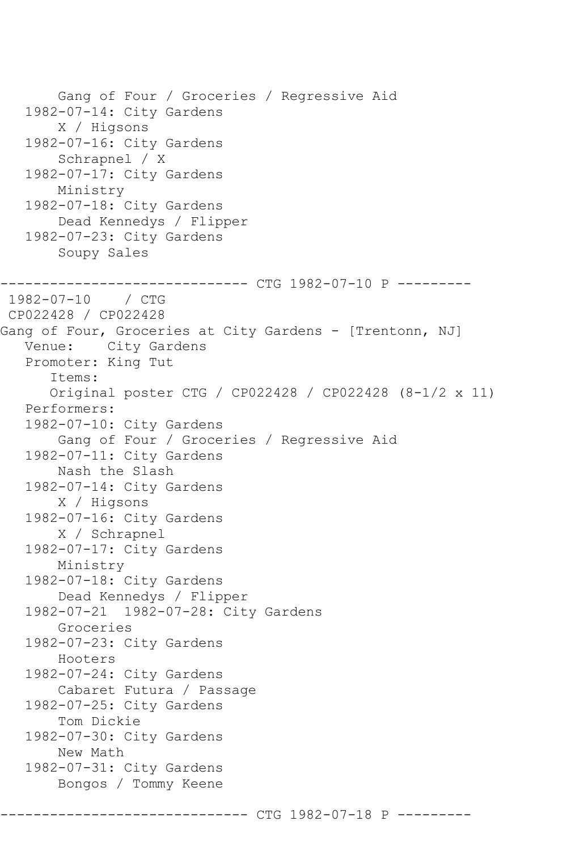Gang of Four / Groceries / Regressive Aid 1982-07-14: City Gardens X / Higsons 1982-07-16: City Gardens Schrapnel / X 1982-07-17: City Gardens Ministry 1982-07-18: City Gardens Dead Kennedys / Flipper 1982-07-23: City Gardens Soupy Sales ------------- CTG 1982-07-10 P ---------1982-07-10 / CTG CP022428 / CP022428 Gang of Four, Groceries at City Gardens - [Trentonn, NJ] Venue: City Gardens Promoter: King Tut Items: Original poster CTG / CP022428 / CP022428 (8-1/2 x 11) Performers: 1982-07-10: City Gardens Gang of Four / Groceries / Regressive Aid 1982-07-11: City Gardens Nash the Slash 1982-07-14: City Gardens X / Higsons 1982-07-16: City Gardens X / Schrapnel 1982-07-17: City Gardens Ministry 1982-07-18: City Gardens Dead Kennedys / Flipper 1982-07-21 1982-07-28: City Gardens Groceries 1982-07-23: City Gardens Hooters 1982-07-24: City Gardens Cabaret Futura / Passage 1982-07-25: City Gardens Tom Dickie 1982-07-30: City Gardens New Math 1982-07-31: City Gardens Bongos / Tommy Keene

------ CTG 1982-07-18 P -----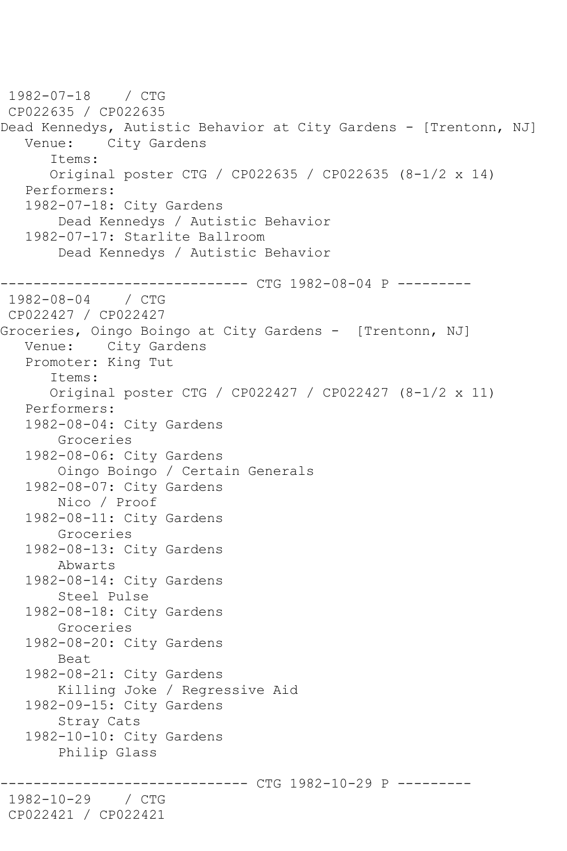1982-07-18 / CTG CP022635 / CP022635 Dead Kennedys, Autistic Behavior at City Gardens - [Trentonn, NJ] Venue: City Gardens Items: Original poster CTG / CP022635 / CP022635 (8-1/2 x 14) Performers: 1982-07-18: City Gardens Dead Kennedys / Autistic Behavior 1982-07-17: Starlite Ballroom Dead Kennedys / Autistic Behavior -------- CTG 1982-08-04 P ---------1982-08-04 / CTG CP022427 / CP022427 Groceries, Oingo Boingo at City Gardens - [Trentonn, NJ] Venue: City Gardens Promoter: King Tut Items: Original poster CTG / CP022427 / CP022427 (8-1/2 x 11) Performers: 1982-08-04: City Gardens Groceries 1982-08-06: City Gardens Oingo Boingo / Certain Generals 1982-08-07: City Gardens Nico / Proof 1982-08-11: City Gardens Groceries 1982-08-13: City Gardens Abwarts 1982-08-14: City Gardens Steel Pulse 1982-08-18: City Gardens Groceries 1982-08-20: City Gardens Beat 1982-08-21: City Gardens Killing Joke / Regressive Aid 1982-09-15: City Gardens Stray Cats 1982-10-10: City Gardens Philip Glass ------ CTG 1982-10-29 P ---------1982-10-29 / CTG CP022421 / CP022421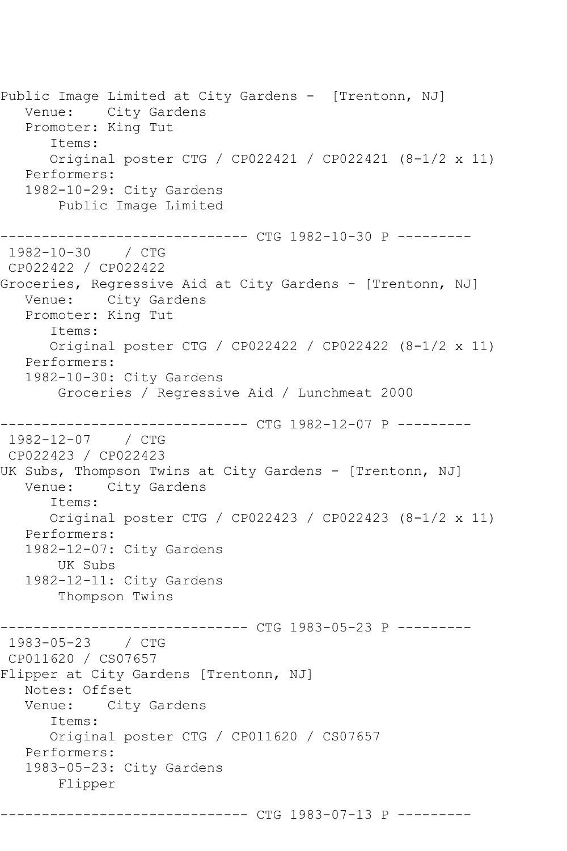Public Image Limited at City Gardens - [Trentonn, NJ] Venue: City Gardens Promoter: King Tut Items: Original poster CTG / CP022421 / CP022421 (8-1/2 x 11) Performers: 1982-10-29: City Gardens Public Image Limited ------------------------------ CTG 1982-10-30 P --------- 1982-10-30 / CTG CP022422 / CP022422 Groceries, Regressive Aid at City Gardens - [Trentonn, NJ] Venue: City Gardens Promoter: King Tut Items: Original poster CTG / CP022422 / CP022422 (8-1/2 x 11) Performers: 1982-10-30: City Gardens Groceries / Regressive Aid / Lunchmeat 2000 ------------------------------ CTG 1982-12-07 P --------- 1982-12-07 / CTG CP022423 / CP022423 UK Subs, Thompson Twins at City Gardens - [Trentonn, NJ] Venue: City Gardens Items: Original poster CTG / CP022423 / CP022423 (8-1/2 x 11) Performers: 1982-12-07: City Gardens UK Subs 1982-12-11: City Gardens Thompson Twins ---------- CTG 1983-05-23 P ---------1983-05-23 / CTG CP011620 / CS07657 Flipper at City Gardens [Trentonn, NJ] Notes: Offset<br>Venue: City City Gardens Items: Original poster CTG / CP011620 / CS07657 Performers: 1983-05-23: City Gardens Flipper

------------------------------ CTG 1983-07-13 P ---------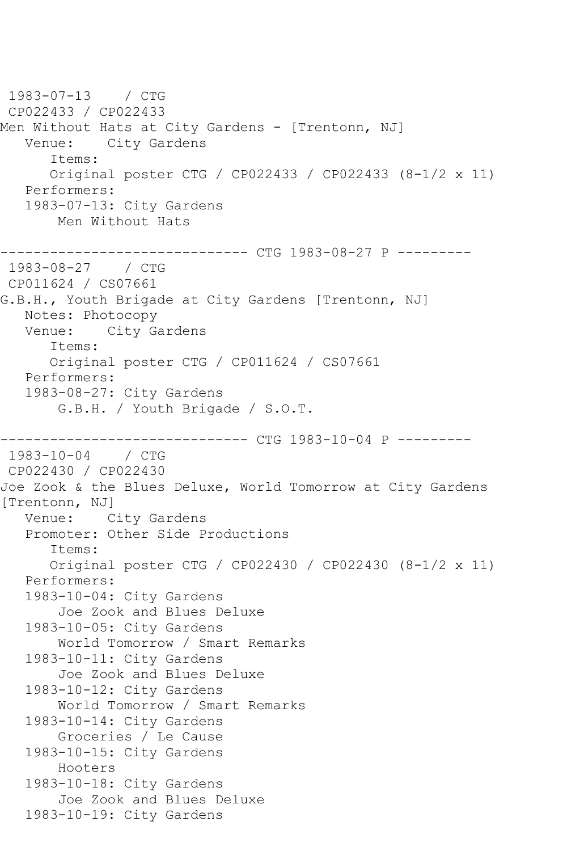1983-07-13 / CTG CP022433 / CP022433 Men Without Hats at City Gardens - [Trentonn, NJ] Venue: City Gardens Items: Original poster CTG / CP022433 / CP022433 (8-1/2 x 11) Performers: 1983-07-13: City Gardens Men Without Hats ------------------------------ CTG 1983-08-27 P --------- 1983-08-27 / CTG CP011624 / CS07661 G.B.H., Youth Brigade at City Gardens [Trentonn, NJ] Notes: Photocopy Venue: City Gardens Items: Original poster CTG / CP011624 / CS07661 Performers: 1983-08-27: City Gardens G.B.H. / Youth Brigade / S.O.T. -------------- CTG 1983-10-04 P ---------1983-10-04 / CTG CP022430 / CP022430 Joe Zook & the Blues Deluxe, World Tomorrow at City Gardens [Trentonn, NJ] Venue: City Gardens Promoter: Other Side Productions Items: Original poster CTG / CP022430 / CP022430 (8-1/2 x 11) Performers: 1983-10-04: City Gardens Joe Zook and Blues Deluxe 1983-10-05: City Gardens World Tomorrow / Smart Remarks 1983-10-11: City Gardens Joe Zook and Blues Deluxe 1983-10-12: City Gardens World Tomorrow / Smart Remarks 1983-10-14: City Gardens Groceries / Le Cause 1983-10-15: City Gardens Hooters 1983-10-18: City Gardens Joe Zook and Blues Deluxe 1983-10-19: City Gardens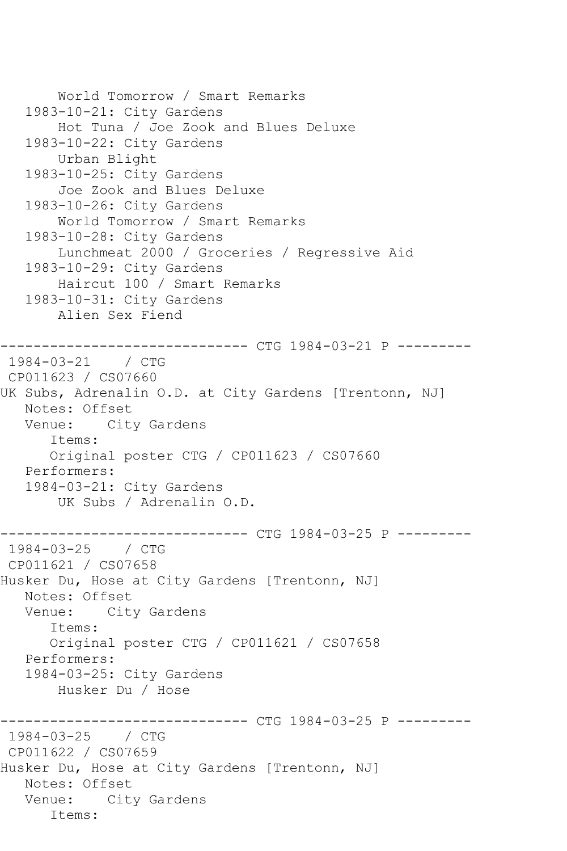```
 World Tomorrow / Smart Remarks
   1983-10-21: City Gardens
        Hot Tuna / Joe Zook and Blues Deluxe
    1983-10-22: City Gardens
        Urban Blight
    1983-10-25: City Gardens
        Joe Zook and Blues Deluxe
    1983-10-26: City Gardens
        World Tomorrow / Smart Remarks
    1983-10-28: City Gardens
        Lunchmeat 2000 / Groceries / Regressive Aid
    1983-10-29: City Gardens
        Haircut 100 / Smart Remarks
    1983-10-31: City Gardens
        Alien Sex Fiend
------------------------------ CTG 1984-03-21 P ---------
1984-03-21 / CTG 
CP011623 / CS07660
UK Subs, Adrenalin O.D. at City Gardens [Trentonn, NJ]
   Notes: Offset
   Venue: City Gardens
       Items:
       Original poster CTG / CP011623 / CS07660
   Performers:
    1984-03-21: City Gardens
        UK Subs / Adrenalin O.D.
                -------------- CTG 1984-03-25 P ---------
1984-03-25 / CTG 
CP011621 / CS07658
Husker Du, Hose at City Gardens [Trentonn, NJ]
  Notes: Offset<br>Venue: Cit
           City Gardens
       Items:
       Original poster CTG / CP011621 / CS07658
   Performers:
   1984-03-25: City Gardens
        Husker Du / Hose
                     ------------------------------ CTG 1984-03-25 P ---------
1984-03-25 / CTG 
CP011622 / CS07659
Husker Du, Hose at City Gardens [Trentonn, NJ]
   Notes: Offset
   Venue: City Gardens
       Items:
```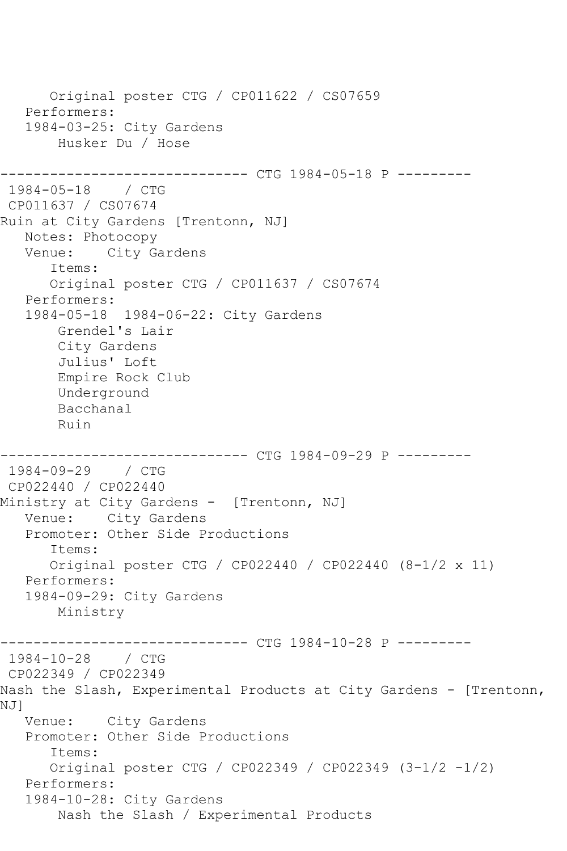```
 Original poster CTG / CP011622 / CS07659
    Performers:
    1984-03-25: City Gardens
        Husker Du / Hose
                   ------------ CTG 1984-05-18 P ----------
1984-05-18 / CTG 
CP011637 / CS07674
Ruin at City Gardens [Trentonn, NJ]
  Notes: Photocopy<br>Venue: City Ga
            City Gardens
       Items:
       Original poster CTG / CP011637 / CS07674
   Performers:
    1984-05-18 1984-06-22: City Gardens
        Grendel's Lair
        City Gardens
        Julius' Loft
        Empire Rock Club
        Underground
        Bacchanal
        Ruin
------------------------------ CTG 1984-09-29 P ---------
1984-09-29 / CTG 
CP022440 / CP022440
Ministry at City Gardens - [Trentonn, NJ]
   Venue: City Gardens
    Promoter: Other Side Productions
       Items:
       Original poster CTG / CP022440 / CP022440 (8-1/2 x 11)
    Performers:
    1984-09-29: City Gardens
        Ministry
------------------------------ CTG 1984-10-28 P ---------
1984-10-28 / CTG 
CP022349 / CP022349
Nash the Slash, Experimental Products at City Gardens - [Trentonn, 
NJ]
   Venue: City Gardens
    Promoter: Other Side Productions
       Items:
       Original poster CTG / CP022349 / CP022349 (3-1/2 -1/2)
   Performers:
    1984-10-28: City Gardens
        Nash the Slash / Experimental Products
```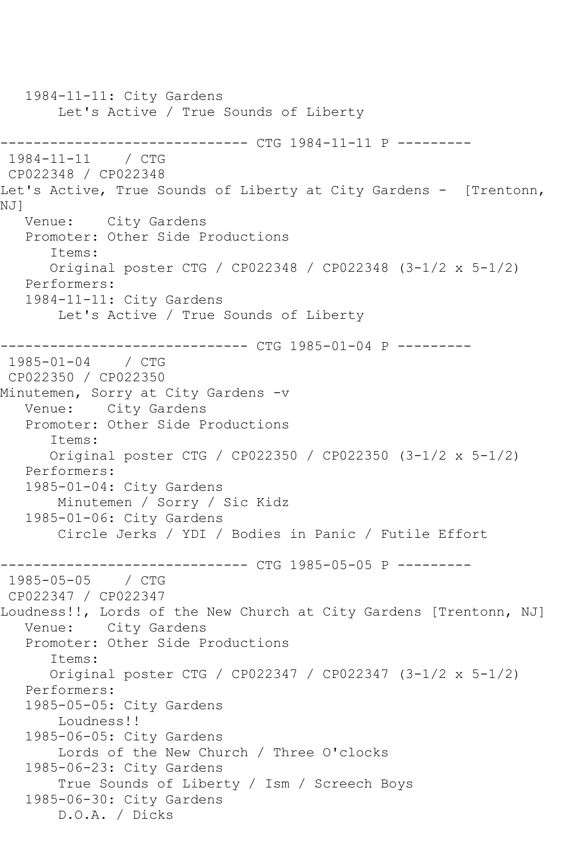1984-11-11: City Gardens Let's Active / True Sounds of Liberty ------------------------------ CTG 1984-11-11 P ---------  $1984 - 11 - 11$ CP022348 / CP022348 Let's Active, True Sounds of Liberty at City Gardens - [Trentonn, NJ] Venue: City Gardens Promoter: Other Side Productions Items: Original poster CTG / CP022348 / CP022348 (3-1/2 x 5-1/2) Performers: 1984-11-11: City Gardens Let's Active / True Sounds of Liberty ------------------------------ CTG 1985-01-04 P --------- 1985-01-04 / CTG CP022350 / CP022350 Minutemen, Sorry at City Gardens -v Venue: City Gardens Promoter: Other Side Productions Items: Original poster CTG / CP022350 / CP022350 (3-1/2 x 5-1/2) Performers: 1985-01-04: City Gardens Minutemen / Sorry / Sic Kidz 1985-01-06: City Gardens Circle Jerks / YDI / Bodies in Panic / Futile Effort ------------------------------ CTG 1985-05-05 P ---------  $1985 - 05 - 05$ CP022347 / CP022347 Loudness!!, Lords of the New Church at City Gardens [Trentonn, NJ] Venue: City Gardens Promoter: Other Side Productions Items: Original poster CTG / CP022347 / CP022347 (3-1/2 x 5-1/2) Performers: 1985-05-05: City Gardens Loudness!! 1985-06-05: City Gardens Lords of the New Church / Three O'clocks 1985-06-23: City Gardens True Sounds of Liberty / Ism / Screech Boys 1985-06-30: City Gardens D.O.A. / Dicks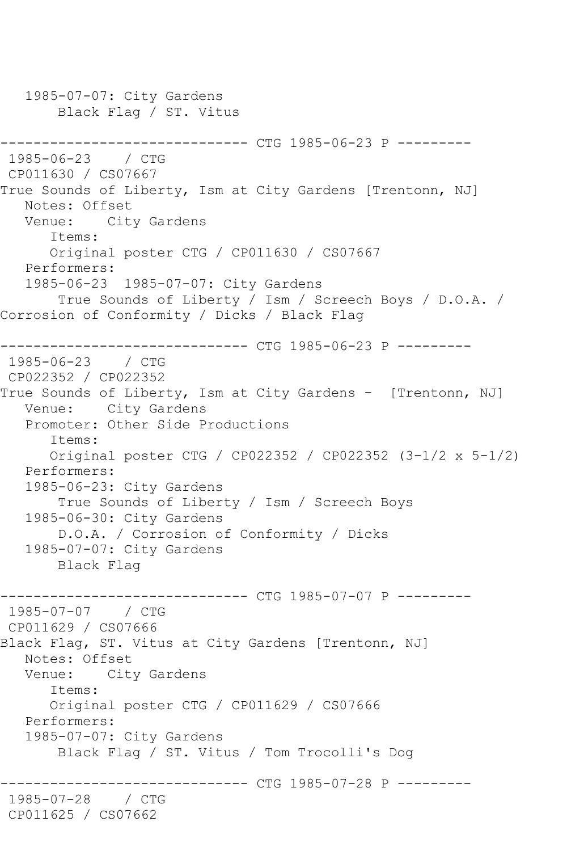1985-07-07: City Gardens Black Flag / ST. Vitus ------------------------------ CTG 1985-06-23 P ---------  $1985 - 06 - 23$ CP011630 / CS07667 True Sounds of Liberty, Ism at City Gardens [Trentonn, NJ] Notes: Offset Venue: City Gardens Items: Original poster CTG / CP011630 / CS07667 Performers: 1985-06-23 1985-07-07: City Gardens True Sounds of Liberty / Ism / Screech Boys / D.O.A. / Corrosion of Conformity / Dicks / Black Flag ------------------------------ CTG 1985-06-23 P --------- 1985-06-23 / CTG CP022352 / CP022352 True Sounds of Liberty, Ism at City Gardens - [Trentonn, NJ] Venue: City Gardens Promoter: Other Side Productions Items: Original poster CTG / CP022352 / CP022352 (3-1/2 x 5-1/2) Performers: 1985-06-23: City Gardens True Sounds of Liberty / Ism / Screech Boys 1985-06-30: City Gardens D.O.A. / Corrosion of Conformity / Dicks 1985-07-07: City Gardens Black Flag ------------------------------ CTG 1985-07-07 P ---------  $1985 - 07 - 07$ CP011629 / CS07666 Black Flag, ST. Vitus at City Gardens [Trentonn, NJ] Notes: Offset Venue: City Gardens Items: Original poster CTG / CP011629 / CS07666 Performers: 1985-07-07: City Gardens Black Flag / ST. Vitus / Tom Trocolli's Dog ------------ CTG 1985-07-28 P ---------1985-07-28 / CTG CP011625 / CS07662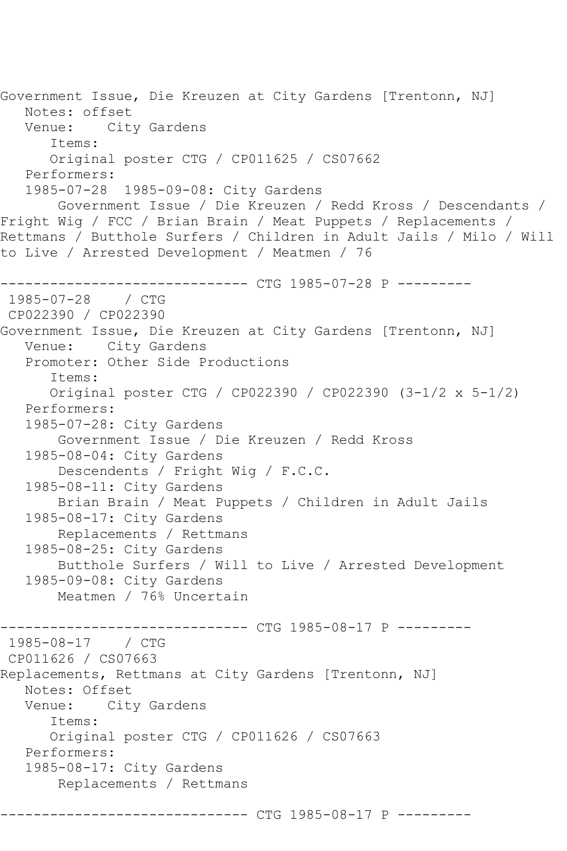Government Issue, Die Kreuzen at City Gardens [Trentonn, NJ] Notes: offset Venue: City Gardens Items: Original poster CTG / CP011625 / CS07662 Performers: 1985-07-28 1985-09-08: City Gardens Government Issue / Die Kreuzen / Redd Kross / Descendants / Fright Wig / FCC / Brian Brain / Meat Puppets / Replacements / Rettmans / Butthole Surfers / Children in Adult Jails / Milo / Will to Live / Arrested Development / Meatmen / 76 ------------------------------ CTG 1985-07-28 P --------- 1985-07-28 / CTG CP022390 / CP022390 Government Issue, Die Kreuzen at City Gardens [Trentonn, NJ] Venue: City Gardens Promoter: Other Side Productions Items: Original poster CTG / CP022390 / CP022390 (3-1/2 x 5-1/2) Performers: 1985-07-28: City Gardens Government Issue / Die Kreuzen / Redd Kross 1985-08-04: City Gardens Descendents / Fright Wig / F.C.C. 1985-08-11: City Gardens Brian Brain / Meat Puppets / Children in Adult Jails 1985-08-17: City Gardens Replacements / Rettmans 1985-08-25: City Gardens Butthole Surfers / Will to Live / Arrested Development 1985-09-08: City Gardens Meatmen / 76% Uncertain ----------- CTG 1985-08-17 P ---------1985-08-17 / CTG CP011626 / CS07663 Replacements, Rettmans at City Gardens [Trentonn, NJ] Notes: Offset<br>Venue: City City Gardens Items: Original poster CTG / CP011626 / CS07663 Performers: 1985-08-17: City Gardens Replacements / Rettmans -------- CTG 1985-08-17 P ---------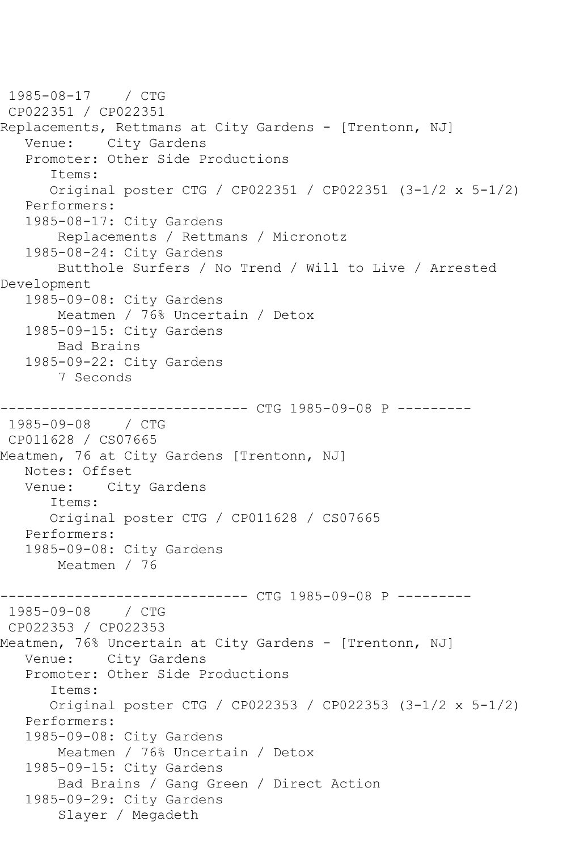1985-08-17 / CTG CP022351 / CP022351 Replacements, Rettmans at City Gardens - [Trentonn, NJ] Venue: City Gardens Promoter: Other Side Productions Items: Original poster CTG / CP022351 / CP022351 (3-1/2 x 5-1/2) Performers: 1985-08-17: City Gardens Replacements / Rettmans / Micronotz 1985-08-24: City Gardens Butthole Surfers / No Trend / Will to Live / Arrested Development 1985-09-08: City Gardens Meatmen / 76% Uncertain / Detox 1985-09-15: City Gardens Bad Brains 1985-09-22: City Gardens 7 Seconds ------------------------------ CTG 1985-09-08 P --------- 1985-09-08 / CTG CP011628 / CS07665 Meatmen, 76 at City Gardens [Trentonn, NJ] Notes: Offset Venue: City Gardens Items: Original poster CTG / CP011628 / CS07665 Performers: 1985-09-08: City Gardens Meatmen / 76 ------------------------------ CTG 1985-09-08 P --------- 1985-09-08 / CTG CP022353 / CP022353 Meatmen, 76% Uncertain at City Gardens - [Trentonn, NJ] Venue: City Gardens Promoter: Other Side Productions Items: Original poster CTG / CP022353 / CP022353 (3-1/2 x 5-1/2) Performers: 1985-09-08: City Gardens Meatmen / 76% Uncertain / Detox 1985-09-15: City Gardens Bad Brains / Gang Green / Direct Action 1985-09-29: City Gardens Slayer / Megadeth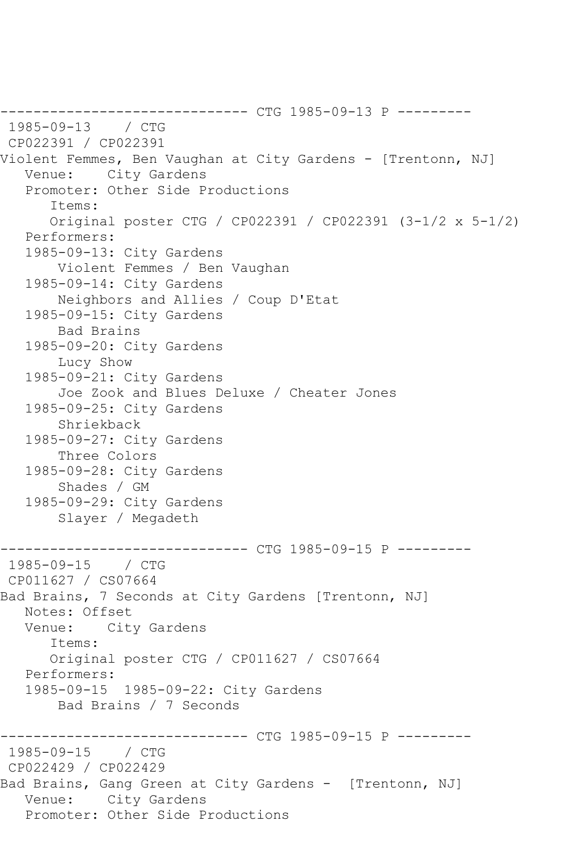------------------------------ CTG 1985-09-13 P --------- 1985-09-13 / CTG CP022391 / CP022391 Violent Femmes, Ben Vaughan at City Gardens - [Trentonn, NJ] Venue: City Gardens Promoter: Other Side Productions Items: Original poster CTG / CP022391 / CP022391 (3-1/2 x 5-1/2) Performers: 1985-09-13: City Gardens Violent Femmes / Ben Vaughan 1985-09-14: City Gardens Neighbors and Allies / Coup D'Etat 1985-09-15: City Gardens Bad Brains 1985-09-20: City Gardens Lucy Show 1985-09-21: City Gardens Joe Zook and Blues Deluxe / Cheater Jones 1985-09-25: City Gardens Shriekback 1985-09-27: City Gardens Three Colors 1985-09-28: City Gardens Shades / GM 1985-09-29: City Gardens Slayer / Megadeth ------------------------------ CTG 1985-09-15 P --------- 1985-09-15 / CTG CP011627 / CS07664 Bad Brains, 7 Seconds at City Gardens [Trentonn, NJ] Notes: Offset Venue: City Gardens Items: Original poster CTG / CP011627 / CS07664 Performers: 1985-09-15 1985-09-22: City Gardens Bad Brains / 7 Seconds ----------- CTG 1985-09-15 P ---------1985-09-15 / CTG CP022429 / CP022429 Bad Brains, Gang Green at City Gardens - [Trentonn, NJ] Venue: City Gardens Promoter: Other Side Productions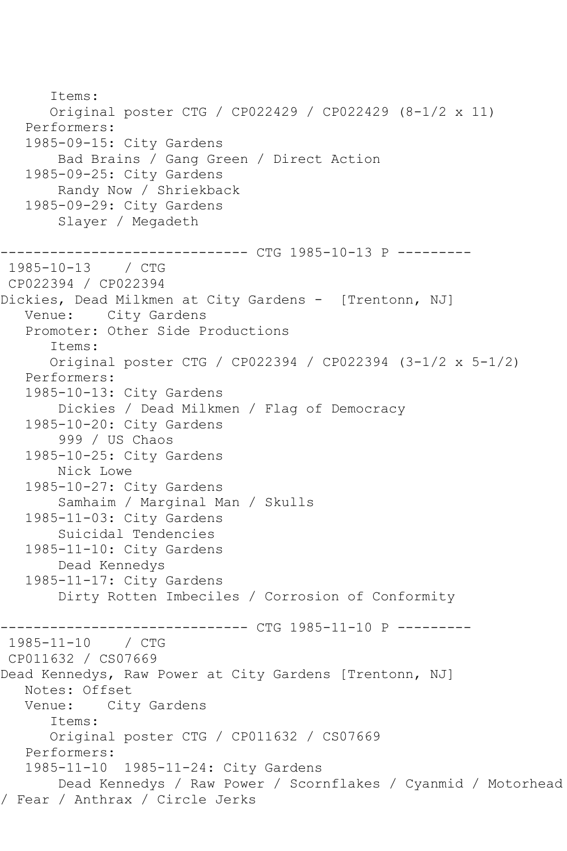Items: Original poster CTG / CP022429 / CP022429 (8-1/2 x 11) Performers: 1985-09-15: City Gardens Bad Brains / Gang Green / Direct Action 1985-09-25: City Gardens Randy Now / Shriekback 1985-09-29: City Gardens Slayer / Megadeth ------------------------------ CTG 1985-10-13 P --------- 1985-10-13 / CTG CP022394 / CP022394 Dickies, Dead Milkmen at City Gardens - [Trentonn, NJ] Venue: City Gardens Promoter: Other Side Productions Items: Original poster CTG / CP022394 / CP022394 (3-1/2 x 5-1/2) Performers: 1985-10-13: City Gardens Dickies / Dead Milkmen / Flag of Democracy 1985-10-20: City Gardens 999 / US Chaos 1985-10-25: City Gardens Nick Lowe 1985-10-27: City Gardens Samhaim / Marginal Man / Skulls 1985-11-03: City Gardens Suicidal Tendencies 1985-11-10: City Gardens Dead Kennedys 1985-11-17: City Gardens Dirty Rotten Imbeciles / Corrosion of Conformity ----------- CTG 1985-11-10 P ---------1985-11-10 / CTG CP011632 / CS07669 Dead Kennedys, Raw Power at City Gardens [Trentonn, NJ] Notes: Offset<br>Venue: Cit City Gardens Items: Original poster CTG / CP011632 / CS07669 Performers: 1985-11-10 1985-11-24: City Gardens Dead Kennedys / Raw Power / Scornflakes / Cyanmid / Motorhead / Fear / Anthrax / Circle Jerks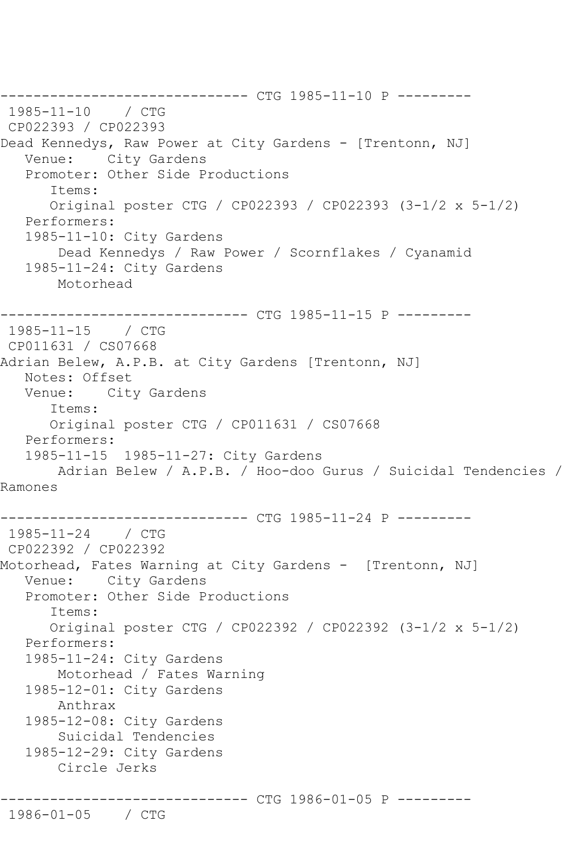------------------------------ CTG 1985-11-10 P --------- 1985-11-10 / CTG CP022393 / CP022393 Dead Kennedys, Raw Power at City Gardens - [Trentonn, NJ] Venue: City Gardens Promoter: Other Side Productions Items: Original poster CTG / CP022393 / CP022393 (3-1/2 x 5-1/2) Performers: 1985-11-10: City Gardens Dead Kennedys / Raw Power / Scornflakes / Cyanamid 1985-11-24: City Gardens Motorhead ------------------------------ CTG 1985-11-15 P --------- 1985-11-15 / CTG CP011631 / CS07668 Adrian Belew, A.P.B. at City Gardens [Trentonn, NJ] Notes: Offset Venue: City Gardens Items: Original poster CTG / CP011631 / CS07668 Performers: 1985-11-15 1985-11-27: City Gardens Adrian Belew / A.P.B. / Hoo-doo Gurus / Suicidal Tendencies / Ramones --------------------- CTG 1985-11-24 P ---------1985-11-24 / CTG CP022392 / CP022392 Motorhead, Fates Warning at City Gardens - [Trentonn, NJ] Venue: City Gardens Promoter: Other Side Productions Items: Original poster CTG / CP022392 / CP022392 (3-1/2 x 5-1/2) Performers: 1985-11-24: City Gardens Motorhead / Fates Warning 1985-12-01: City Gardens Anthrax 1985-12-08: City Gardens Suicidal Tendencies 1985-12-29: City Gardens Circle Jerks ----------------- CTG 1986-01-05 P ---------1986-01-05 / CTG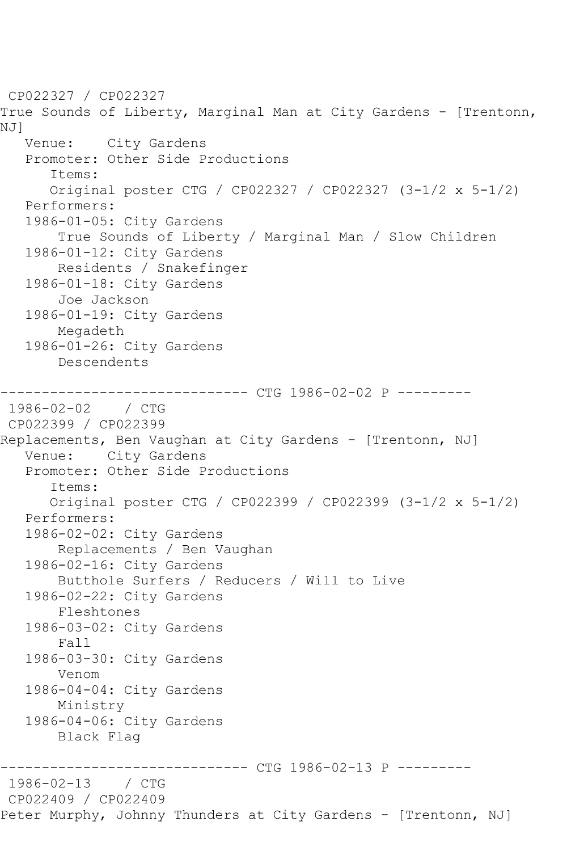CP022327 / CP022327 True Sounds of Liberty, Marginal Man at City Gardens - [Trentonn, NJ] Venue: City Gardens Promoter: Other Side Productions Items: Original poster CTG / CP022327 / CP022327 (3-1/2 x 5-1/2) Performers: 1986-01-05: City Gardens True Sounds of Liberty / Marginal Man / Slow Children 1986-01-12: City Gardens Residents / Snakefinger 1986-01-18: City Gardens Joe Jackson 1986-01-19: City Gardens Megadeth 1986-01-26: City Gardens Descendents ------------------------------ CTG 1986-02-02 P ---------  $1986 - 02 - 02$ CP022399 / CP022399 Replacements, Ben Vaughan at City Gardens - [Trentonn, NJ] Venue: City Gardens Promoter: Other Side Productions Items: Original poster CTG / CP022399 / CP022399 (3-1/2 x 5-1/2) Performers: 1986-02-02: City Gardens Replacements / Ben Vaughan 1986-02-16: City Gardens Butthole Surfers / Reducers / Will to Live 1986-02-22: City Gardens Fleshtones 1986-03-02: City Gardens Fall 1986-03-30: City Gardens Venom 1986-04-04: City Gardens Ministry 1986-04-06: City Gardens Black Flag ------------------------------ CTG 1986-02-13 P ---------  $1986 - 02 - 13$ CP022409 / CP022409 Peter Murphy, Johnny Thunders at City Gardens - [Trentonn, NJ]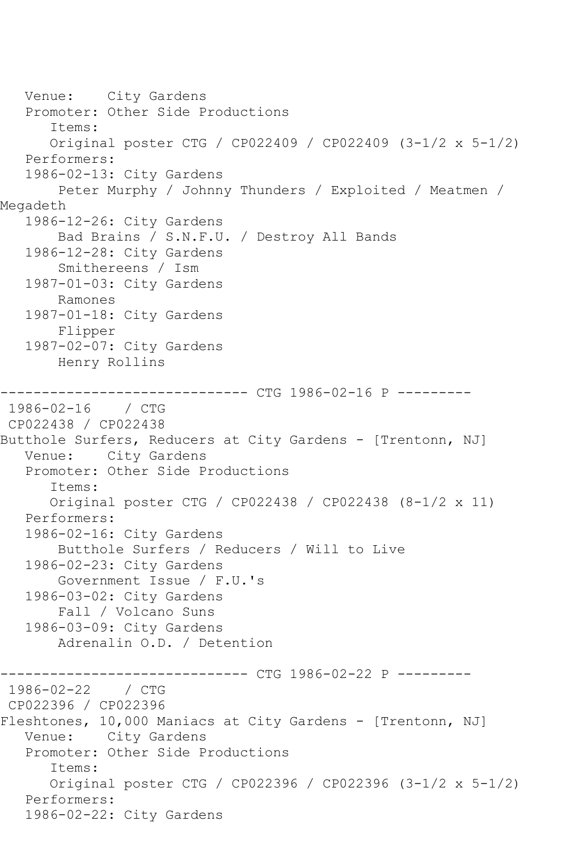Venue: City Gardens Promoter: Other Side Productions Items: Original poster CTG / CP022409 / CP022409 (3-1/2 x 5-1/2) Performers: 1986-02-13: City Gardens Peter Murphy / Johnny Thunders / Exploited / Meatmen / Megadeth 1986-12-26: City Gardens Bad Brains / S.N.F.U. / Destroy All Bands 1986-12-28: City Gardens Smithereens / Ism 1987-01-03: City Gardens Ramones 1987-01-18: City Gardens Flipper 1987-02-07: City Gardens Henry Rollins ------------------------------ CTG 1986-02-16 P --------- 1986-02-16 / CTG CP022438 / CP022438 Butthole Surfers, Reducers at City Gardens - [Trentonn, NJ] Venue: City Gardens Promoter: Other Side Productions Items: Original poster CTG / CP022438 / CP022438 (8-1/2 x 11) Performers: 1986-02-16: City Gardens Butthole Surfers / Reducers / Will to Live 1986-02-23: City Gardens Government Issue / F.U.'s 1986-03-02: City Gardens Fall / Volcano Suns 1986-03-09: City Gardens Adrenalin O.D. / Detention ------------------------------ CTG 1986-02-22 P ---------  $1986 - 02 - 22$ CP022396 / CP022396 Fleshtones, 10,000 Maniacs at City Gardens - [Trentonn, NJ] Venue: City Gardens Promoter: Other Side Productions Items: Original poster CTG / CP022396 / CP022396 (3-1/2 x 5-1/2) Performers: 1986-02-22: City Gardens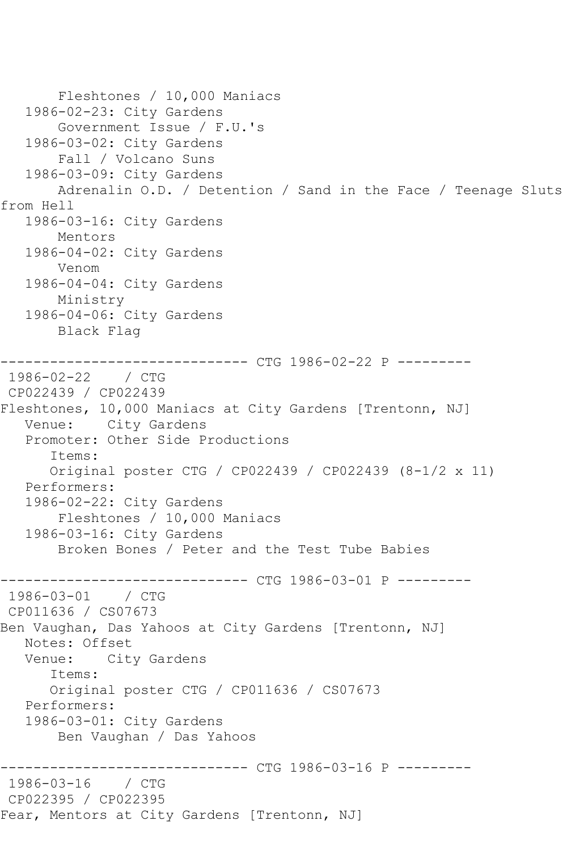Fleshtones / 10,000 Maniacs 1986-02-23: City Gardens Government Issue / F.U.'s 1986-03-02: City Gardens Fall / Volcano Suns 1986-03-09: City Gardens Adrenalin O.D. / Detention / Sand in the Face / Teenage Sluts from Hell 1986-03-16: City Gardens Mentors 1986-04-02: City Gardens Venom 1986-04-04: City Gardens Ministry 1986-04-06: City Gardens Black Flag ------------------------------ CTG 1986-02-22 P --------- 1986-02-22 / CTG CP022439 / CP022439 Fleshtones, 10,000 Maniacs at City Gardens [Trentonn, NJ] Venue: City Gardens Promoter: Other Side Productions Items: Original poster CTG / CP022439 / CP022439 (8-1/2 x 11) Performers: 1986-02-22: City Gardens Fleshtones / 10,000 Maniacs 1986-03-16: City Gardens Broken Bones / Peter and the Test Tube Babies ------------------------------ CTG 1986-03-01 P ---------  $1986 - 03 - 01$ CP011636 / CS07673 Ben Vaughan, Das Yahoos at City Gardens [Trentonn, NJ] Notes: Offset Venue: City Gardens Items: Original poster CTG / CP011636 / CS07673 Performers: 1986-03-01: City Gardens Ben Vaughan / Das Yahoos ----------- CTG 1986-03-16 P ----------1986-03-16 / CTG CP022395 / CP022395 Fear, Mentors at City Gardens [Trentonn, NJ]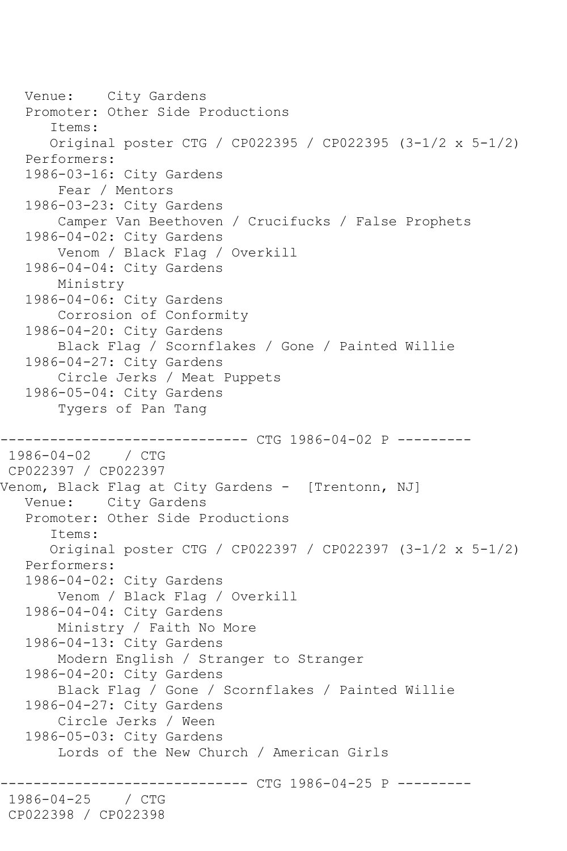```
 Venue: City Gardens
   Promoter: Other Side Productions
       Items:
       Original poster CTG / CP022395 / CP022395 (3-1/2 x 5-1/2)
   Performers:
   1986-03-16: City Gardens
        Fear / Mentors
   1986-03-23: City Gardens
        Camper Van Beethoven / Crucifucks / False Prophets
   1986-04-02: City Gardens
        Venom / Black Flag / Overkill
   1986-04-04: City Gardens
        Ministry
   1986-04-06: City Gardens
        Corrosion of Conformity
   1986-04-20: City Gardens
       Black Flag / Scornflakes / Gone / Painted Willie
   1986-04-27: City Gardens
        Circle Jerks / Meat Puppets
   1986-05-04: City Gardens
        Tygers of Pan Tang
                  ------------- CTG 1986-04-02 P ---------
1986-04-02 / CTG 
CP022397 / CP022397
Venom, Black Flag at City Gardens - [Trentonn, NJ]
   Venue: City Gardens
   Promoter: Other Side Productions
       Items:
       Original poster CTG / CP022397 / CP022397 (3-1/2 x 5-1/2)
   Performers:
   1986-04-02: City Gardens
       Venom / Black Flag / Overkill
   1986-04-04: City Gardens
        Ministry / Faith No More
   1986-04-13: City Gardens
       Modern English / Stranger to Stranger
   1986-04-20: City Gardens
       Black Flag / Gone / Scornflakes / Painted Willie
   1986-04-27: City Gardens
        Circle Jerks / Ween
   1986-05-03: City Gardens
        Lords of the New Church / American Girls
                   ------------ CTG 1986-04-25 P ----------
1986-04-25 / CTG 
CP022398 / CP022398
```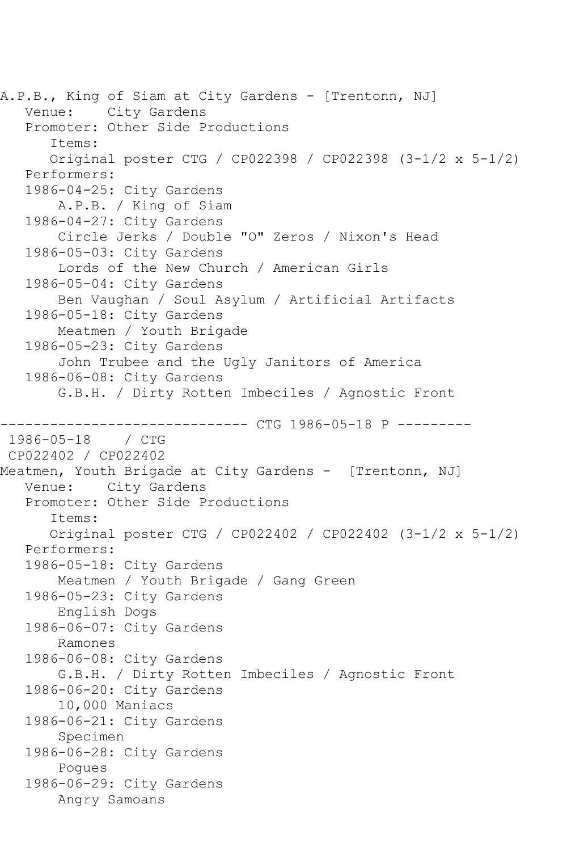A.P.B., King of Siam at City Gardens - [Trentonn, NJ] Venue: City Gardens Promoter: Other Side Productions Items: Original poster CTG / CP022398 / CP022398 (3-1/2 x 5-1/2) Performers: 1986-04-25: City Gardens A.P.B. / King of Siam 1986-04-27: City Gardens Circle Jerks / Double "O" Zeros / Nixon's Head 1986-05-03: City Gardens Lords of the New Church / American Girls 1986-05-04: City Gardens Ben Vaughan / Soul Asylum / Artificial Artifacts 1986-05-18: City Gardens Meatmen / Youth Brigade 1986-05-23: City Gardens John Trubee and the Ugly Janitors of America 1986-06-08: City Gardens G.B.H. / Dirty Rotten Imbeciles / Agnostic Front ------------ CTG 1986-05-18 P ----------1986-05-18 / CTG CP022402 / CP022402 Meatmen, Youth Brigade at City Gardens - [Trentonn, NJ] Venue: City Gardens Promoter: Other Side Productions Items: Original poster CTG / CP022402 / CP022402 (3-1/2 x 5-1/2) Performers: 1986-05-18: City Gardens Meatmen / Youth Brigade / Gang Green 1986-05-23: City Gardens English Dogs 1986-06-07: City Gardens Ramones 1986-06-08: City Gardens G.B.H. / Dirty Rotten Imbeciles / Agnostic Front 1986-06-20: City Gardens 10,000 Maniacs 1986-06-21: City Gardens Specimen 1986-06-28: City Gardens Pogues 1986-06-29: City Gardens Angry Samoans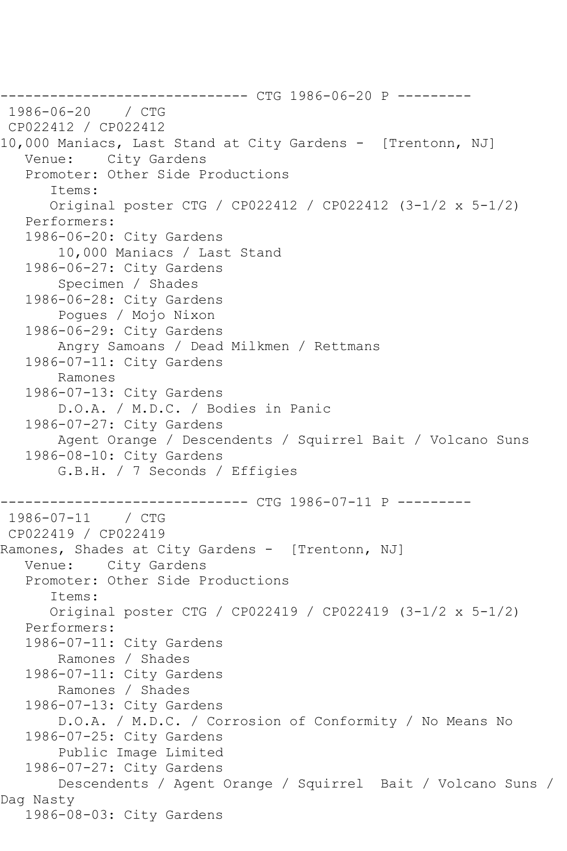------------------------------ CTG 1986-06-20 P --------- 1986-06-20 CP022412 / CP022412 10,000 Maniacs, Last Stand at City Gardens - [Trentonn, NJ] Venue: City Gardens Promoter: Other Side Productions Items: Original poster CTG / CP022412 / CP022412 (3-1/2 x 5-1/2) Performers: 1986-06-20: City Gardens 10,000 Maniacs / Last Stand 1986-06-27: City Gardens Specimen / Shades 1986-06-28: City Gardens Pogues / Mojo Nixon 1986-06-29: City Gardens Angry Samoans / Dead Milkmen / Rettmans 1986-07-11: City Gardens Ramones 1986-07-13: City Gardens D.O.A. / M.D.C. / Bodies in Panic 1986-07-27: City Gardens Agent Orange / Descendents / Squirrel Bait / Volcano Suns 1986-08-10: City Gardens G.B.H. / 7 Seconds / Effigies ------------------------------ CTG 1986-07-11 P --------- 1986-07-11 / CTG CP022419 / CP022419 Ramones, Shades at City Gardens - [Trentonn, NJ] Venue: City Gardens Promoter: Other Side Productions Items: Original poster CTG / CP022419 / CP022419 (3-1/2 x 5-1/2) Performers: 1986-07-11: City Gardens Ramones / Shades 1986-07-11: City Gardens Ramones / Shades 1986-07-13: City Gardens D.O.A. / M.D.C. / Corrosion of Conformity / No Means No 1986-07-25: City Gardens Public Image Limited 1986-07-27: City Gardens Descendents / Agent Orange / Squirrel Bait / Volcano Suns / Dag Nasty 1986-08-03: City Gardens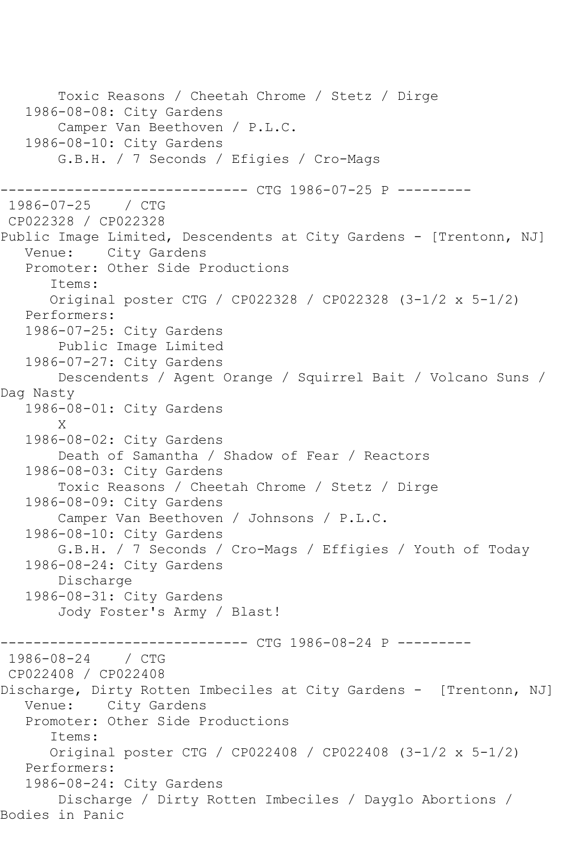Toxic Reasons / Cheetah Chrome / Stetz / Dirge 1986-08-08: City Gardens Camper Van Beethoven / P.L.C. 1986-08-10: City Gardens G.B.H. / 7 Seconds / Efigies / Cro-Mags ------------------------------ CTG 1986-07-25 P ---------  $1986 - 07 - 25$ CP022328 / CP022328 Public Image Limited, Descendents at City Gardens - [Trentonn, NJ] Venue: City Gardens Promoter: Other Side Productions Items: Original poster CTG / CP022328 / CP022328 (3-1/2 x 5-1/2) Performers: 1986-07-25: City Gardens Public Image Limited 1986-07-27: City Gardens Descendents / Agent Orange / Squirrel Bait / Volcano Suns / Dag Nasty 1986-08-01: City Gardens X 1986-08-02: City Gardens Death of Samantha / Shadow of Fear / Reactors 1986-08-03: City Gardens Toxic Reasons / Cheetah Chrome / Stetz / Dirge 1986-08-09: City Gardens Camper Van Beethoven / Johnsons / P.L.C. 1986-08-10: City Gardens G.B.H. / 7 Seconds / Cro-Mags / Effigies / Youth of Today 1986-08-24: City Gardens Discharge 1986-08-31: City Gardens Jody Foster's Army / Blast! ------------ CTG 1986-08-24 P ----------1986-08-24 / CTG CP022408 / CP022408 Discharge, Dirty Rotten Imbeciles at City Gardens - [Trentonn, NJ] Venue: City Gardens Promoter: Other Side Productions Items: Original poster CTG / CP022408 / CP022408 (3-1/2 x 5-1/2) Performers: 1986-08-24: City Gardens Discharge / Dirty Rotten Imbeciles / Dayglo Abortions / Bodies in Panic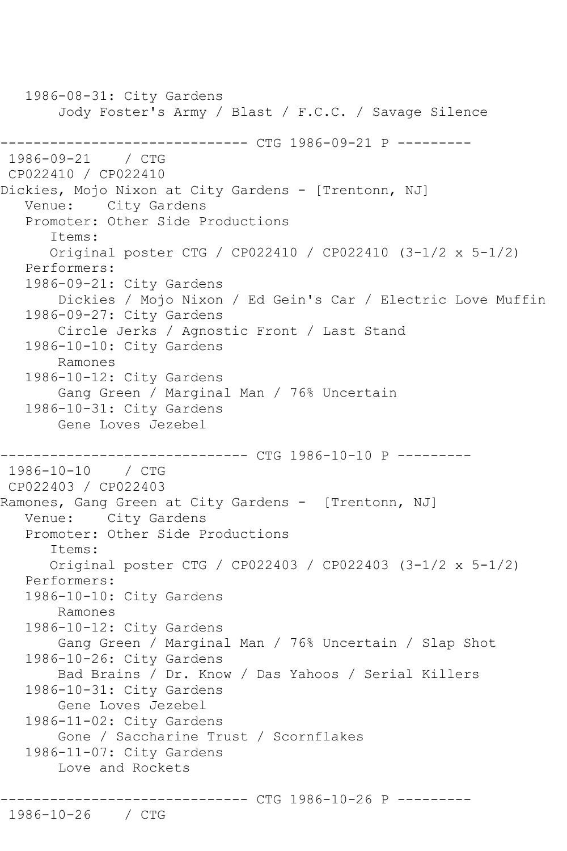1986-08-31: City Gardens Jody Foster's Army / Blast / F.C.C. / Savage Silence ------------------------------ CTG 1986-09-21 P --------- 1986-09-21 / CTG CP022410 / CP022410 Dickies, Mojo Nixon at City Gardens - [Trentonn, NJ] Venue: City Gardens Promoter: Other Side Productions Items: Original poster CTG / CP022410 / CP022410 (3-1/2 x 5-1/2) Performers: 1986-09-21: City Gardens Dickies / Mojo Nixon / Ed Gein's Car / Electric Love Muffin 1986-09-27: City Gardens Circle Jerks / Agnostic Front / Last Stand 1986-10-10: City Gardens Ramones 1986-10-12: City Gardens Gang Green / Marginal Man / 76% Uncertain 1986-10-31: City Gardens Gene Loves Jezebel ------------------------------ CTG 1986-10-10 P --------- 1986-10-10 / CTG CP022403 / CP022403 Ramones, Gang Green at City Gardens - [Trentonn, NJ] Venue: City Gardens Promoter: Other Side Productions Items: Original poster CTG / CP022403 / CP022403 (3-1/2 x 5-1/2) Performers: 1986-10-10: City Gardens Ramones 1986-10-12: City Gardens Gang Green / Marginal Man / 76% Uncertain / Slap Shot 1986-10-26: City Gardens Bad Brains / Dr. Know / Das Yahoos / Serial Killers 1986-10-31: City Gardens Gene Loves Jezebel 1986-11-02: City Gardens Gone / Saccharine Trust / Scornflakes 1986-11-07: City Gardens Love and Rockets

------------------------------ CTG 1986-10-26 P ---------

1986-10-26 / CTG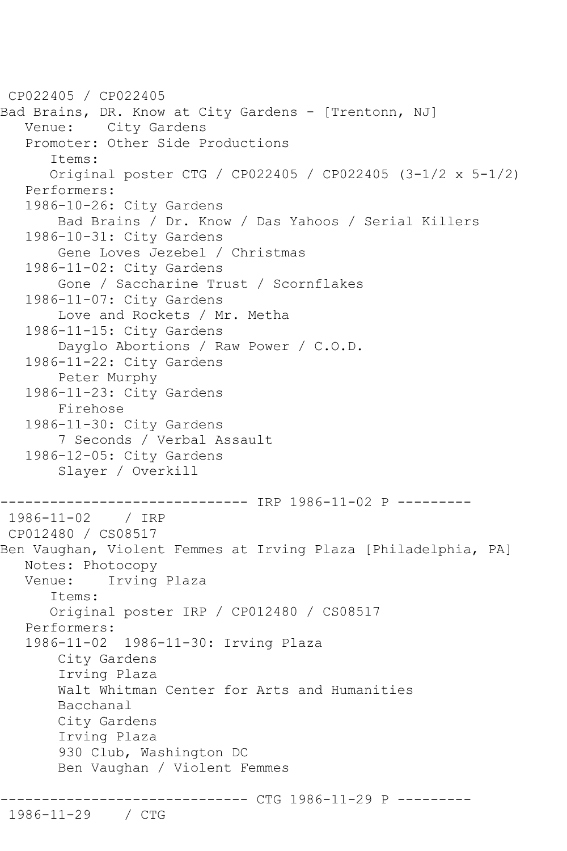CP022405 / CP022405 Bad Brains, DR. Know at City Gardens - [Trentonn, NJ] Venue: City Gardens Promoter: Other Side Productions Items: Original poster CTG / CP022405 / CP022405 (3-1/2 x 5-1/2) Performers: 1986-10-26: City Gardens Bad Brains / Dr. Know / Das Yahoos / Serial Killers 1986-10-31: City Gardens Gene Loves Jezebel / Christmas 1986-11-02: City Gardens Gone / Saccharine Trust / Scornflakes 1986-11-07: City Gardens Love and Rockets / Mr. Metha 1986-11-15: City Gardens Dayglo Abortions / Raw Power / C.O.D. 1986-11-22: City Gardens Peter Murphy 1986-11-23: City Gardens Firehose 1986-11-30: City Gardens 7 Seconds / Verbal Assault 1986-12-05: City Gardens Slayer / Overkill ------------------------------ IRP 1986-11-02 P --------- 1986-11-02 / IRP CP012480 / CS08517 Ben Vaughan, Violent Femmes at Irving Plaza [Philadelphia, PA] Notes: Photocopy Venue: Irving Plaza Items: Original poster IRP / CP012480 / CS08517 Performers: 1986-11-02 1986-11-30: Irving Plaza City Gardens Irving Plaza Walt Whitman Center for Arts and Humanities Bacchanal City Gardens Irving Plaza 930 Club, Washington DC Ben Vaughan / Violent Femmes ------------ CTG 1986-11-29 P ----------

1986-11-29 / CTG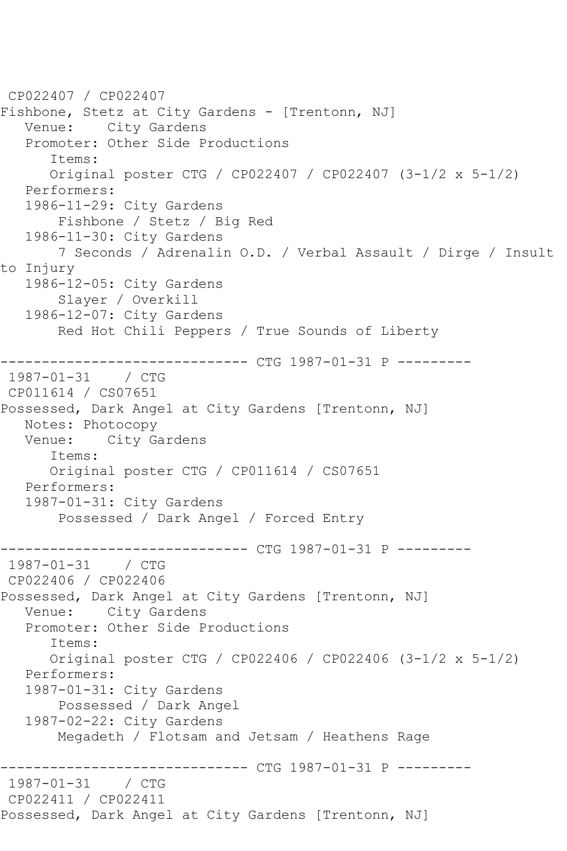```
CP022407 / CP022407
Fishbone, Stetz at City Gardens - [Trentonn, NJ]
   Venue: City Gardens
   Promoter: Other Side Productions
       Items:
       Original poster CTG / CP022407 / CP022407 (3-1/2 x 5-1/2)
   Performers:
   1986-11-29: City Gardens
        Fishbone / Stetz / Big Red
    1986-11-30: City Gardens
        7 Seconds / Adrenalin O.D. / Verbal Assault / Dirge / Insult 
to Injury
   1986-12-05: City Gardens
        Slayer / Overkill
    1986-12-07: City Gardens
        Red Hot Chili Peppers / True Sounds of Liberty
                   ------------ CTG 1987-01-31 P ---------
1987-01-31 / CTG 
CP011614 / CS07651
Possessed, Dark Angel at City Gardens [Trentonn, NJ]
   Notes: Photocopy
   Venue: City Gardens
       Items:
       Original poster CTG / CP011614 / CS07651
   Performers:
    1987-01-31: City Gardens
        Possessed / Dark Angel / Forced Entry
------------------------------ CTG 1987-01-31 P ---------
1987 - 01 - 31CP022406 / CP022406
Possessed, Dark Angel at City Gardens [Trentonn, NJ]
   Venue: City Gardens
   Promoter: Other Side Productions
       Items:
       Original poster CTG / CP022406 / CP022406 (3-1/2 x 5-1/2)
    Performers:
    1987-01-31: City Gardens
        Possessed / Dark Angel
    1987-02-22: City Gardens
        Megadeth / Flotsam and Jetsam / Heathens Rage
              ------------------------------ CTG 1987-01-31 P ---------
1987 - 01 - 31CP022411 / CP022411
Possessed, Dark Angel at City Gardens [Trentonn, NJ]
```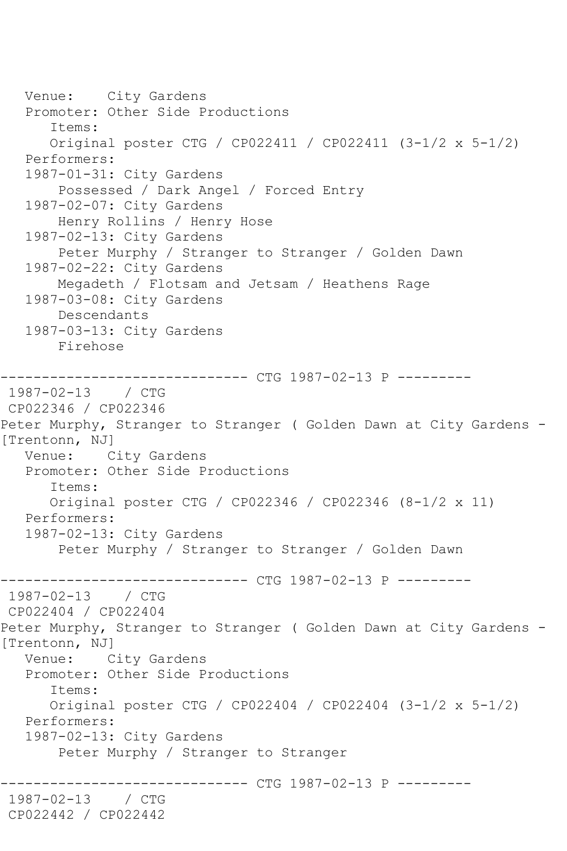Venue: City Gardens Promoter: Other Side Productions Items: Original poster CTG / CP022411 / CP022411 (3-1/2 x 5-1/2) Performers: 1987-01-31: City Gardens Possessed / Dark Angel / Forced Entry 1987-02-07: City Gardens Henry Rollins / Henry Hose 1987-02-13: City Gardens Peter Murphy / Stranger to Stranger / Golden Dawn 1987-02-22: City Gardens Megadeth / Flotsam and Jetsam / Heathens Rage 1987-03-08: City Gardens Descendants 1987-03-13: City Gardens Firehose ------------------------------ CTG 1987-02-13 P --------- 1987-02-13 / CTG CP022346 / CP022346 Peter Murphy, Stranger to Stranger ( Golden Dawn at City Gardens - [Trentonn, NJ] Venue: City Gardens Promoter: Other Side Productions Items: Original poster CTG / CP022346 / CP022346 (8-1/2 x 11) Performers: 1987-02-13: City Gardens Peter Murphy / Stranger to Stranger / Golden Dawn ------------------------------ CTG 1987-02-13 P --------- 1987-02-13 / CTG CP022404 / CP022404 Peter Murphy, Stranger to Stranger ( Golden Dawn at City Gardens - [Trentonn, NJ] Venue: City Gardens Promoter: Other Side Productions Items: Original poster CTG / CP022404 / CP022404 (3-1/2 x 5-1/2) Performers: 1987-02-13: City Gardens Peter Murphy / Stranger to Stranger ------------ CTG 1987-02-13 P ---------1987-02-13 / CTG CP022442 / CP022442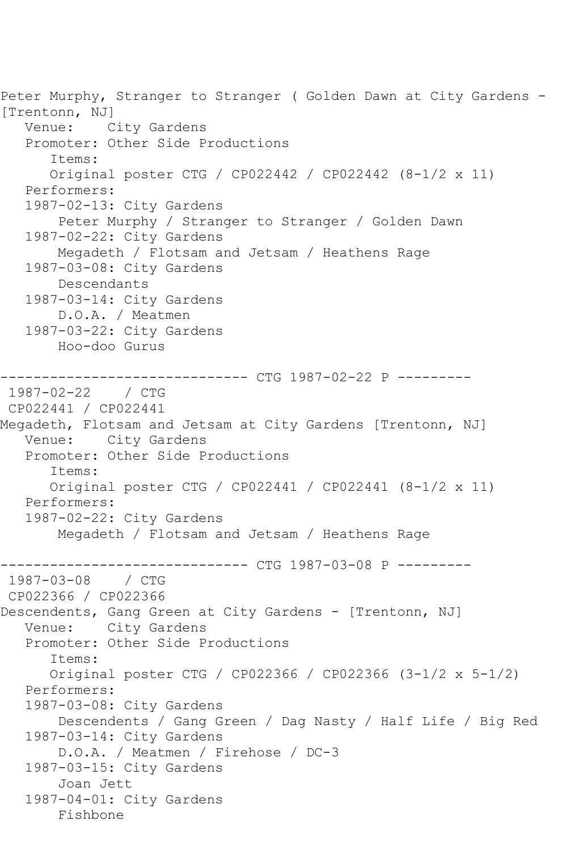Peter Murphy, Stranger to Stranger ( Golden Dawn at City Gardens - [Trentonn, NJ] Venue: City Gardens Promoter: Other Side Productions Items: Original poster CTG / CP022442 / CP022442 (8-1/2 x 11) Performers: 1987-02-13: City Gardens Peter Murphy / Stranger to Stranger / Golden Dawn 1987-02-22: City Gardens Megadeth / Flotsam and Jetsam / Heathens Rage 1987-03-08: City Gardens Descendants 1987-03-14: City Gardens D.O.A. / Meatmen 1987-03-22: City Gardens Hoo-doo Gurus ------------------------------ CTG 1987-02-22 P --------- 1987-02-22 / CTG CP022441 / CP022441 Megadeth, Flotsam and Jetsam at City Gardens [Trentonn, NJ] Venue: City Gardens Promoter: Other Side Productions Items: Original poster CTG / CP022441 / CP022441 (8-1/2 x 11) Performers: 1987-02-22: City Gardens Megadeth / Flotsam and Jetsam / Heathens Rage ----------- CTG 1987-03-08 P ---------1987-03-08 / CTG CP022366 / CP022366 Descendents, Gang Green at City Gardens - [Trentonn, NJ]<br>Venue: City Gardens City Gardens Promoter: Other Side Productions Items: Original poster CTG / CP022366 / CP022366 (3-1/2 x 5-1/2) Performers: 1987-03-08: City Gardens Descendents / Gang Green / Dag Nasty / Half Life / Big Red 1987-03-14: City Gardens D.O.A. / Meatmen / Firehose / DC-3 1987-03-15: City Gardens Joan Jett 1987-04-01: City Gardens Fishbone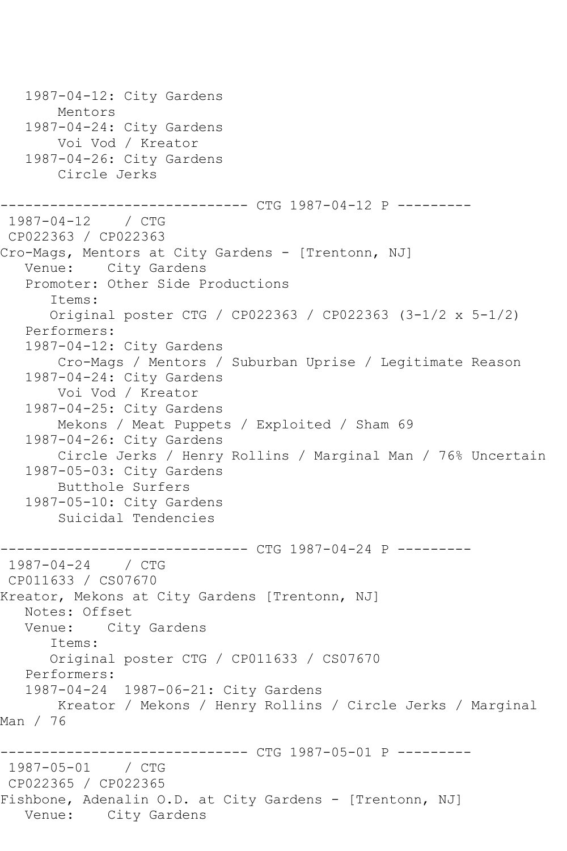```
 1987-04-12: City Gardens
        Mentors
   1987-04-24: City Gardens
        Voi Vod / Kreator
   1987-04-26: City Gardens
       Circle Jerks
------------------------------ CTG 1987-04-12 P ---------
1987-04-12 / CTG 
CP022363 / CP022363
Cro-Mags, Mentors at City Gardens - [Trentonn, NJ]
   Venue: City Gardens
   Promoter: Other Side Productions
       Items:
      Original poster CTG / CP022363 / CP022363 (3-1/2 x 5-1/2)
   Performers:
   1987-04-12: City Gardens
       Cro-Mags / Mentors / Suburban Uprise / Legitimate Reason
   1987-04-24: City Gardens
        Voi Vod / Kreator
   1987-04-25: City Gardens
       Mekons / Meat Puppets / Exploited / Sham 69
   1987-04-26: City Gardens
        Circle Jerks / Henry Rollins / Marginal Man / 76% Uncertain
   1987-05-03: City Gardens
        Butthole Surfers
   1987-05-10: City Gardens
        Suicidal Tendencies
------------------------------ CTG 1987-04-24 P ---------
1987 - 04 - 24CP011633 / CS07670
Kreator, Mekons at City Gardens [Trentonn, NJ]
   Notes: Offset
   Venue: City Gardens
      Items:
      Original poster CTG / CP011633 / CS07670
   Performers:
   1987-04-24 1987-06-21: City Gardens
       Kreator / Mekons / Henry Rollins / Circle Jerks / Marginal 
Man / 76
                ------------------------------ CTG 1987-05-01 P ---------
1987-05-01 / CTG 
CP022365 / CP022365
Fishbone, Adenalin O.D. at City Gardens - [Trentonn, NJ]
   Venue: City Gardens
```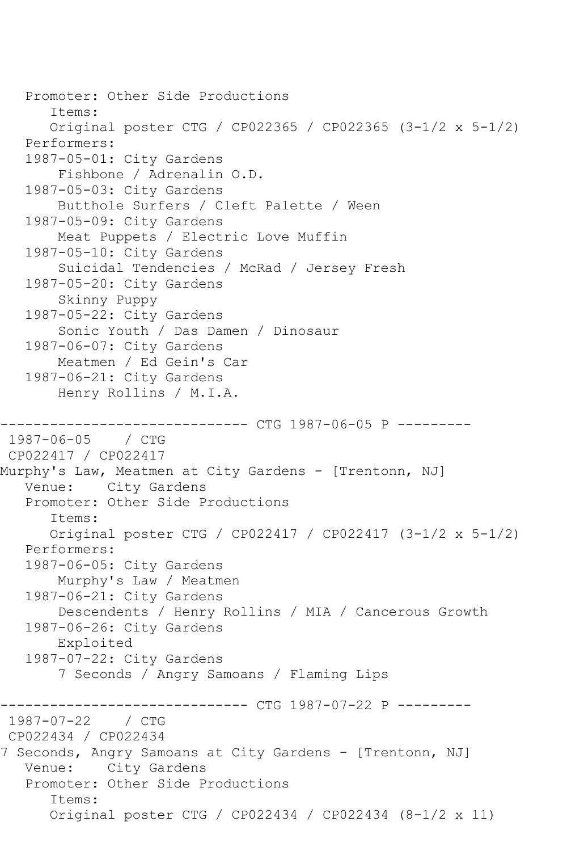```
 Promoter: Other Side Productions
       Items:
       Original poster CTG / CP022365 / CP022365 (3-1/2 x 5-1/2)
   Performers:
   1987-05-01: City Gardens
        Fishbone / Adrenalin O.D.
   1987-05-03: City Gardens
        Butthole Surfers / Cleft Palette / Ween
   1987-05-09: City Gardens
        Meat Puppets / Electric Love Muffin
   1987-05-10: City Gardens
        Suicidal Tendencies / McRad / Jersey Fresh
   1987-05-20: City Gardens
        Skinny Puppy
   1987-05-22: City Gardens
        Sonic Youth / Das Damen / Dinosaur
   1987-06-07: City Gardens
        Meatmen / Ed Gein's Car
   1987-06-21: City Gardens
        Henry Rollins / M.I.A.
                   ----------- CTG 1987-06-05 P ---------
1987-06-05 / CTG 
CP022417 / CP022417
Murphy's Law, Meatmen at City Gardens - [Trentonn, NJ]
   Venue: City Gardens
   Promoter: Other Side Productions
       Items:
       Original poster CTG / CP022417 / CP022417 (3-1/2 x 5-1/2)
   Performers:
   1987-06-05: City Gardens
        Murphy's Law / Meatmen
   1987-06-21: City Gardens
        Descendents / Henry Rollins / MIA / Cancerous Growth
   1987-06-26: City Gardens
        Exploited
   1987-07-22: City Gardens
        7 Seconds / Angry Samoans / Flaming Lips
------------------------------ CTG 1987-07-22 P ---------
1987-07-22 / CTG 
CP022434 / CP022434
7 Seconds, Angry Samoans at City Gardens - [Trentonn, NJ]
   Venue: City Gardens
   Promoter: Other Side Productions
       Items:
       Original poster CTG / CP022434 / CP022434 (8-1/2 x 11)
```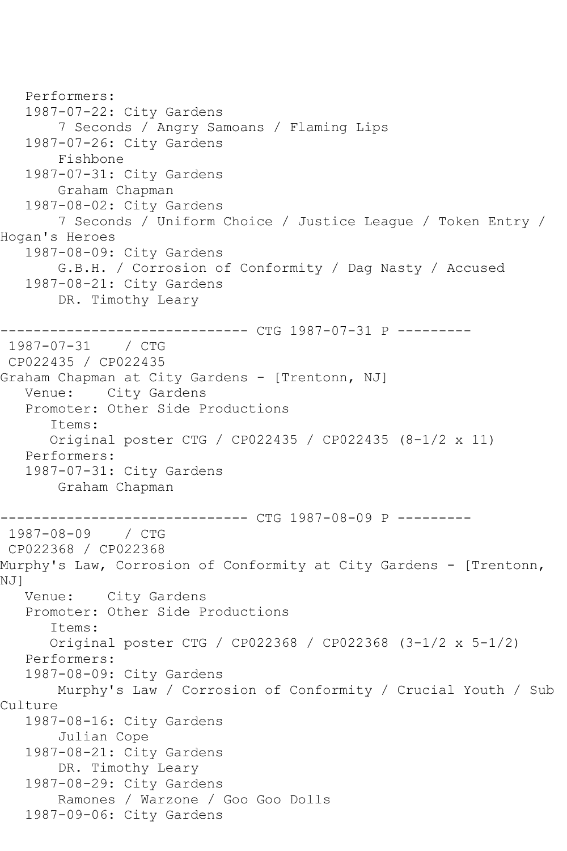```
 Performers:
    1987-07-22: City Gardens
        7 Seconds / Angry Samoans / Flaming Lips
    1987-07-26: City Gardens
        Fishbone
    1987-07-31: City Gardens
        Graham Chapman
    1987-08-02: City Gardens
        7 Seconds / Uniform Choice / Justice League / Token Entry / 
Hogan's Heroes
    1987-08-09: City Gardens
        G.B.H. / Corrosion of Conformity / Dag Nasty / Accused
    1987-08-21: City Gardens
        DR. Timothy Leary
         ------------------------------ CTG 1987-07-31 P ---------
1987-07-31 / CTG 
CP022435 / CP022435
Graham Chapman at City Gardens - [Trentonn, NJ]
   Venue: City Gardens
    Promoter: Other Side Productions
       Items:
       Original poster CTG / CP022435 / CP022435 (8-1/2 x 11)
   Performers:
    1987-07-31: City Gardens
        Graham Chapman
               ------------------------------ CTG 1987-08-09 P ---------
1987 - 08 - 09CP022368 / CP022368
Murphy's Law, Corrosion of Conformity at City Gardens - [Trentonn, 
NJ]
   Venue: City Gardens
   Promoter: Other Side Productions
       Items:
       Original poster CTG / CP022368 / CP022368 (3-1/2 x 5-1/2)
   Performers:
    1987-08-09: City Gardens
        Murphy's Law / Corrosion of Conformity / Crucial Youth / Sub 
Culture
    1987-08-16: City Gardens
        Julian Cope
    1987-08-21: City Gardens
        DR. Timothy Leary
    1987-08-29: City Gardens
        Ramones / Warzone / Goo Goo Dolls
    1987-09-06: City Gardens
```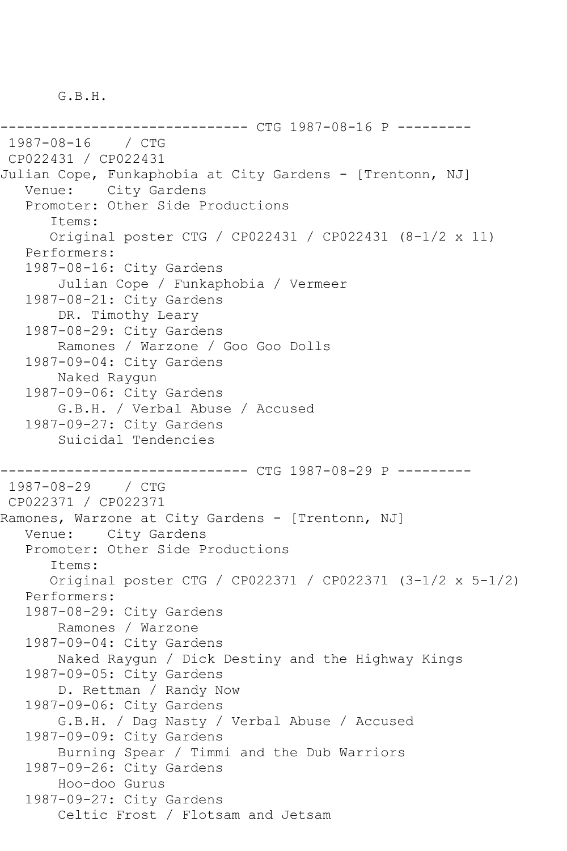G.B.H.

------------------------------ CTG 1987-08-16 P --------- 1987-08-16 / CTG CP022431 / CP022431 Julian Cope, Funkaphobia at City Gardens - [Trentonn, NJ] Venue: City Gardens Promoter: Other Side Productions Items: Original poster CTG / CP022431 / CP022431 (8-1/2 x 11) Performers: 1987-08-16: City Gardens Julian Cope / Funkaphobia / Vermeer 1987-08-21: City Gardens DR. Timothy Leary 1987-08-29: City Gardens Ramones / Warzone / Goo Goo Dolls 1987-09-04: City Gardens Naked Raygun 1987-09-06: City Gardens G.B.H. / Verbal Abuse / Accused 1987-09-27: City Gardens Suicidal Tendencies ----------- CTG 1987-08-29 P ---------1987-08-29 / CTG CP022371 / CP022371 Ramones, Warzone at City Gardens - [Trentonn, NJ] Venue: City Gardens Promoter: Other Side Productions Items: Original poster CTG / CP022371 / CP022371 (3-1/2 x 5-1/2) Performers: 1987-08-29: City Gardens Ramones / Warzone 1987-09-04: City Gardens Naked Raygun / Dick Destiny and the Highway Kings 1987-09-05: City Gardens D. Rettman / Randy Now 1987-09-06: City Gardens G.B.H. / Dag Nasty / Verbal Abuse / Accused 1987-09-09: City Gardens Burning Spear / Timmi and the Dub Warriors 1987-09-26: City Gardens Hoo-doo Gurus 1987-09-27: City Gardens Celtic Frost / Flotsam and Jetsam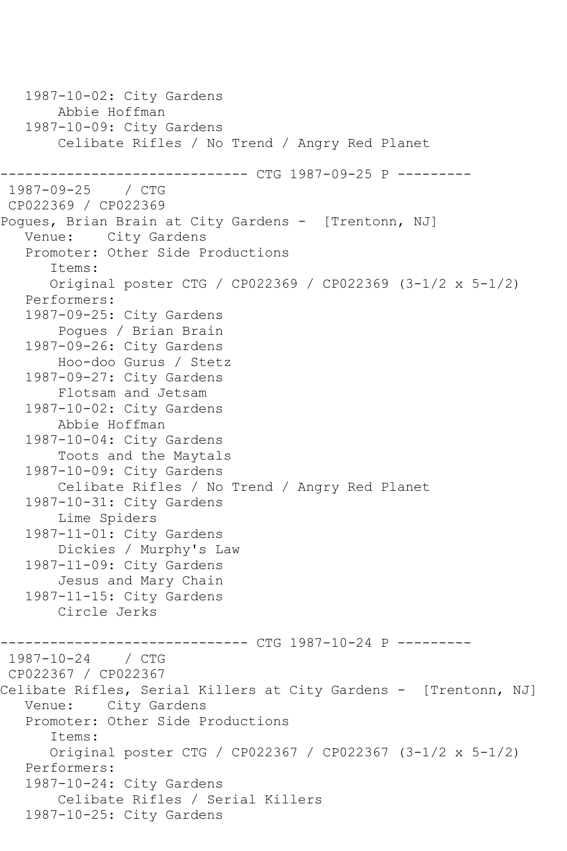1987-10-02: City Gardens Abbie Hoffman 1987-10-09: City Gardens Celibate Rifles / No Trend / Angry Red Planet ------------------------------ CTG 1987-09-25 P ---------  $1987 - 09 - 25$ CP022369 / CP022369 Pogues, Brian Brain at City Gardens - [Trentonn, NJ] Venue: City Gardens Promoter: Other Side Productions Items: Original poster CTG / CP022369 / CP022369 (3-1/2 x 5-1/2) Performers: 1987-09-25: City Gardens Pogues / Brian Brain 1987-09-26: City Gardens Hoo-doo Gurus / Stetz 1987-09-27: City Gardens Flotsam and Jetsam 1987-10-02: City Gardens Abbie Hoffman 1987-10-04: City Gardens Toots and the Maytals 1987-10-09: City Gardens Celibate Rifles / No Trend / Angry Red Planet 1987-10-31: City Gardens Lime Spiders 1987-11-01: City Gardens Dickies / Murphy's Law 1987-11-09: City Gardens Jesus and Mary Chain 1987-11-15: City Gardens Circle Jerks ------------ CTG 1987-10-24 P ----------1987-10-24 / CTG CP022367 / CP022367 Celibate Rifles, Serial Killers at City Gardens - [Trentonn, NJ] Venue: City Gardens Promoter: Other Side Productions Items: Original poster CTG / CP022367 / CP022367 (3-1/2 x 5-1/2) Performers: 1987-10-24: City Gardens Celibate Rifles / Serial Killers 1987-10-25: City Gardens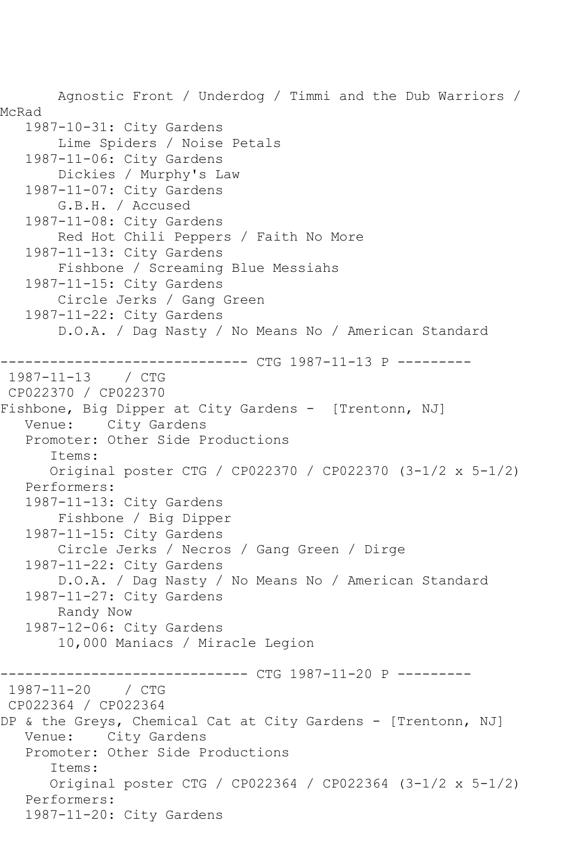Agnostic Front / Underdog / Timmi and the Dub Warriors / McRad 1987-10-31: City Gardens Lime Spiders / Noise Petals 1987-11-06: City Gardens Dickies / Murphy's Law 1987-11-07: City Gardens G.B.H. / Accused 1987-11-08: City Gardens Red Hot Chili Peppers / Faith No More 1987-11-13: City Gardens Fishbone / Screaming Blue Messiahs 1987-11-15: City Gardens Circle Jerks / Gang Green 1987-11-22: City Gardens D.O.A. / Dag Nasty / No Means No / American Standard ------------------------------ CTG 1987-11-13 P --------- 1987-11-13 / CTG CP022370 / CP022370 Fishbone, Big Dipper at City Gardens - [Trentonn, NJ] Venue: City Gardens Promoter: Other Side Productions Items: Original poster CTG / CP022370 / CP022370 (3-1/2 x 5-1/2) Performers: 1987-11-13: City Gardens Fishbone / Big Dipper 1987-11-15: City Gardens Circle Jerks / Necros / Gang Green / Dirge 1987-11-22: City Gardens D.O.A. / Dag Nasty / No Means No / American Standard 1987-11-27: City Gardens Randy Now 1987-12-06: City Gardens 10,000 Maniacs / Miracle Legion ----------------- CTG 1987-11-20 P ----------<br>/ CTG  $1987 - 11 - 20$ CP022364 / CP022364 DP & the Greys, Chemical Cat at City Gardens - [Trentonn, NJ] Venue: City Gardens Promoter: Other Side Productions Items: Original poster CTG / CP022364 / CP022364 (3-1/2 x 5-1/2) Performers: 1987-11-20: City Gardens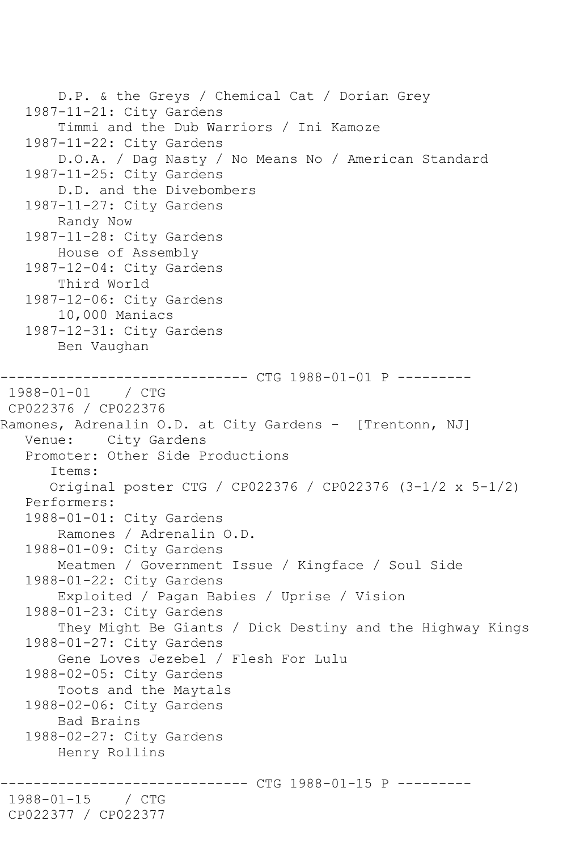```
 D.P. & the Greys / Chemical Cat / Dorian Grey
    1987-11-21: City Gardens
        Timmi and the Dub Warriors / Ini Kamoze
    1987-11-22: City Gardens
        D.O.A. / Dag Nasty / No Means No / American Standard
    1987-11-25: City Gardens
        D.D. and the Divebombers
    1987-11-27: City Gardens
        Randy Now
    1987-11-28: City Gardens
        House of Assembly
    1987-12-04: City Gardens
        Third World
    1987-12-06: City Gardens
        10,000 Maniacs
    1987-12-31: City Gardens
        Ben Vaughan
     ------------------------------ CTG 1988-01-01 P ---------
1988-01-01 / CTG 
CP022376 / CP022376
Ramones, Adrenalin O.D. at City Gardens - [Trentonn, NJ]
   Venue: City Gardens
    Promoter: Other Side Productions
       Items:
       Original poster CTG / CP022376 / CP022376 (3-1/2 x 5-1/2)
   Performers:
   1988-01-01: City Gardens
        Ramones / Adrenalin O.D.
    1988-01-09: City Gardens
        Meatmen / Government Issue / Kingface / Soul Side
    1988-01-22: City Gardens
        Exploited / Pagan Babies / Uprise / Vision
    1988-01-23: City Gardens
        They Might Be Giants / Dick Destiny and the Highway Kings
    1988-01-27: City Gardens
        Gene Loves Jezebel / Flesh For Lulu
    1988-02-05: City Gardens
        Toots and the Maytals
    1988-02-06: City Gardens
        Bad Brains
    1988-02-27: City Gardens
        Henry Rollins
                    ------------------------------ CTG 1988-01-15 P ---------
1988-01-15 / CTG 
CP022377 / CP022377
```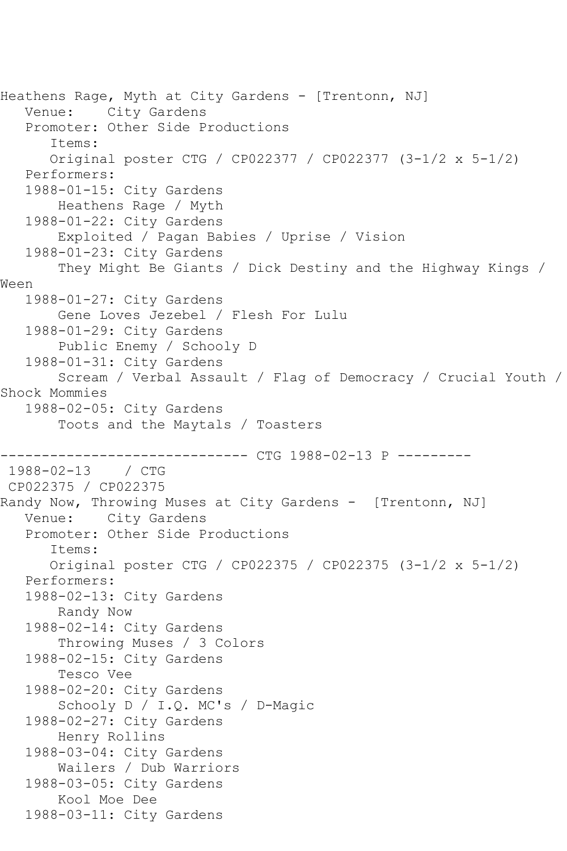Heathens Rage, Myth at City Gardens - [Trentonn, NJ]<br>Venue: City Gardens City Gardens Promoter: Other Side Productions Items: Original poster CTG / CP022377 / CP022377 (3-1/2 x 5-1/2) Performers: 1988-01-15: City Gardens Heathens Rage / Myth 1988-01-22: City Gardens Exploited / Pagan Babies / Uprise / Vision 1988-01-23: City Gardens They Might Be Giants / Dick Destiny and the Highway Kings / Ween 1988-01-27: City Gardens Gene Loves Jezebel / Flesh For Lulu 1988-01-29: City Gardens Public Enemy / Schooly D 1988-01-31: City Gardens Scream / Verbal Assault / Flag of Democracy / Crucial Youth / Shock Mommies 1988-02-05: City Gardens Toots and the Maytals / Toasters ------------------------------ CTG 1988-02-13 P ---------  $1988 - 02 - 13$ CP022375 / CP022375 Randy Now, Throwing Muses at City Gardens - [Trentonn, NJ] Venue: City Gardens Promoter: Other Side Productions Items: Original poster CTG / CP022375 / CP022375 (3-1/2 x 5-1/2) Performers: 1988-02-13: City Gardens Randy Now 1988-02-14: City Gardens Throwing Muses / 3 Colors 1988-02-15: City Gardens Tesco Vee 1988-02-20: City Gardens Schooly D / I.Q. MC's / D-Magic 1988-02-27: City Gardens Henry Rollins 1988-03-04: City Gardens Wailers / Dub Warriors 1988-03-05: City Gardens Kool Moe Dee 1988-03-11: City Gardens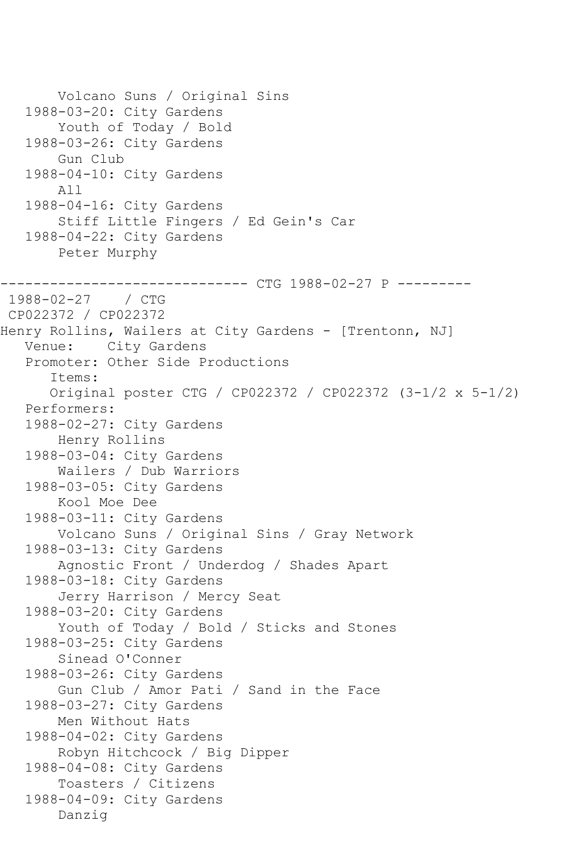```
 Volcano Suns / Original Sins
    1988-03-20: City Gardens
        Youth of Today / Bold
    1988-03-26: City Gardens
        Gun Club
    1988-04-10: City Gardens
        All
    1988-04-16: City Gardens
        Stiff Little Fingers / Ed Gein's Car
    1988-04-22: City Gardens
        Peter Murphy
                    ----------- CTG 1988-02-27 P ---------
1988-02-27 / CTG 
CP022372 / CP022372
Henry Rollins, Wailers at City Gardens - [Trentonn, NJ]
   Venue: City Gardens
    Promoter: Other Side Productions
       Items:
       Original poster CTG / CP022372 / CP022372 (3-1/2 x 5-1/2)
    Performers:
    1988-02-27: City Gardens
        Henry Rollins
    1988-03-04: City Gardens
        Wailers / Dub Warriors
    1988-03-05: City Gardens
        Kool Moe Dee
    1988-03-11: City Gardens
        Volcano Suns / Original Sins / Gray Network
   1988-03-13: City Gardens
        Agnostic Front / Underdog / Shades Apart
    1988-03-18: City Gardens
        Jerry Harrison / Mercy Seat
    1988-03-20: City Gardens
        Youth of Today / Bold / Sticks and Stones
    1988-03-25: City Gardens
        Sinead O'Conner
    1988-03-26: City Gardens
        Gun Club / Amor Pati / Sand in the Face
    1988-03-27: City Gardens
        Men Without Hats
    1988-04-02: City Gardens
        Robyn Hitchcock / Big Dipper
    1988-04-08: City Gardens
        Toasters / Citizens
    1988-04-09: City Gardens
        Danzig
```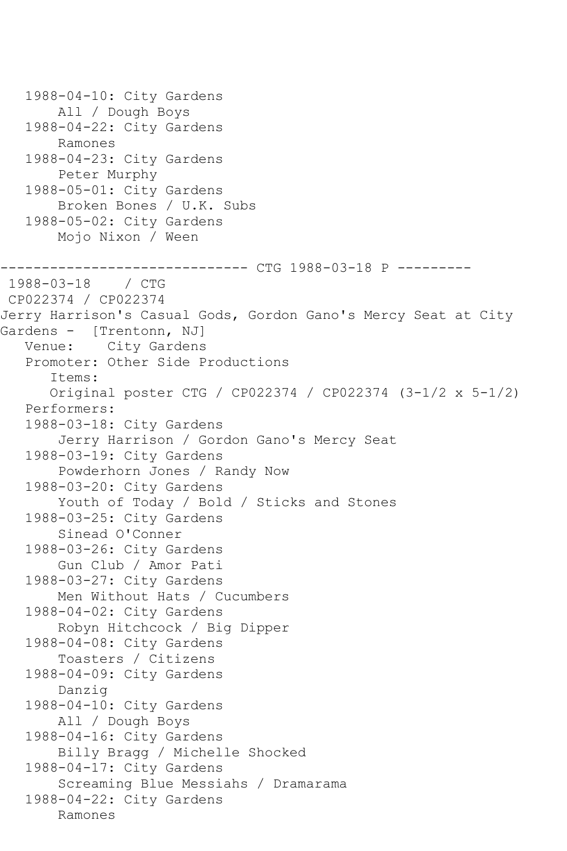1988-04-10: City Gardens All / Dough Boys 1988-04-22: City Gardens Ramones 1988-04-23: City Gardens Peter Murphy 1988-05-01: City Gardens Broken Bones / U.K. Subs 1988-05-02: City Gardens Mojo Nixon / Ween ----------------- CTG 1988-03-18 P ----------<br>/ CTG  $1988 - 03 - 18$ CP022374 / CP022374 Jerry Harrison's Casual Gods, Gordon Gano's Mercy Seat at City Gardens - [Trentonn, NJ] Venue: City Gardens Promoter: Other Side Productions Items: Original poster CTG / CP022374 / CP022374 (3-1/2 x 5-1/2) Performers: 1988-03-18: City Gardens Jerry Harrison / Gordon Gano's Mercy Seat 1988-03-19: City Gardens Powderhorn Jones / Randy Now 1988-03-20: City Gardens Youth of Today / Bold / Sticks and Stones 1988-03-25: City Gardens Sinead O'Conner 1988-03-26: City Gardens Gun Club / Amor Pati 1988-03-27: City Gardens Men Without Hats / Cucumbers 1988-04-02: City Gardens Robyn Hitchcock / Big Dipper 1988-04-08: City Gardens Toasters / Citizens 1988-04-09: City Gardens Danzig 1988-04-10: City Gardens All / Dough Boys 1988-04-16: City Gardens Billy Bragg / Michelle Shocked 1988-04-17: City Gardens Screaming Blue Messiahs / Dramarama 1988-04-22: City Gardens Ramones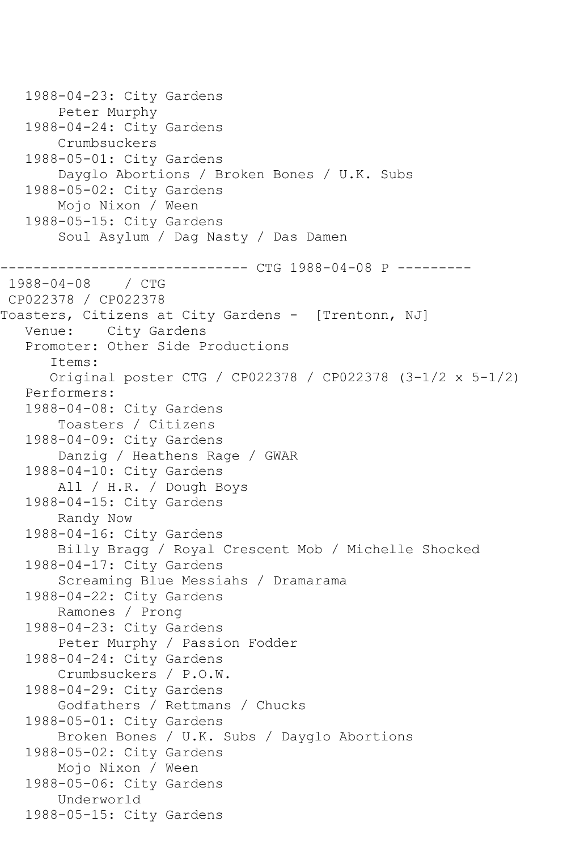```
 1988-04-23: City Gardens
        Peter Murphy
    1988-04-24: City Gardens
        Crumbsuckers
   1988-05-01: City Gardens
        Dayglo Abortions / Broken Bones / U.K. Subs
    1988-05-02: City Gardens
        Mojo Nixon / Ween
    1988-05-15: City Gardens
        Soul Asylum / Dag Nasty / Das Damen
               ------------------------------ CTG 1988-04-08 P ---------
1988 - 04 - 08CP022378 / CP022378
Toasters, Citizens at City Gardens - [Trentonn, NJ]
   Venue: City Gardens
    Promoter: Other Side Productions
       Items:
       Original poster CTG / CP022378 / CP022378 (3-1/2 x 5-1/2)
    Performers:
    1988-04-08: City Gardens
        Toasters / Citizens
    1988-04-09: City Gardens
        Danzig / Heathens Rage / GWAR
   1988-04-10: City Gardens
        All / H.R. / Dough Boys
    1988-04-15: City Gardens
        Randy Now
   1988-04-16: City Gardens
        Billy Bragg / Royal Crescent Mob / Michelle Shocked
    1988-04-17: City Gardens
        Screaming Blue Messiahs / Dramarama
    1988-04-22: City Gardens
        Ramones / Prong
    1988-04-23: City Gardens
        Peter Murphy / Passion Fodder
   1988-04-24: City Gardens
        Crumbsuckers / P.O.W.
    1988-04-29: City Gardens
        Godfathers / Rettmans / Chucks
    1988-05-01: City Gardens
        Broken Bones / U.K. Subs / Dayglo Abortions
    1988-05-02: City Gardens
        Mojo Nixon / Ween
    1988-05-06: City Gardens
        Underworld
    1988-05-15: City Gardens
```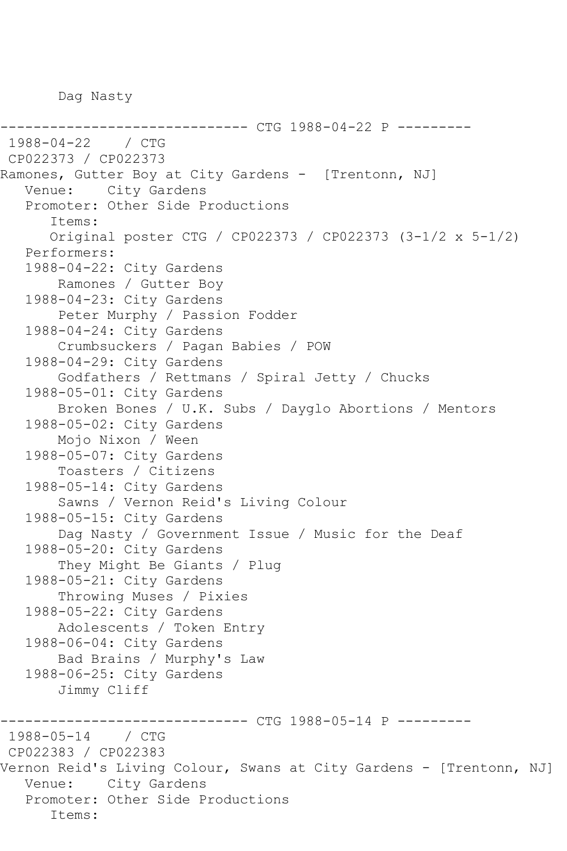Dag Nasty

-------------- CTG 1988-04-22 P ----------1988-04-22 / CTG CP022373 / CP022373 Ramones, Gutter Boy at City Gardens - [Trentonn, NJ] Venue: City Gardens Promoter: Other Side Productions Items: Original poster CTG / CP022373 / CP022373 (3-1/2 x 5-1/2) Performers: 1988-04-22: City Gardens Ramones / Gutter Boy 1988-04-23: City Gardens Peter Murphy / Passion Fodder 1988-04-24: City Gardens Crumbsuckers / Pagan Babies / POW 1988-04-29: City Gardens Godfathers / Rettmans / Spiral Jetty / Chucks 1988-05-01: City Gardens Broken Bones / U.K. Subs / Dayglo Abortions / Mentors 1988-05-02: City Gardens Mojo Nixon / Ween 1988-05-07: City Gardens Toasters / Citizens 1988-05-14: City Gardens Sawns / Vernon Reid's Living Colour 1988-05-15: City Gardens Dag Nasty / Government Issue / Music for the Deaf 1988-05-20: City Gardens They Might Be Giants / Plug 1988-05-21: City Gardens Throwing Muses / Pixies 1988-05-22: City Gardens Adolescents / Token Entry 1988-06-04: City Gardens Bad Brains / Murphy's Law 1988-06-25: City Gardens Jimmy Cliff ------------------------------ CTG 1988-05-14 P ---------  $1988 - 05 - 14$ CP022383 / CP022383 Vernon Reid's Living Colour, Swans at City Gardens - [Trentonn, NJ] Venue: City Gardens Promoter: Other Side Productions Items: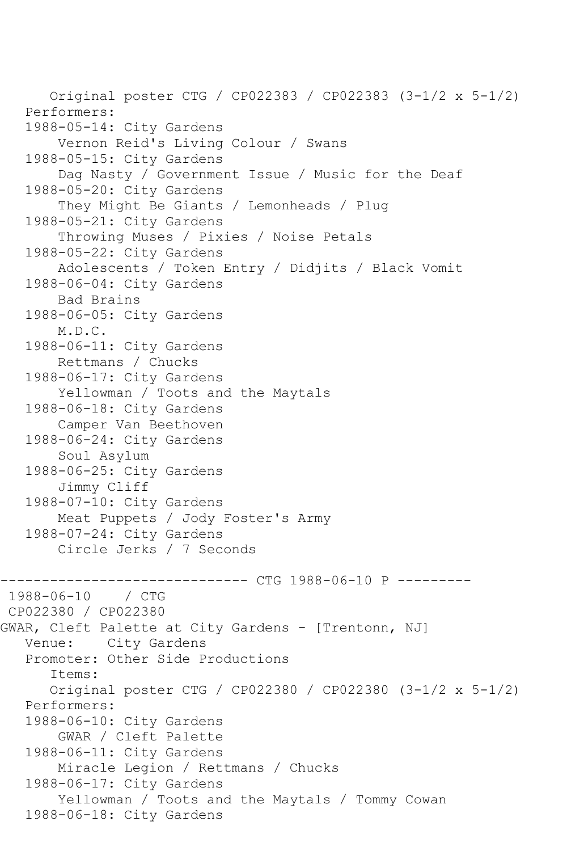Original poster CTG / CP022383 / CP022383 (3-1/2 x 5-1/2) Performers: 1988-05-14: City Gardens Vernon Reid's Living Colour / Swans 1988-05-15: City Gardens Dag Nasty / Government Issue / Music for the Deaf 1988-05-20: City Gardens They Might Be Giants / Lemonheads / Plug 1988-05-21: City Gardens Throwing Muses / Pixies / Noise Petals 1988-05-22: City Gardens Adolescents / Token Entry / Didjits / Black Vomit 1988-06-04: City Gardens Bad Brains 1988-06-05: City Gardens M.D.C. 1988-06-11: City Gardens Rettmans / Chucks 1988-06-17: City Gardens Yellowman / Toots and the Maytals 1988-06-18: City Gardens Camper Van Beethoven 1988-06-24: City Gardens Soul Asylum 1988-06-25: City Gardens Jimmy Cliff 1988-07-10: City Gardens Meat Puppets / Jody Foster's Army 1988-07-24: City Gardens Circle Jerks / 7 Seconds ------------------ CTG 1988-06-10 P ----------<br>/ CTG  $1988 - 06 - 10$ CP022380 / CP022380 GWAR, Cleft Palette at City Gardens - [Trentonn, NJ] Venue: City Gardens Promoter: Other Side Productions Items: Original poster CTG / CP022380 / CP022380 (3-1/2 x 5-1/2) Performers: 1988-06-10: City Gardens GWAR / Cleft Palette 1988-06-11: City Gardens Miracle Legion / Rettmans / Chucks 1988-06-17: City Gardens Yellowman / Toots and the Maytals / Tommy Cowan 1988-06-18: City Gardens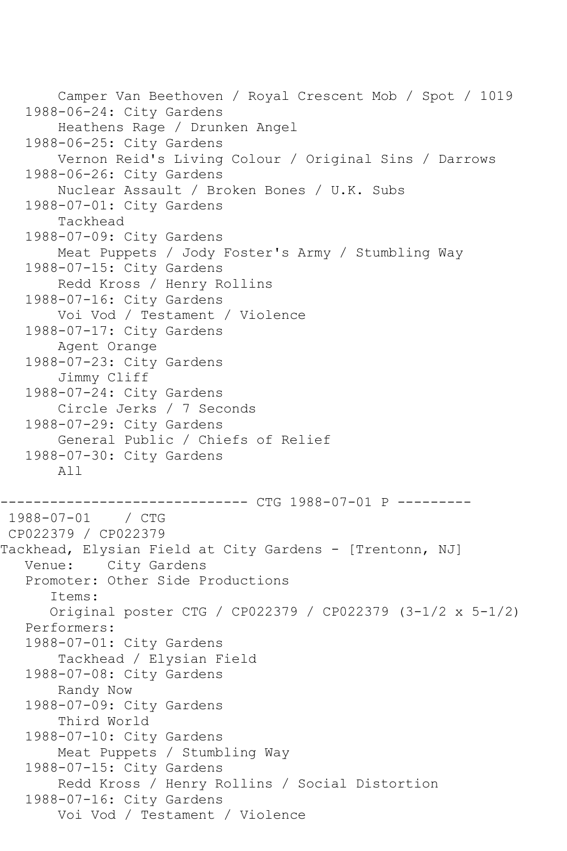```
 Camper Van Beethoven / Royal Crescent Mob / Spot / 1019
    1988-06-24: City Gardens
        Heathens Rage / Drunken Angel
    1988-06-25: City Gardens
        Vernon Reid's Living Colour / Original Sins / Darrows
    1988-06-26: City Gardens
        Nuclear Assault / Broken Bones / U.K. Subs
    1988-07-01: City Gardens
        Tackhead
    1988-07-09: City Gardens
        Meat Puppets / Jody Foster's Army / Stumbling Way
    1988-07-15: City Gardens
        Redd Kross / Henry Rollins
    1988-07-16: City Gardens
        Voi Vod / Testament / Violence
    1988-07-17: City Gardens
        Agent Orange
    1988-07-23: City Gardens
        Jimmy Cliff
    1988-07-24: City Gardens
        Circle Jerks / 7 Seconds
    1988-07-29: City Gardens
        General Public / Chiefs of Relief
    1988-07-30: City Gardens
        All
------------------------------ CTG 1988-07-01 P ---------
1988-07-01 / CTG 
CP022379 / CP022379
Tackhead, Elysian Field at City Gardens - [Trentonn, NJ]
   Venue: City Gardens
    Promoter: Other Side Productions
       Items:
       Original poster CTG / CP022379 / CP022379 (3-1/2 x 5-1/2)
   Performers:
    1988-07-01: City Gardens
        Tackhead / Elysian Field
    1988-07-08: City Gardens
        Randy Now
    1988-07-09: City Gardens
        Third World
    1988-07-10: City Gardens
        Meat Puppets / Stumbling Way
    1988-07-15: City Gardens
        Redd Kross / Henry Rollins / Social Distortion
    1988-07-16: City Gardens
        Voi Vod / Testament / Violence
```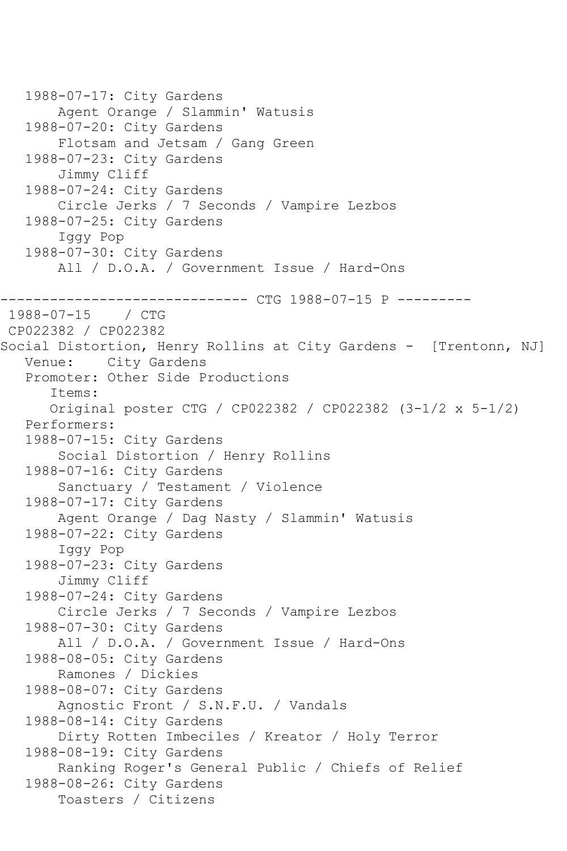```
 1988-07-17: City Gardens
        Agent Orange / Slammin' Watusis
    1988-07-20: City Gardens
        Flotsam and Jetsam / Gang Green
    1988-07-23: City Gardens
        Jimmy Cliff
   1988-07-24: City Gardens
        Circle Jerks / 7 Seconds / Vampire Lezbos
    1988-07-25: City Gardens
        Iggy Pop
    1988-07-30: City Gardens
        All / D.O.A. / Government Issue / Hard-Ons
------------------------------ CTG 1988-07-15 P ---------
1988-07-15 / CTG 
CP022382 / CP022382
Social Distortion, Henry Rollins at City Gardens - [Trentonn, NJ]
   Venue: City Gardens
    Promoter: Other Side Productions
       Items:
       Original poster CTG / CP022382 / CP022382 (3-1/2 x 5-1/2)
   Performers:
    1988-07-15: City Gardens
        Social Distortion / Henry Rollins
    1988-07-16: City Gardens
        Sanctuary / Testament / Violence
    1988-07-17: City Gardens
        Agent Orange / Dag Nasty / Slammin' Watusis
    1988-07-22: City Gardens
        Iggy Pop
    1988-07-23: City Gardens
        Jimmy Cliff
   1988-07-24: City Gardens
        Circle Jerks / 7 Seconds / Vampire Lezbos
    1988-07-30: City Gardens
        All / D.O.A. / Government Issue / Hard-Ons
    1988-08-05: City Gardens
        Ramones / Dickies
    1988-08-07: City Gardens
        Agnostic Front / S.N.F.U. / Vandals
   1988-08-14: City Gardens
        Dirty Rotten Imbeciles / Kreator / Holy Terror
    1988-08-19: City Gardens
        Ranking Roger's General Public / Chiefs of Relief
    1988-08-26: City Gardens
        Toasters / Citizens
```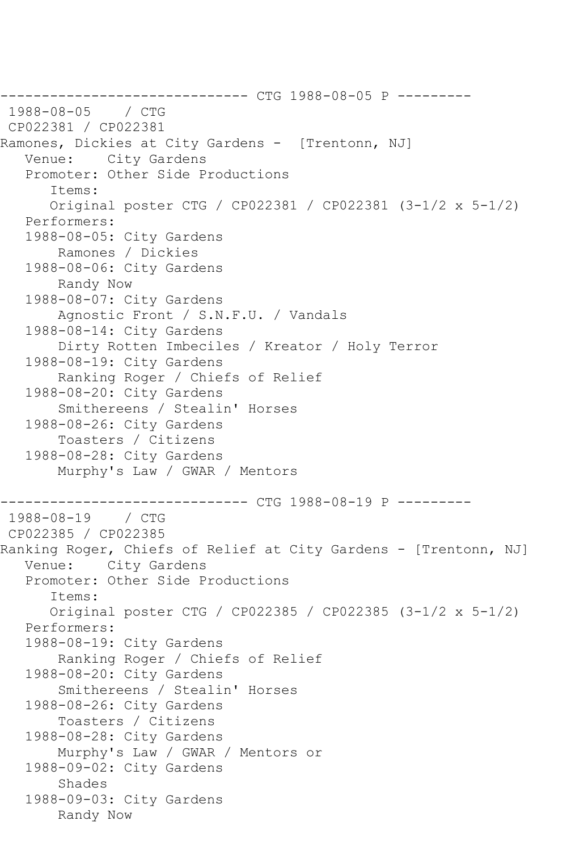------------------------------ CTG 1988-08-05 P --------- 1988-08-05 CP022381 / CP022381 Ramones, Dickies at City Gardens - [Trentonn, NJ] Venue: City Gardens Promoter: Other Side Productions Items: Original poster CTG / CP022381 / CP022381 (3-1/2 x 5-1/2) Performers: 1988-08-05: City Gardens Ramones / Dickies 1988-08-06: City Gardens Randy Now 1988-08-07: City Gardens Agnostic Front / S.N.F.U. / Vandals 1988-08-14: City Gardens Dirty Rotten Imbeciles / Kreator / Holy Terror 1988-08-19: City Gardens Ranking Roger / Chiefs of Relief 1988-08-20: City Gardens Smithereens / Stealin' Horses 1988-08-26: City Gardens Toasters / Citizens 1988-08-28: City Gardens Murphy's Law / GWAR / Mentors ------------------------------ CTG 1988-08-19 P --------- 1988-08-19 / CTG CP022385 / CP022385 Ranking Roger, Chiefs of Relief at City Gardens - [Trentonn, NJ] Venue: City Gardens Promoter: Other Side Productions Items: Original poster CTG / CP022385 / CP022385 (3-1/2 x 5-1/2) Performers: 1988-08-19: City Gardens Ranking Roger / Chiefs of Relief 1988-08-20: City Gardens Smithereens / Stealin' Horses 1988-08-26: City Gardens Toasters / Citizens 1988-08-28: City Gardens Murphy's Law / GWAR / Mentors or 1988-09-02: City Gardens Shades 1988-09-03: City Gardens Randy Now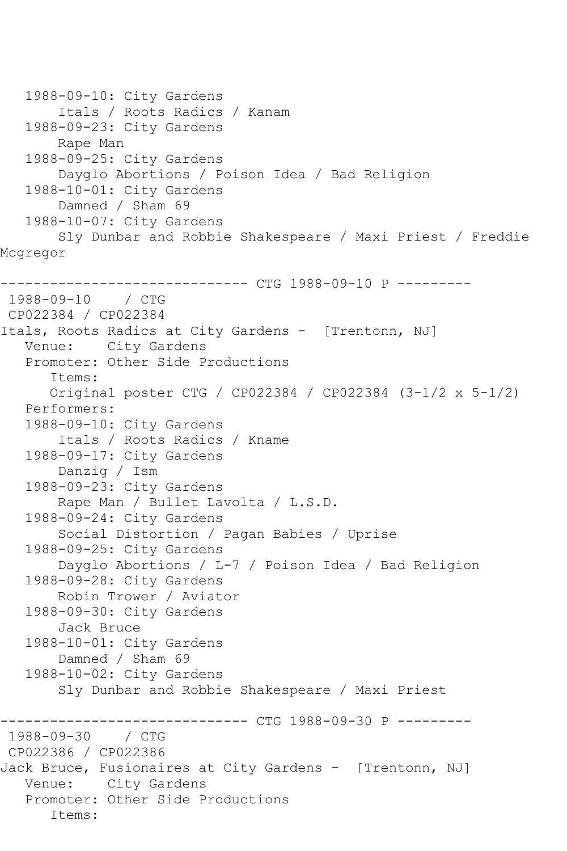```
 1988-09-10: City Gardens
        Itals / Roots Radics / Kanam
    1988-09-23: City Gardens
        Rape Man
    1988-09-25: City Gardens
        Dayglo Abortions / Poison Idea / Bad Religion
    1988-10-01: City Gardens
        Damned / Sham 69
    1988-10-07: City Gardens
        Sly Dunbar and Robbie Shakespeare / Maxi Priest / Freddie 
Mcgregor
------------------------------ CTG 1988-09-10 P ---------
1988-09-10 / CTG 
CP022384 / CP022384
Itals, Roots Radics at City Gardens - [Trentonn, NJ]
   Venue: City Gardens
    Promoter: Other Side Productions
       Items:
       Original poster CTG / CP022384 / CP022384 (3-1/2 x 5-1/2)
    Performers:
   1988-09-10: City Gardens
        Itals / Roots Radics / Kname
    1988-09-17: City Gardens
        Danzig / Ism
    1988-09-23: City Gardens
        Rape Man / Bullet Lavolta / L.S.D.
    1988-09-24: City Gardens
        Social Distortion / Pagan Babies / Uprise
    1988-09-25: City Gardens
        Dayglo Abortions / L-7 / Poison Idea / Bad Religion
    1988-09-28: City Gardens
        Robin Trower / Aviator
    1988-09-30: City Gardens
        Jack Bruce
    1988-10-01: City Gardens
        Damned / Sham 69
    1988-10-02: City Gardens
        Sly Dunbar and Robbie Shakespeare / Maxi Priest
              ------------------------------ CTG 1988-09-30 P ---------
1988 - 09 - 30CP022386 / CP022386
Jack Bruce, Fusionaires at City Gardens - [Trentonn, NJ]
   Venue: City Gardens
    Promoter: Other Side Productions
       Items:
```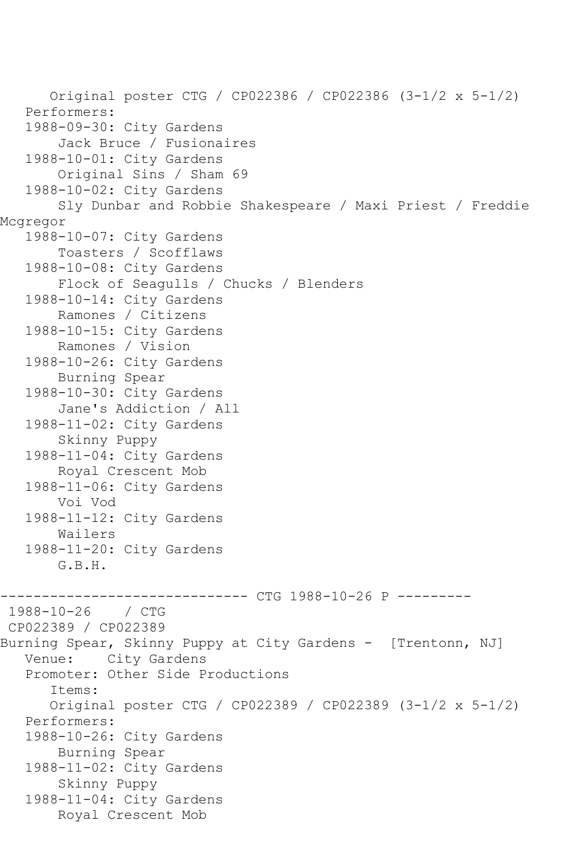Original poster CTG / CP022386 / CP022386 (3-1/2 x 5-1/2) Performers: 1988-09-30: City Gardens Jack Bruce / Fusionaires 1988-10-01: City Gardens Original Sins / Sham 69 1988-10-02: City Gardens Sly Dunbar and Robbie Shakespeare / Maxi Priest / Freddie Mcgregor 1988-10-07: City Gardens Toasters / Scofflaws 1988-10-08: City Gardens Flock of Seagulls / Chucks / Blenders 1988-10-14: City Gardens Ramones / Citizens 1988-10-15: City Gardens Ramones / Vision 1988-10-26: City Gardens Burning Spear 1988-10-30: City Gardens Jane's Addiction / All 1988-11-02: City Gardens Skinny Puppy 1988-11-04: City Gardens Royal Crescent Mob 1988-11-06: City Gardens Voi Vod 1988-11-12: City Gardens Wailers 1988-11-20: City Gardens G.B.H. ------------------------------ CTG 1988-10-26 P ---------  $1988 - 10 - 26$ CP022389 / CP022389 Burning Spear, Skinny Puppy at City Gardens - [Trentonn, NJ] Venue: City Gardens Promoter: Other Side Productions Items: Original poster CTG / CP022389 / CP022389 (3-1/2 x 5-1/2) Performers: 1988-10-26: City Gardens Burning Spear 1988-11-02: City Gardens Skinny Puppy 1988-11-04: City Gardens Royal Crescent Mob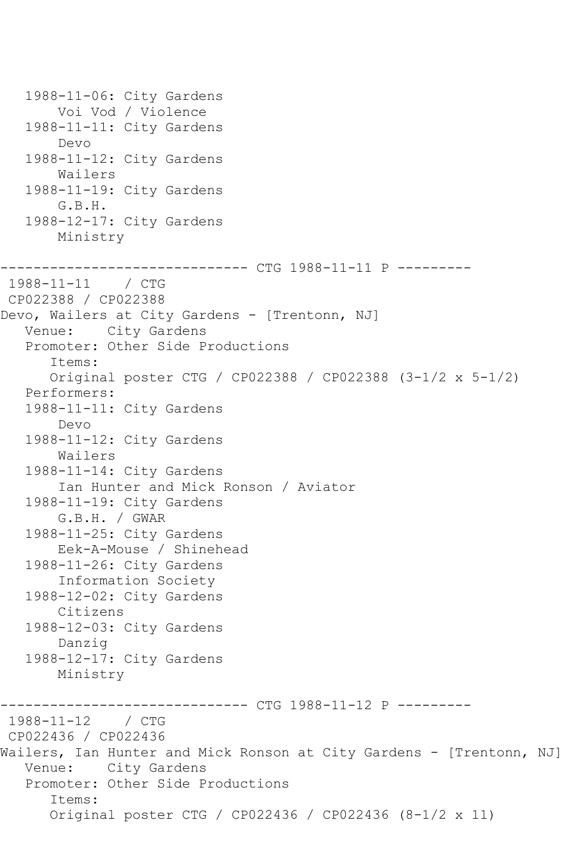1988-11-06: City Gardens Voi Vod / Violence 1988-11-11: City Gardens Devo 1988-11-12: City Gardens Wailers 1988-11-19: City Gardens G.B.H. 1988-12-17: City Gardens Ministry ------------------------------ CTG 1988-11-11 P --------- 1988-11-11 / CTG CP022388 / CP022388 Devo, Wailers at City Gardens - [Trentonn, NJ] Venue: City Gardens Promoter: Other Side Productions Items: Original poster CTG / CP022388 / CP022388 (3-1/2 x 5-1/2) Performers: 1988-11-11: City Gardens Devo 1988-11-12: City Gardens Wailers 1988-11-14: City Gardens Ian Hunter and Mick Ronson / Aviator 1988-11-19: City Gardens G.B.H. / GWAR 1988-11-25: City Gardens Eek-A-Mouse / Shinehead 1988-11-26: City Gardens Information Society 1988-12-02: City Gardens Citizens 1988-12-03: City Gardens Danzig 1988-12-17: City Gardens Ministry ------------------------------ CTG 1988-11-12 P --------- 1988-11-12 / CTG CP022436 / CP022436 Wailers, Ian Hunter and Mick Ronson at City Gardens - [Trentonn, NJ] Venue: City Gardens Promoter: Other Side Productions Items: Original poster CTG / CP022436 / CP022436 (8-1/2 x 11)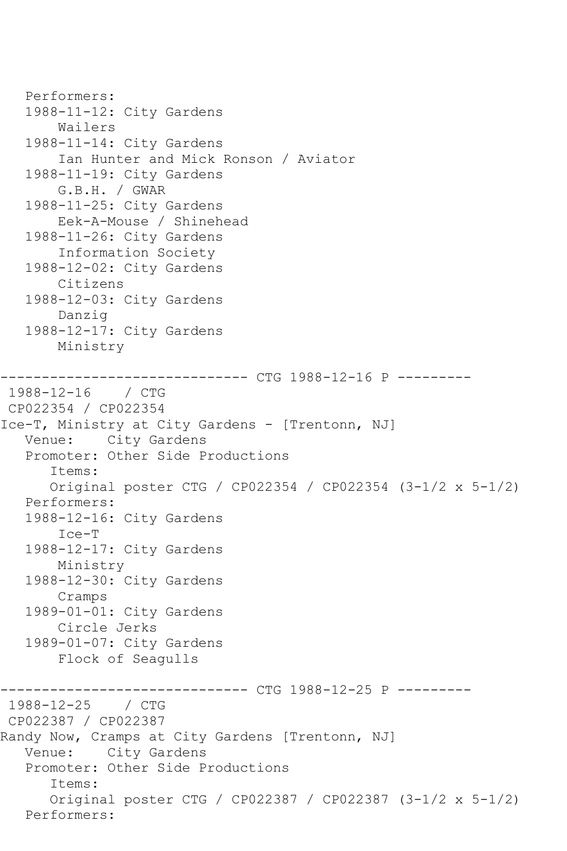```
 Performers:
    1988-11-12: City Gardens
        Wailers
    1988-11-14: City Gardens
        Ian Hunter and Mick Ronson / Aviator
    1988-11-19: City Gardens
        G.B.H. / GWAR
    1988-11-25: City Gardens
        Eek-A-Mouse / Shinehead
    1988-11-26: City Gardens
        Information Society
    1988-12-02: City Gardens
        Citizens
    1988-12-03: City Gardens
        Danzig
    1988-12-17: City Gardens
        Ministry
                       --------- CTG 1988-12-16 P ---------
1988-12-16 / CTG 
CP022354 / CP022354
Ice-T, Ministry at City Gardens - [Trentonn, NJ]
   Venue: City Gardens
    Promoter: Other Side Productions
       Items:
       Original poster CTG / CP022354 / CP022354 (3-1/2 x 5-1/2)
   Performers:
    1988-12-16: City Gardens
        Ice-T
    1988-12-17: City Gardens
        Ministry
    1988-12-30: City Gardens
        Cramps
    1989-01-01: City Gardens
        Circle Jerks
    1989-01-07: City Gardens
        Flock of Seagulls
            ------------------------------ CTG 1988-12-25 P ---------
1988 - 12 - 25CP022387 / CP022387
Randy Now, Cramps at City Gardens [Trentonn, NJ]
   Venue: City Gardens
    Promoter: Other Side Productions
       Items:
       Original poster CTG / CP022387 / CP022387 (3-1/2 x 5-1/2)
   Performers:
```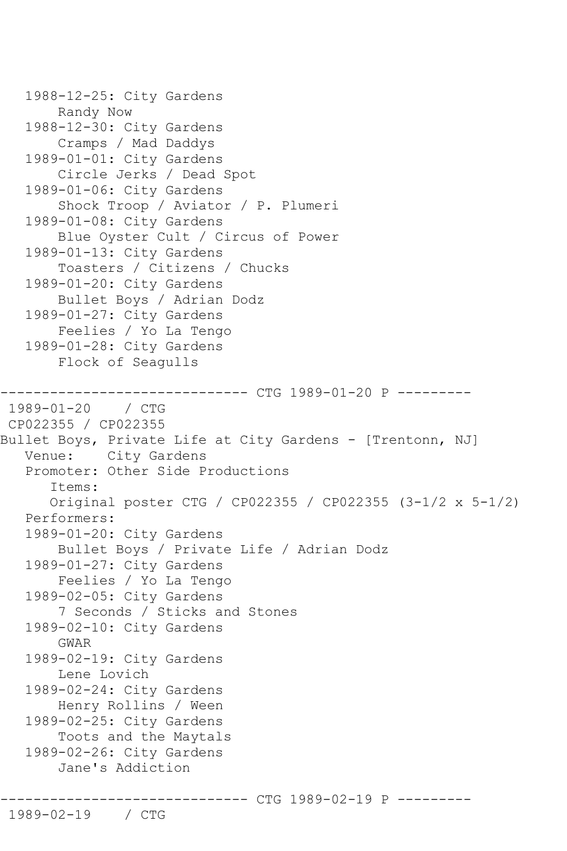```
 1988-12-25: City Gardens
        Randy Now
    1988-12-30: City Gardens
        Cramps / Mad Daddys
    1989-01-01: City Gardens
        Circle Jerks / Dead Spot
    1989-01-06: City Gardens
        Shock Troop / Aviator / P. Plumeri
    1989-01-08: City Gardens
        Blue Oyster Cult / Circus of Power
   1989-01-13: City Gardens
        Toasters / Citizens / Chucks
    1989-01-20: City Gardens
        Bullet Boys / Adrian Dodz
    1989-01-27: City Gardens
        Feelies / Yo La Tengo
    1989-01-28: City Gardens
        Flock of Seagulls
               ------------------------------ CTG 1989-01-20 P ---------
1989 - 01 - 20CP022355 / CP022355
Bullet Boys, Private Life at City Gardens - [Trentonn, NJ]
   Venue: City Gardens
    Promoter: Other Side Productions
       Items:
       Original poster CTG / CP022355 / CP022355 (3-1/2 x 5-1/2)
    Performers:
    1989-01-20: City Gardens
        Bullet Boys / Private Life / Adrian Dodz
    1989-01-27: City Gardens
        Feelies / Yo La Tengo
   1989-02-05: City Gardens
        7 Seconds / Sticks and Stones
    1989-02-10: City Gardens
        GWAR
    1989-02-19: City Gardens
        Lene Lovich
    1989-02-24: City Gardens
        Henry Rollins / Ween
    1989-02-25: City Gardens
        Toots and the Maytals
    1989-02-26: City Gardens
        Jane's Addiction
                      --------- CTG 1989-02-19 P -----
```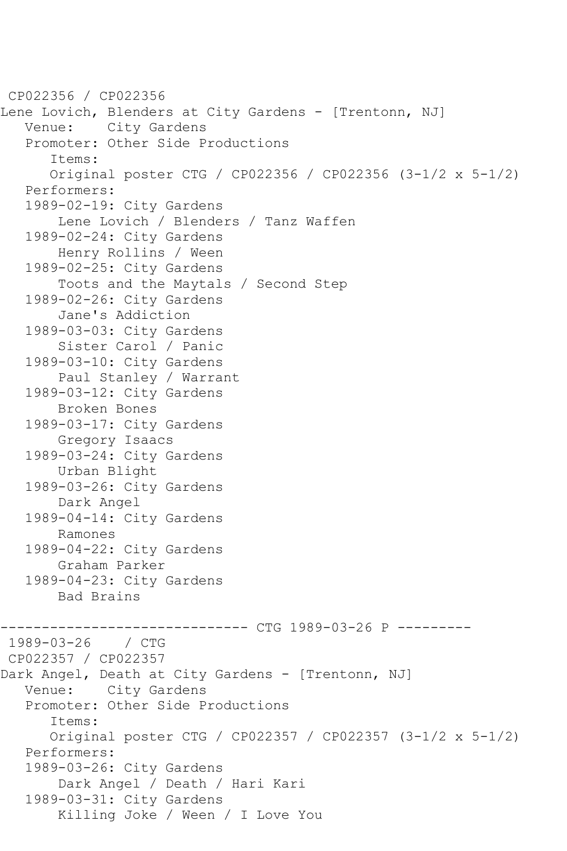```
CP022356 / CP022356
Lene Lovich, Blenders at City Gardens - [Trentonn, NJ]
   Venue: City Gardens
    Promoter: Other Side Productions
       Items:
       Original poster CTG / CP022356 / CP022356 (3-1/2 x 5-1/2)
    Performers:
    1989-02-19: City Gardens
        Lene Lovich / Blenders / Tanz Waffen
    1989-02-24: City Gardens
        Henry Rollins / Ween
    1989-02-25: City Gardens
        Toots and the Maytals / Second Step
    1989-02-26: City Gardens
        Jane's Addiction
    1989-03-03: City Gardens
        Sister Carol / Panic
    1989-03-10: City Gardens
        Paul Stanley / Warrant
    1989-03-12: City Gardens
        Broken Bones
    1989-03-17: City Gardens
        Gregory Isaacs
    1989-03-24: City Gardens
        Urban Blight
    1989-03-26: City Gardens
        Dark Angel
    1989-04-14: City Gardens
        Ramones
    1989-04-22: City Gardens
        Graham Parker
    1989-04-23: City Gardens
        Bad Brains
                       ------------------------------ CTG 1989-03-26 P ---------
1989-03-26 / CTG 
CP022357 / CP022357
Dark Angel, Death at City Gardens - [Trentonn, NJ]
   Venue: City Gardens
    Promoter: Other Side Productions
       Items:
       Original poster CTG / CP022357 / CP022357 (3-1/2 x 5-1/2)
   Performers:
    1989-03-26: City Gardens
        Dark Angel / Death / Hari Kari
    1989-03-31: City Gardens
        Killing Joke / Ween / I Love You
```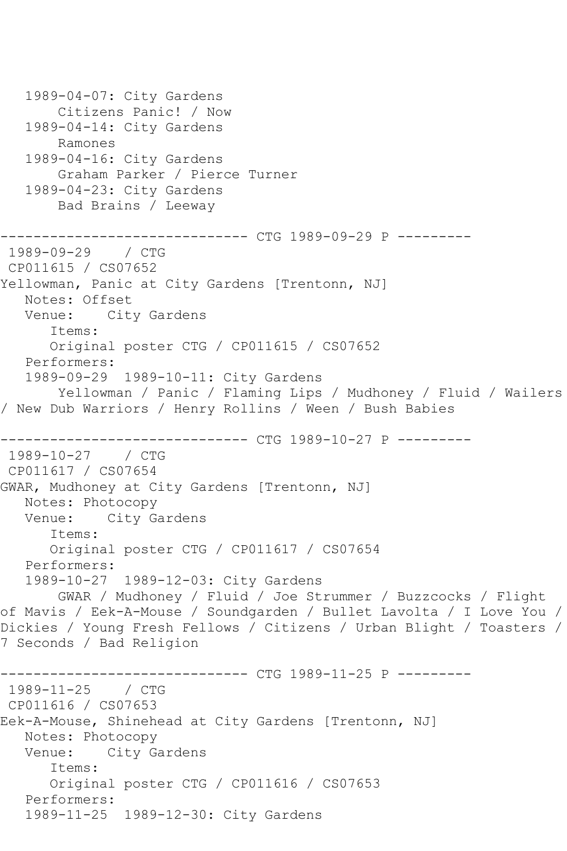```
 1989-04-07: City Gardens
        Citizens Panic! / Now
   1989-04-14: City Gardens
        Ramones
   1989-04-16: City Gardens
        Graham Parker / Pierce Turner
   1989-04-23: City Gardens
        Bad Brains / Leeway
         ------------------------------ CTG 1989-09-29 P ---------
1989-09-29 / CTG 
CP011615 / CS07652
Yellowman, Panic at City Gardens [Trentonn, NJ]
   Notes: Offset
   Venue: City Gardens
       Items:
      Original poster CTG / CP011615 / CS07652
   Performers:
   1989-09-29 1989-10-11: City Gardens
        Yellowman / Panic / Flaming Lips / Mudhoney / Fluid / Wailers 
/ New Dub Warriors / Henry Rollins / Ween / Bush Babies
------------------------------ CTG 1989-10-27 P ---------
1989-10-27 / CTG 
CP011617 / CS07654
GWAR, Mudhoney at City Gardens [Trentonn, NJ]
   Notes: Photocopy
   Venue: City Gardens
       Items:
       Original poster CTG / CP011617 / CS07654
   Performers:
   1989-10-27 1989-12-03: City Gardens
       GWAR / Mudhoney / Fluid / Joe Strummer / Buzzcocks / Flight 
of Mavis / Eek-A-Mouse / Soundgarden / Bullet Lavolta / I Love You / 
Dickies / Young Fresh Fellows / Citizens / Urban Blight / Toasters / 
7 Seconds / Bad Religion
              ------------------------------ CTG 1989-11-25 P ---------
1989-11-25
CP011616 / CS07653
Eek-A-Mouse, Shinehead at City Gardens [Trentonn, NJ]
   Notes: Photocopy
   Venue: City Gardens
       Items:
      Original poster CTG / CP011616 / CS07653
   Performers:
   1989-11-25 1989-12-30: City Gardens
```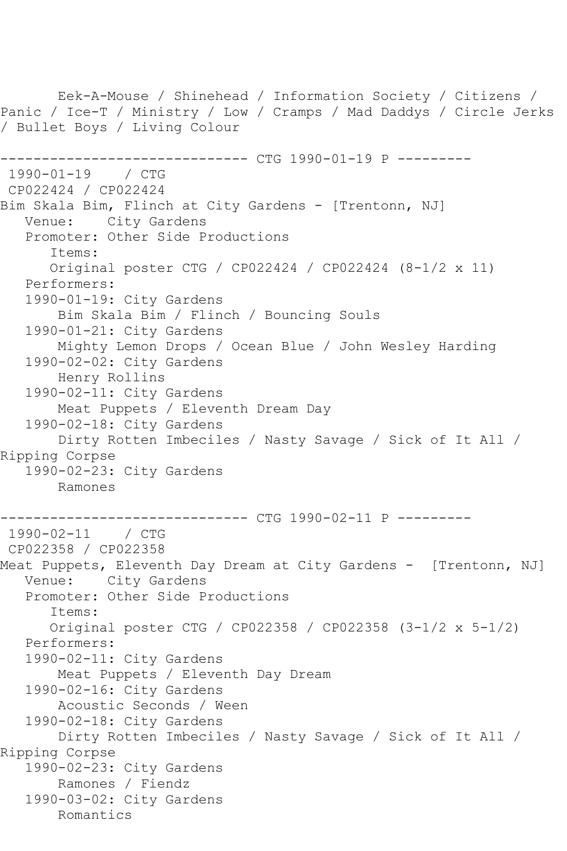Eek-A-Mouse / Shinehead / Information Society / Citizens / Panic / Ice-T / Ministry / Low / Cramps / Mad Daddys / Circle Jerks / Bullet Boys / Living Colour ------------------------------ CTG 1990-01-19 P --------- 1990-01-19 / CTG CP022424 / CP022424 Bim Skala Bim, Flinch at City Gardens - [Trentonn, NJ] Venue: City Gardens Promoter: Other Side Productions Items: Original poster CTG / CP022424 / CP022424 (8-1/2 x 11) Performers: 1990-01-19: City Gardens Bim Skala Bim / Flinch / Bouncing Souls 1990-01-21: City Gardens Mighty Lemon Drops / Ocean Blue / John Wesley Harding 1990-02-02: City Gardens Henry Rollins 1990-02-11: City Gardens Meat Puppets / Eleventh Dream Day 1990-02-18: City Gardens Dirty Rotten Imbeciles / Nasty Savage / Sick of It All / Ripping Corpse 1990-02-23: City Gardens Ramones ------------ CTG 1990-02-11 P ---------1990-02-11 / CTG CP022358 / CP022358 Meat Puppets, Eleventh Day Dream at City Gardens - [Trentonn, NJ] Venue: City Gardens Promoter: Other Side Productions Items: Original poster CTG / CP022358 / CP022358 (3-1/2 x 5-1/2) Performers: 1990-02-11: City Gardens Meat Puppets / Eleventh Day Dream 1990-02-16: City Gardens Acoustic Seconds / Ween 1990-02-18: City Gardens Dirty Rotten Imbeciles / Nasty Savage / Sick of It All / Ripping Corpse 1990-02-23: City Gardens Ramones / Fiendz 1990-03-02: City Gardens Romantics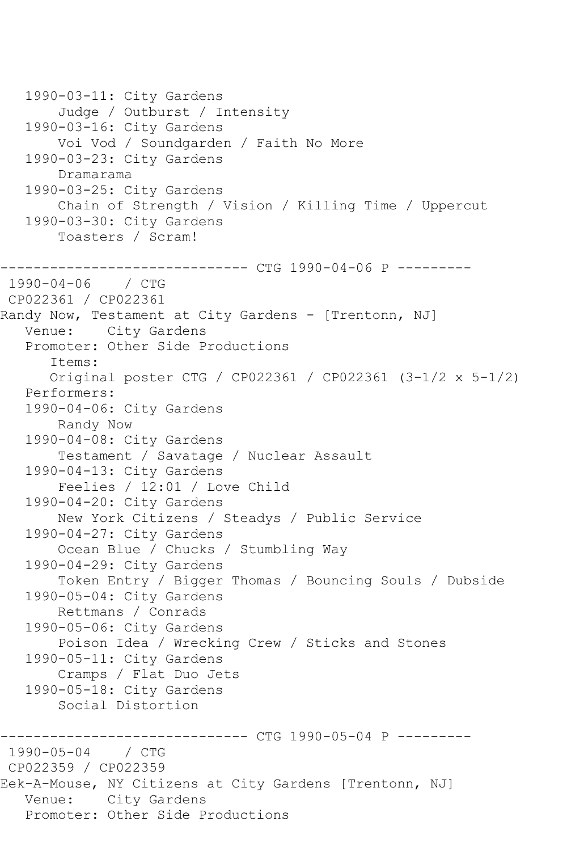```
 1990-03-11: City Gardens
        Judge / Outburst / Intensity
   1990-03-16: City Gardens
        Voi Vod / Soundgarden / Faith No More
   1990-03-23: City Gardens
        Dramarama
   1990-03-25: City Gardens
        Chain of Strength / Vision / Killing Time / Uppercut
   1990-03-30: City Gardens
        Toasters / Scram!
                  ------------ CTG 1990-04-06 P ---------
1990-04-06 / CTG 
CP022361 / CP022361
Randy Now, Testament at City Gardens - [Trentonn, NJ]
   Venue: City Gardens
   Promoter: Other Side Productions
       Items:
       Original poster CTG / CP022361 / CP022361 (3-1/2 x 5-1/2)
   Performers:
   1990-04-06: City Gardens
        Randy Now
   1990-04-08: City Gardens
        Testament / Savatage / Nuclear Assault
   1990-04-13: City Gardens
        Feelies / 12:01 / Love Child
   1990-04-20: City Gardens
        New York Citizens / Steadys / Public Service
   1990-04-27: City Gardens
        Ocean Blue / Chucks / Stumbling Way
   1990-04-29: City Gardens
        Token Entry / Bigger Thomas / Bouncing Souls / Dubside
   1990-05-04: City Gardens
        Rettmans / Conrads
   1990-05-06: City Gardens
        Poison Idea / Wrecking Crew / Sticks and Stones
   1990-05-11: City Gardens
        Cramps / Flat Duo Jets
   1990-05-18: City Gardens
        Social Distortion
                 -------------- CTG 1990-05-04 P ----------
1990-05-04 / CTG 
CP022359 / CP022359
Eek-A-Mouse, NY Citizens at City Gardens [Trentonn, NJ]
   Venue: City Gardens
   Promoter: Other Side Productions
```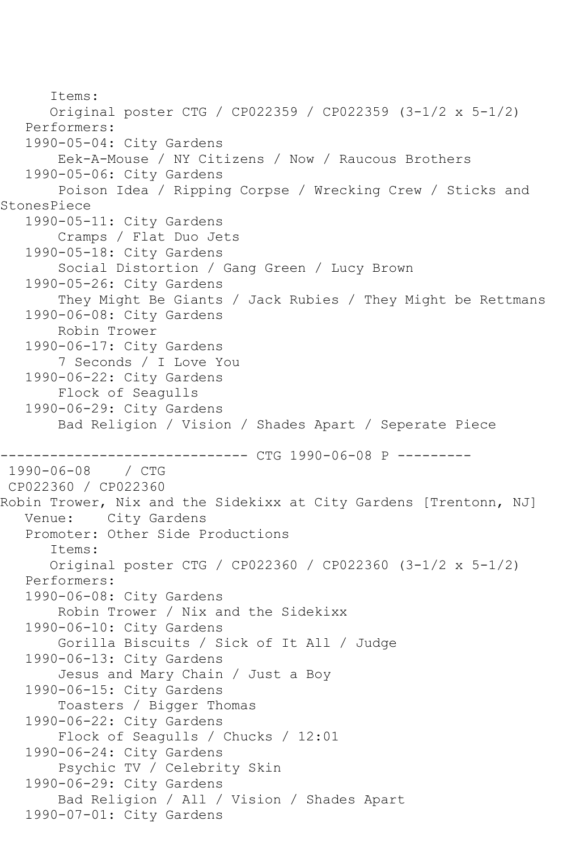Items: Original poster CTG / CP022359 / CP022359 (3-1/2 x 5-1/2) Performers: 1990-05-04: City Gardens Eek-A-Mouse / NY Citizens / Now / Raucous Brothers 1990-05-06: City Gardens Poison Idea / Ripping Corpse / Wrecking Crew / Sticks and StonesPiece 1990-05-11: City Gardens Cramps / Flat Duo Jets 1990-05-18: City Gardens Social Distortion / Gang Green / Lucy Brown 1990-05-26: City Gardens They Might Be Giants / Jack Rubies / They Might be Rettmans 1990-06-08: City Gardens Robin Trower 1990-06-17: City Gardens 7 Seconds / I Love You 1990-06-22: City Gardens Flock of Seagulls 1990-06-29: City Gardens Bad Religion / Vision / Shades Apart / Seperate Piece ------------------------------ CTG 1990-06-08 P --------- 1990-06-08 CP022360 / CP022360 Robin Trower, Nix and the Sidekixx at City Gardens [Trentonn, NJ] Venue: City Gardens Promoter: Other Side Productions Items: Original poster CTG / CP022360 / CP022360 (3-1/2 x 5-1/2) Performers: 1990-06-08: City Gardens Robin Trower / Nix and the Sidekixx 1990-06-10: City Gardens Gorilla Biscuits / Sick of It All / Judge 1990-06-13: City Gardens Jesus and Mary Chain / Just a Boy 1990-06-15: City Gardens Toasters / Bigger Thomas 1990-06-22: City Gardens Flock of Seagulls / Chucks / 12:01 1990-06-24: City Gardens Psychic TV / Celebrity Skin 1990-06-29: City Gardens Bad Religion / All / Vision / Shades Apart 1990-07-01: City Gardens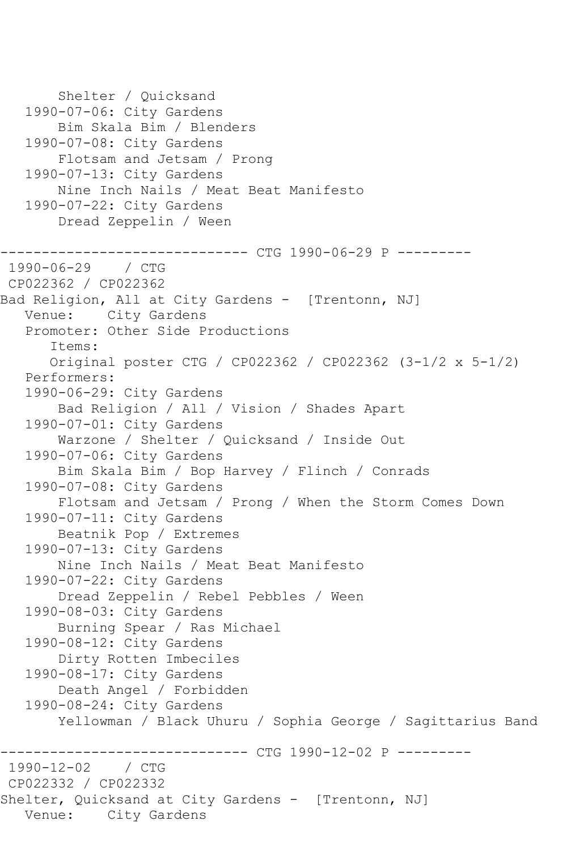Shelter / Quicksand 1990-07-06: City Gardens Bim Skala Bim / Blenders 1990-07-08: City Gardens Flotsam and Jetsam / Prong 1990-07-13: City Gardens Nine Inch Nails / Meat Beat Manifesto 1990-07-22: City Gardens Dread Zeppelin / Ween ------------------------------ CTG 1990-06-29 P --------- 1990-06-29 / CTG CP022362 / CP022362 Bad Religion, All at City Gardens - [Trentonn, NJ] Venue: City Gardens Promoter: Other Side Productions Items: Original poster CTG / CP022362 / CP022362 (3-1/2 x 5-1/2) Performers: 1990-06-29: City Gardens Bad Religion / All / Vision / Shades Apart 1990-07-01: City Gardens Warzone / Shelter / Quicksand / Inside Out 1990-07-06: City Gardens Bim Skala Bim / Bop Harvey / Flinch / Conrads 1990-07-08: City Gardens Flotsam and Jetsam / Prong / When the Storm Comes Down 1990-07-11: City Gardens Beatnik Pop / Extremes 1990-07-13: City Gardens Nine Inch Nails / Meat Beat Manifesto 1990-07-22: City Gardens Dread Zeppelin / Rebel Pebbles / Ween 1990-08-03: City Gardens Burning Spear / Ras Michael 1990-08-12: City Gardens Dirty Rotten Imbeciles 1990-08-17: City Gardens Death Angel / Forbidden 1990-08-24: City Gardens Yellowman / Black Uhuru / Sophia George / Sagittarius Band -------------- CTG 1990-12-02 P ---------1990-12-02 / CTG CP022332 / CP022332 Shelter, Quicksand at City Gardens - [Trentonn, NJ] Venue: City Gardens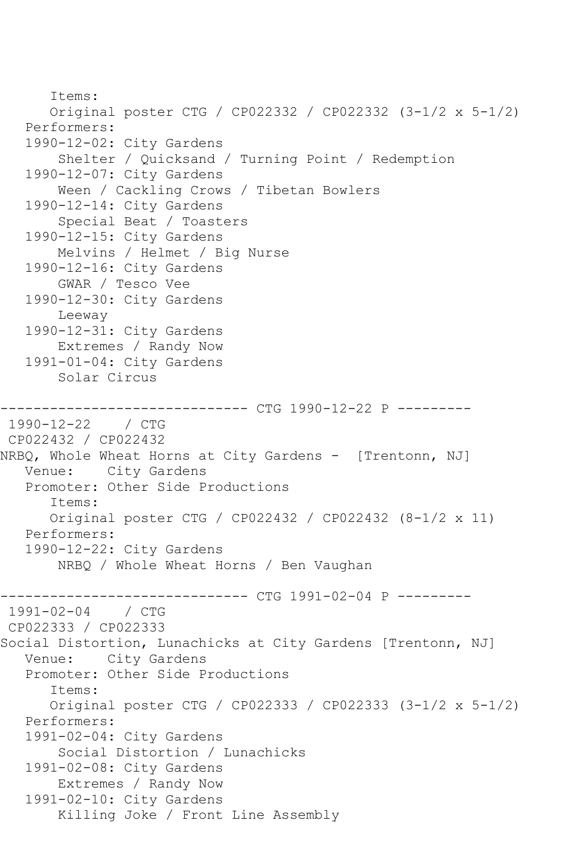```
 Items:
      Original poster CTG / CP022332 / CP022332 (3-1/2 x 5-1/2)
   Performers:
   1990-12-02: City Gardens
        Shelter / Quicksand / Turning Point / Redemption
   1990-12-07: City Gardens
        Ween / Cackling Crows / Tibetan Bowlers
   1990-12-14: City Gardens
        Special Beat / Toasters
   1990-12-15: City Gardens
        Melvins / Helmet / Big Nurse
   1990-12-16: City Gardens
       GWAR / Tesco Vee
   1990-12-30: City Gardens
        Leeway
   1990-12-31: City Gardens
        Extremes / Randy Now
   1991-01-04: City Gardens
        Solar Circus
------------------------------ CTG 1990-12-22 P ---------
1990-12-22 / CTG 
CP022432 / CP022432
NRBQ, Whole Wheat Horns at City Gardens - [Trentonn, NJ]
   Venue: City Gardens
   Promoter: Other Side Productions
       Items:
      Original poster CTG / CP022432 / CP022432 (8-1/2 x 11)
   Performers:
   1990-12-22: City Gardens
        NRBQ / Whole Wheat Horns / Ben Vaughan
------------------------------ CTG 1991-02-04 P ---------
1991 - 02 - 04CP022333 / CP022333
Social Distortion, Lunachicks at City Gardens [Trentonn, NJ]
   Venue: City Gardens
   Promoter: Other Side Productions
       Items:
      Original poster CTG / CP022333 / CP022333 (3-1/2 x 5-1/2)
   Performers:
   1991-02-04: City Gardens
        Social Distortion / Lunachicks
   1991-02-08: City Gardens
        Extremes / Randy Now
   1991-02-10: City Gardens
        Killing Joke / Front Line Assembly
```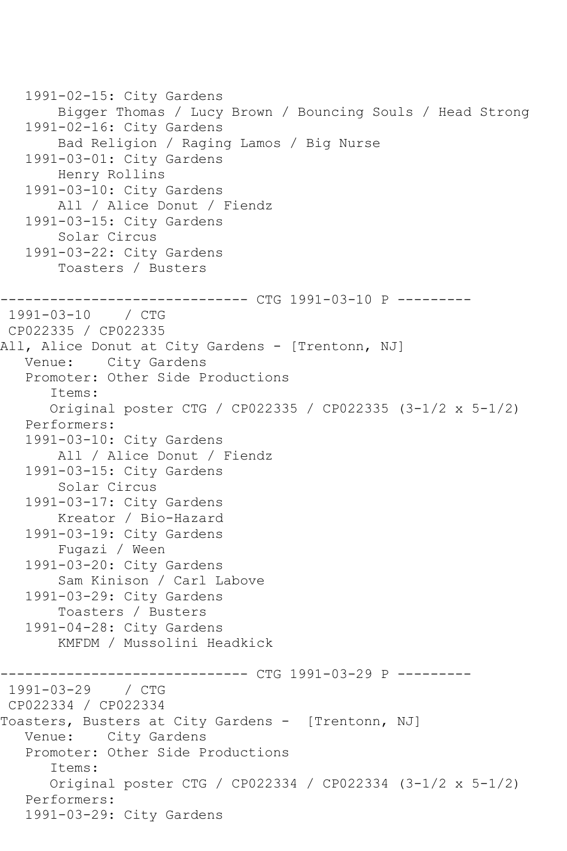```
 1991-02-15: City Gardens
        Bigger Thomas / Lucy Brown / Bouncing Souls / Head Strong
    1991-02-16: City Gardens
        Bad Religion / Raging Lamos / Big Nurse
    1991-03-01: City Gardens
        Henry Rollins
    1991-03-10: City Gardens
        All / Alice Donut / Fiendz
    1991-03-15: City Gardens
        Solar Circus
    1991-03-22: City Gardens
        Toasters / Busters
------------------------------ CTG 1991-03-10 P ---------
1991-03-10 / CTG 
CP022335 / CP022335
All, Alice Donut at City Gardens - [Trentonn, NJ]
   Venue: City Gardens
   Promoter: Other Side Productions
       Items:
       Original poster CTG / CP022335 / CP022335 (3-1/2 x 5-1/2)
   Performers:
    1991-03-10: City Gardens
        All / Alice Donut / Fiendz
    1991-03-15: City Gardens
        Solar Circus
    1991-03-17: City Gardens
        Kreator / Bio-Hazard
    1991-03-19: City Gardens
        Fugazi / Ween
   1991-03-20: City Gardens
        Sam Kinison / Carl Labove
   1991-03-29: City Gardens
        Toasters / Busters
    1991-04-28: City Gardens
        KMFDM / Mussolini Headkick
                    ----------- CTG 1991-03-29 P ----------
1991-03-29 / CTG 
CP022334 / CP022334
Toasters, Busters at City Gardens - [Trentonn, NJ]
   Venue: City Gardens
    Promoter: Other Side Productions
       Items:
       Original poster CTG / CP022334 / CP022334 (3-1/2 x 5-1/2)
    Performers:
    1991-03-29: City Gardens
```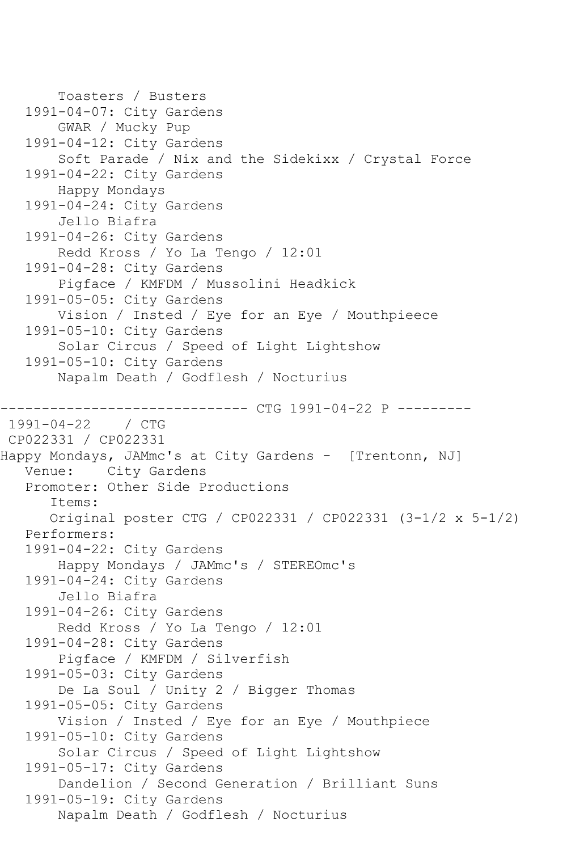```
 Toasters / Busters
    1991-04-07: City Gardens
        GWAR / Mucky Pup
    1991-04-12: City Gardens
        Soft Parade / Nix and the Sidekixx / Crystal Force
    1991-04-22: City Gardens
        Happy Mondays
    1991-04-24: City Gardens
        Jello Biafra
    1991-04-26: City Gardens
        Redd Kross / Yo La Tengo / 12:01
    1991-04-28: City Gardens
        Pigface / KMFDM / Mussolini Headkick
    1991-05-05: City Gardens
        Vision / Insted / Eye for an Eye / Mouthpieece
    1991-05-10: City Gardens
        Solar Circus / Speed of Light Lightshow
    1991-05-10: City Gardens
        Napalm Death / Godflesh / Nocturius
------------------------------ CTG 1991-04-22 P ---------
1991-04-22 / CTG 
CP022331 / CP022331
Happy Mondays, JAMmc's at City Gardens - [Trentonn, NJ]
   Venue: City Gardens
    Promoter: Other Side Productions
       Items:
       Original poster CTG / CP022331 / CP022331 (3-1/2 x 5-1/2)
    Performers:
    1991-04-22: City Gardens
        Happy Mondays / JAMmc's / STEREOmc's
    1991-04-24: City Gardens
        Jello Biafra
   1991-04-26: City Gardens
        Redd Kross / Yo La Tengo / 12:01
    1991-04-28: City Gardens
        Pigface / KMFDM / Silverfish
    1991-05-03: City Gardens
        De La Soul / Unity 2 / Bigger Thomas
    1991-05-05: City Gardens
        Vision / Insted / Eye for an Eye / Mouthpiece
   1991-05-10: City Gardens
        Solar Circus / Speed of Light Lightshow
    1991-05-17: City Gardens
        Dandelion / Second Generation / Brilliant Suns
    1991-05-19: City Gardens
        Napalm Death / Godflesh / Nocturius
```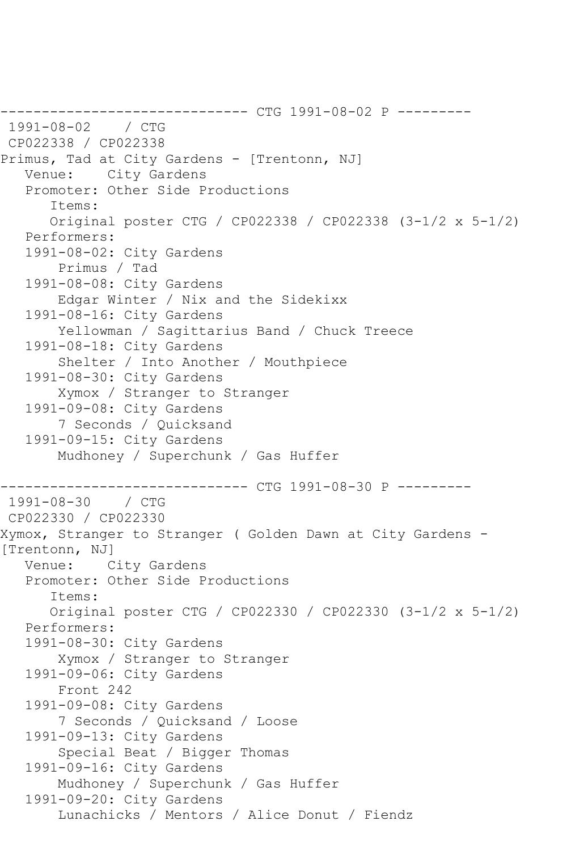------------------------------ CTG 1991-08-02 P --------- 1991-08-02 / CTG CP022338 / CP022338 Primus, Tad at City Gardens - [Trentonn, NJ] Venue: City Gardens Promoter: Other Side Productions Items: Original poster CTG / CP022338 / CP022338 (3-1/2 x 5-1/2) Performers: 1991-08-02: City Gardens Primus / Tad 1991-08-08: City Gardens Edgar Winter / Nix and the Sidekixx 1991-08-16: City Gardens Yellowman / Sagittarius Band / Chuck Treece 1991-08-18: City Gardens Shelter / Into Another / Mouthpiece 1991-08-30: City Gardens Xymox / Stranger to Stranger 1991-09-08: City Gardens 7 Seconds / Quicksand 1991-09-15: City Gardens Mudhoney / Superchunk / Gas Huffer --------------- CTG 1991-08-30 P ---------1991-08-30 / CTG CP022330 / CP022330 Xymox, Stranger to Stranger ( Golden Dawn at City Gardens - [Trentonn, NJ] Venue: City Gardens Promoter: Other Side Productions Items: Original poster CTG / CP022330 / CP022330 (3-1/2 x 5-1/2) Performers: 1991-08-30: City Gardens Xymox / Stranger to Stranger 1991-09-06: City Gardens Front 242 1991-09-08: City Gardens 7 Seconds / Quicksand / Loose 1991-09-13: City Gardens Special Beat / Bigger Thomas 1991-09-16: City Gardens Mudhoney / Superchunk / Gas Huffer 1991-09-20: City Gardens Lunachicks / Mentors / Alice Donut / Fiendz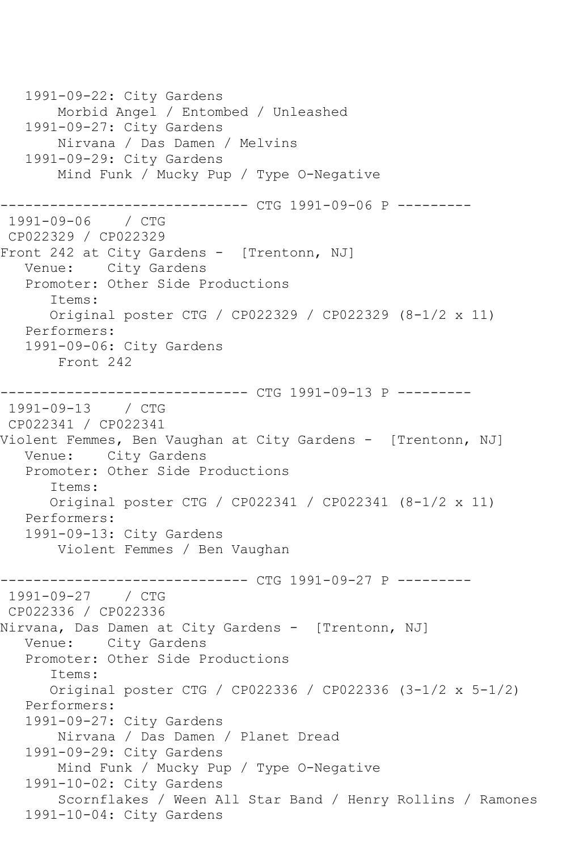1991-09-22: City Gardens Morbid Angel / Entombed / Unleashed 1991-09-27: City Gardens Nirvana / Das Damen / Melvins 1991-09-29: City Gardens Mind Funk / Mucky Pup / Type O-Negative ------------------------------ CTG 1991-09-06 P --------- 1991-09-06 / CTG CP022329 / CP022329 Front 242 at City Gardens - [Trentonn, NJ] Venue: City Gardens Promoter: Other Side Productions Items: Original poster CTG / CP022329 / CP022329 (8-1/2 x 11) Performers: 1991-09-06: City Gardens Front 242 ------------------------------ CTG 1991-09-13 P --------- 1991-09-13 / CTG CP022341 / CP022341 Violent Femmes, Ben Vaughan at City Gardens - [Trentonn, NJ] Venue: City Gardens Promoter: Other Side Productions Items: Original poster CTG / CP022341 / CP022341 (8-1/2 x 11) Performers: 1991-09-13: City Gardens Violent Femmes / Ben Vaughan ------------------------------ CTG 1991-09-27 P --------- 1991-09-27 / CTG CP022336 / CP022336 Nirvana, Das Damen at City Gardens - [Trentonn, NJ] Venue: City Gardens Promoter: Other Side Productions Items: Original poster CTG / CP022336 / CP022336 (3-1/2 x 5-1/2) Performers: 1991-09-27: City Gardens Nirvana / Das Damen / Planet Dread 1991-09-29: City Gardens Mind Funk / Mucky Pup / Type O-Negative 1991-10-02: City Gardens Scornflakes / Ween All Star Band / Henry Rollins / Ramones 1991-10-04: City Gardens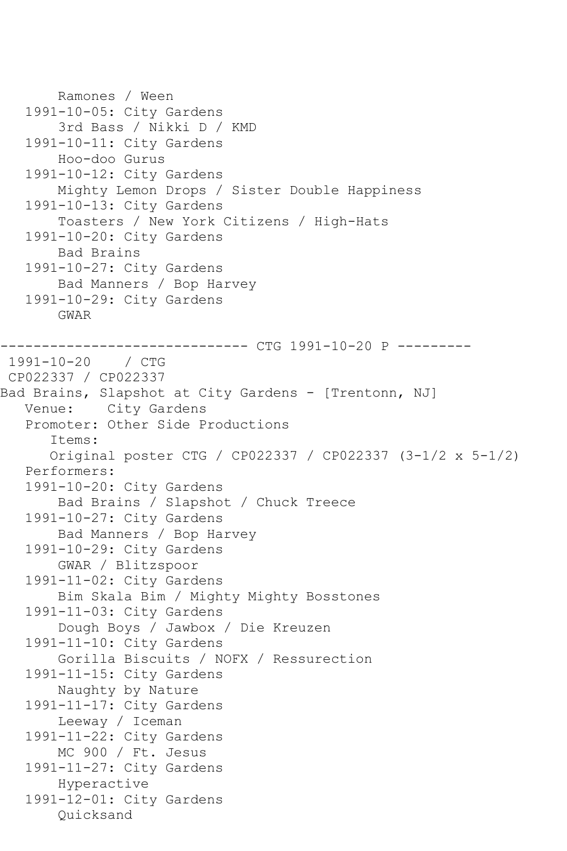```
 Ramones / Ween
   1991-10-05: City Gardens
        3rd Bass / Nikki D / KMD
    1991-10-11: City Gardens
        Hoo-doo Gurus
    1991-10-12: City Gardens
        Mighty Lemon Drops / Sister Double Happiness
    1991-10-13: City Gardens
        Toasters / New York Citizens / High-Hats
    1991-10-20: City Gardens
        Bad Brains
    1991-10-27: City Gardens
        Bad Manners / Bop Harvey
    1991-10-29: City Gardens
        GWAR
------------------------------ CTG 1991-10-20 P ---------
1991-10-20 / CTG 
CP022337 / CP022337
Bad Brains, Slapshot at City Gardens - [Trentonn, NJ]
   Venue: City Gardens
    Promoter: Other Side Productions
       Items:
       Original poster CTG / CP022337 / CP022337 (3-1/2 x 5-1/2)
    Performers:
    1991-10-20: City Gardens
        Bad Brains / Slapshot / Chuck Treece
    1991-10-27: City Gardens
        Bad Manners / Bop Harvey
   1991-10-29: City Gardens
        GWAR / Blitzspoor
    1991-11-02: City Gardens
        Bim Skala Bim / Mighty Mighty Bosstones
    1991-11-03: City Gardens
        Dough Boys / Jawbox / Die Kreuzen
    1991-11-10: City Gardens
        Gorilla Biscuits / NOFX / Ressurection
    1991-11-15: City Gardens
        Naughty by Nature
    1991-11-17: City Gardens
        Leeway / Iceman
    1991-11-22: City Gardens
        MC 900 / Ft. Jesus
    1991-11-27: City Gardens
        Hyperactive
    1991-12-01: City Gardens
        Quicksand
```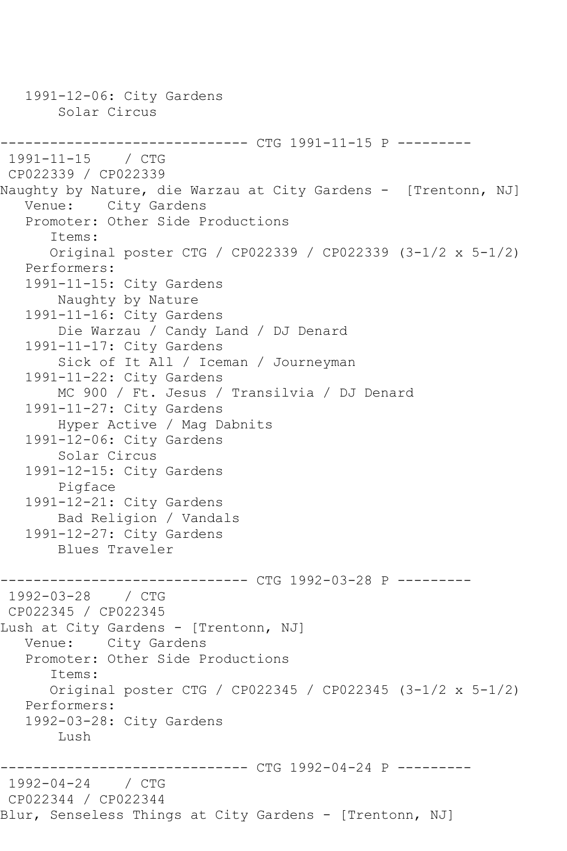1991-12-06: City Gardens Solar Circus ------------------------------ CTG 1991-11-15 P --------- 1991-11-15 / CTG CP022339 / CP022339 Naughty by Nature, die Warzau at City Gardens - [Trentonn, NJ] Venue: City Gardens Promoter: Other Side Productions Items: Original poster CTG / CP022339 / CP022339 (3-1/2 x 5-1/2) Performers: 1991-11-15: City Gardens Naughty by Nature 1991-11-16: City Gardens Die Warzau / Candy Land / DJ Denard 1991-11-17: City Gardens Sick of It All / Iceman / Journeyman 1991-11-22: City Gardens MC 900 / Ft. Jesus / Transilvia / DJ Denard 1991-11-27: City Gardens Hyper Active / Mag Dabnits 1991-12-06: City Gardens Solar Circus 1991-12-15: City Gardens Pigface 1991-12-21: City Gardens Bad Religion / Vandals 1991-12-27: City Gardens Blues Traveler ------------------------------ CTG 1992-03-28 P --------- 1992-03-28 / CTG CP022345 / CP022345 Lush at City Gardens - [Trentonn, NJ] Venue: City Gardens Promoter: Other Side Productions Items: Original poster CTG / CP022345 / CP022345 (3-1/2 x 5-1/2) Performers: 1992-03-28: City Gardens Lush ------------------------------ CTG 1992-04-24 P --------- 1992-04-24 / CTG CP022344 / CP022344 Blur, Senseless Things at City Gardens - [Trentonn, NJ]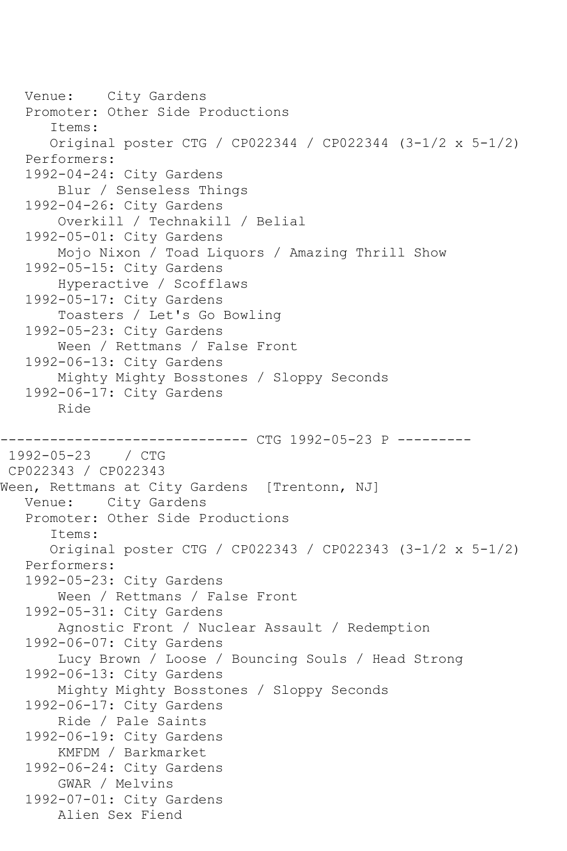```
 Venue: City Gardens
    Promoter: Other Side Productions
       Items:
       Original poster CTG / CP022344 / CP022344 (3-1/2 x 5-1/2)
    Performers:
    1992-04-24: City Gardens
        Blur / Senseless Things
    1992-04-26: City Gardens
        Overkill / Technakill / Belial
    1992-05-01: City Gardens
        Mojo Nixon / Toad Liquors / Amazing Thrill Show
    1992-05-15: City Gardens
        Hyperactive / Scofflaws
    1992-05-17: City Gardens
        Toasters / Let's Go Bowling
    1992-05-23: City Gardens
        Ween / Rettmans / False Front
    1992-06-13: City Gardens
        Mighty Mighty Bosstones / Sloppy Seconds
    1992-06-17: City Gardens
        Ride
                ------------------------------ CTG 1992-05-23 P ---------
1992-05-23 / CTG 
CP022343 / CP022343
Ween, Rettmans at City Gardens [Trentonn, NJ]
   Venue: City Gardens
    Promoter: Other Side Productions
       Items:
       Original poster CTG / CP022343 / CP022343 (3-1/2 x 5-1/2)
    Performers:
    1992-05-23: City Gardens
        Ween / Rettmans / False Front
   1992-05-31: City Gardens
        Agnostic Front / Nuclear Assault / Redemption
    1992-06-07: City Gardens
        Lucy Brown / Loose / Bouncing Souls / Head Strong
    1992-06-13: City Gardens
        Mighty Mighty Bosstones / Sloppy Seconds
    1992-06-17: City Gardens
        Ride / Pale Saints
    1992-06-19: City Gardens
        KMFDM / Barkmarket
    1992-06-24: City Gardens
        GWAR / Melvins
    1992-07-01: City Gardens
        Alien Sex Fiend
```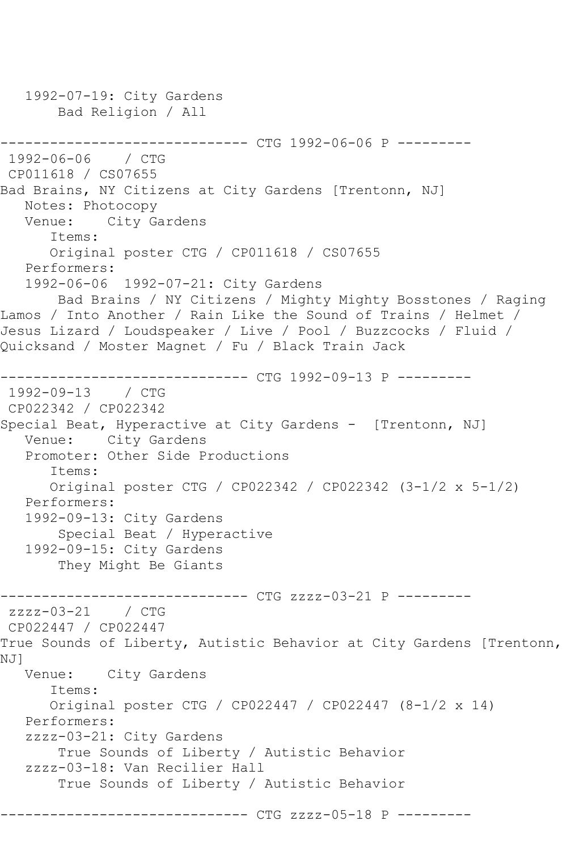```
 1992-07-19: City Gardens
        Bad Religion / All
------------------------------ CTG 1992-06-06 P ---------
1992-06-06 / CTG 
CP011618 / CS07655
Bad Brains, NY Citizens at City Gardens [Trentonn, NJ]
   Notes: Photocopy
   Venue: City Gardens
       Items:
       Original poster CTG / CP011618 / CS07655
   Performers:
   1992-06-06 1992-07-21: City Gardens
       Bad Brains / NY Citizens / Mighty Mighty Bosstones / Raging 
Lamos / Into Another / Rain Like the Sound of Trains / Helmet / 
Jesus Lizard / Loudspeaker / Live / Pool / Buzzcocks / Fluid / 
Quicksand / Moster Magnet / Fu / Black Train Jack
         ------------------------------ CTG 1992-09-13 P ---------
1992-09-13 / CTG 
CP022342 / CP022342
Special Beat, Hyperactive at City Gardens - [Trentonn, NJ]
   Venue: City Gardens
   Promoter: Other Side Productions
       Items:
       Original poster CTG / CP022342 / CP022342 (3-1/2 x 5-1/2)
   Performers:
   1992-09-13: City Gardens
        Special Beat / Hyperactive
   1992-09-15: City Gardens
        They Might Be Giants
------------------------------ CTG zzzz-03-21 P ---------
zzzz-03-21 / CTG
CP022447 / CP022447
True Sounds of Liberty, Autistic Behavior at City Gardens [Trentonn, 
NJ]
   Venue: City Gardens
      Items:
       Original poster CTG / CP022447 / CP022447 (8-1/2 x 14)
   Performers:
   zzzz-03-21: City Gardens
        True Sounds of Liberty / Autistic Behavior
   zzzz-03-18: Van Recilier Hall
        True Sounds of Liberty / Autistic Behavior
                  ------------ CTG zzzz-05-18 P ---------
```